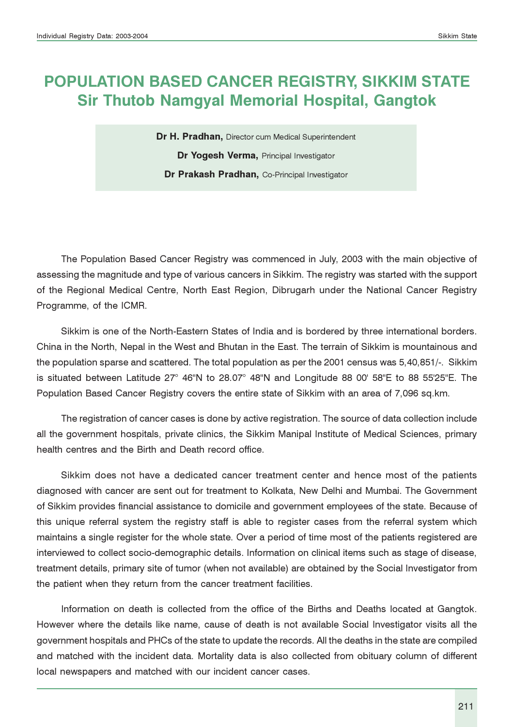# POPULATION BASED CANCER REGISTRY, SIKKIM STATE Sir Thutob Namgyal Memorial Hospital, Gangtok

Dr H. Pradhan, Director cum Medical Superintendent Dr Yogesh Verma, Principal Investigator Dr Prakash Pradhan, Co-Principal Investigator

The Population Based Cancer Registry was commenced in July, 2003 with the main objective of assessing the magnitude and type of various cancers in Sikkim. The registry was started with the support of the Regional Medical Centre, North East Region, Dibrugarh under the National Cancer Registry Programme, of the ICMR.

Sikkim is one of the North-Eastern States of India and is bordered by three international borders. China in the North, Nepal in the West and Bhutan in the East. The terrain of Sikkim is mountainous and the population sparse and scattered. The total population as per the 2001 census was 5,40,851/-. Sikkim is situated between Latitude 27° 46"N to 28.07° 48"N and Longitude 88 00' 58"E to 88 55'25"E. The Population Based Cancer Registry covers the entire state of Sikkim with an area of 7,096 sq.km.

The registration of cancer cases is done by active registration. The source of data collection include all the government hospitals, private clinics, the Sikkim Manipal Institute of Medical Sciences, primary health centres and the Birth and Death record office.

Sikkim does not have a dedicated cancer treatment center and hence most of the patients diagnosed with cancer are sent out for treatment to Kolkata, New Delhi and Mumbai. The Government of Sikkim provides financial assistance to domicile and government employees of the state. Because of this unique referral system the registry staff is able to register cases from the referral system which maintains a single register for the whole state. Over a period of time most of the patients registered are interviewed to collect socio-demographic details. Information on clinical items such as stage of disease, treatment details, primary site of tumor (when not available) are obtained by the Social Investigator from the patient when they return from the cancer treatment facilities.

Information on death is collected from the office of the Births and Deaths located at Gangtok. However where the details like name, cause of death is not available Social Investigator visits all the government hospitals and PHCs of the state to update the records. All the deaths in the state are compiled and matched with the incident data. Mortality data is also collected from obituary column of different local newspapers and matched with our incident cancer cases.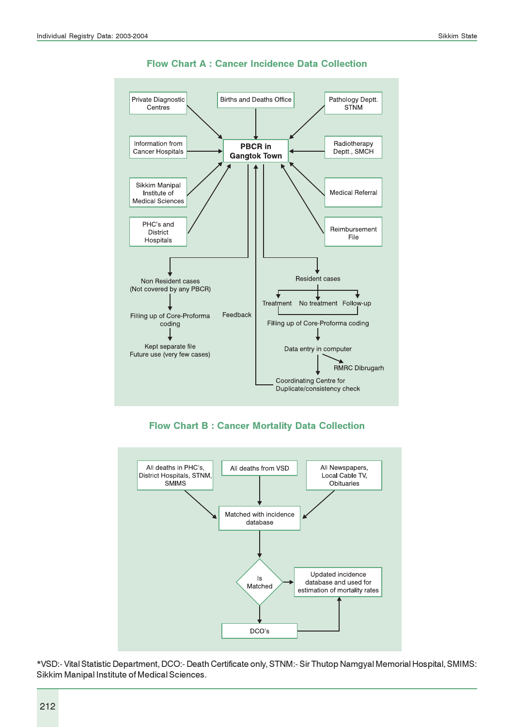

#### Flow Chart A : Cancer Incidence Data Collection

Flow Chart B : Cancer Mortality Data Collection



\*VSD:- Vital Statistic Department, DCO:- Death Certificate only, STNM:- Sir Thutop Namgyal Memorial Hospital, SMIMS: Sikkim Manipal Institute of Medical Sciences.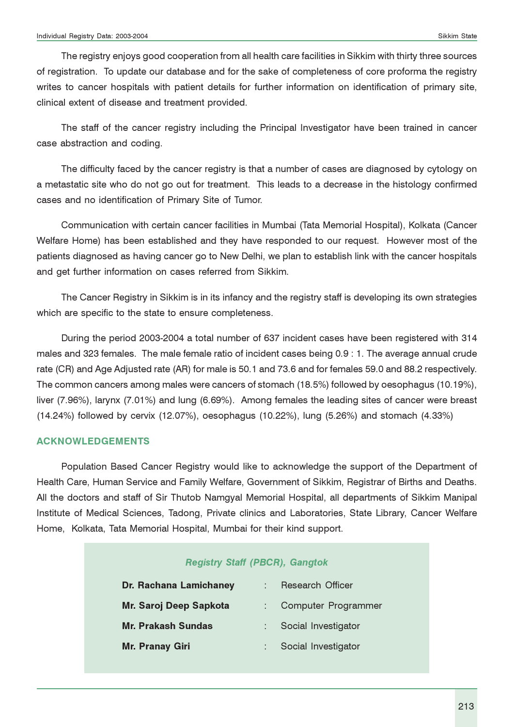The registry enjoys good cooperation from all health care facilities in Sikkim with thirty three sources of registration. To update our database and for the sake of completeness of core proforma the registry writes to cancer hospitals with patient details for further information on identification of primary site, clinical extent of disease and treatment provided.

The staff of the cancer registry including the Principal Investigator have been trained in cancer case abstraction and coding.

The difficulty faced by the cancer registry is that a number of cases are diagnosed by cytology on a metastatic site who do not go out for treatment. This leads to a decrease in the histology confirmed cases and no identification of Primary Site of Tumor.

Communication with certain cancer facilities in Mumbai (Tata Memorial Hospital), Kolkata (Cancer Welfare Home) has been established and they have responded to our request. However most of the patients diagnosed as having cancer go to New Delhi, we plan to establish link with the cancer hospitals and get further information on cases referred from Sikkim.

The Cancer Registry in Sikkim is in its infancy and the registry staff is developing its own strategies which are specific to the state to ensure completeness.

During the period 2003-2004 a total number of 637 incident cases have been registered with 314 males and 323 females. The male female ratio of incident cases being 0.9 : 1. The average annual crude rate (CR) and Age Adjusted rate (AR) for male is 50.1 and 73.6 and for females 59.0 and 88.2 respectively. The common cancers among males were cancers of stomach (18.5%) followed by oesophagus (10.19%), liver (7.96%), larynx (7.01%) and lung (6.69%). Among females the leading sites of cancer were breast (14.24%) followed by cervix (12.07%), oesophagus (10.22%), lung (5.26%) and stomach (4.33%)

#### ACKNOWLEDGEMENTS

Population Based Cancer Registry would like to acknowledge the support of the Department of Health Care, Human Service and Family Welfare, Government of Sikkim, Registrar of Births and Deaths. All the doctors and staff of Sir Thutob Namgyal Memorial Hospital, all departments of Sikkim Manipal Institute of Medical Sciences, Tadong, Private clinics and Laboratories, State Library, Cancer Welfare Home, Kolkata, Tata Memorial Hospital, Mumbai for their kind support.

| <b>Registry Staff (PBCR), Gangtok</b><br>Dr. Rachana Lamichaney<br>Research Officer<br>Mr. Saroj Deep Sapkota<br>Computer Programmer<br><b>Mr. Prakash Sundas</b><br>Social Investigator |  |                     |  |  |  |  |  |  |  |  |  |  |  |  |
|------------------------------------------------------------------------------------------------------------------------------------------------------------------------------------------|--|---------------------|--|--|--|--|--|--|--|--|--|--|--|--|
|                                                                                                                                                                                          |  |                     |  |  |  |  |  |  |  |  |  |  |  |  |
|                                                                                                                                                                                          |  |                     |  |  |  |  |  |  |  |  |  |  |  |  |
| <b>Mr. Pranay Giri</b>                                                                                                                                                                   |  | Social Investigator |  |  |  |  |  |  |  |  |  |  |  |  |
|                                                                                                                                                                                          |  |                     |  |  |  |  |  |  |  |  |  |  |  |  |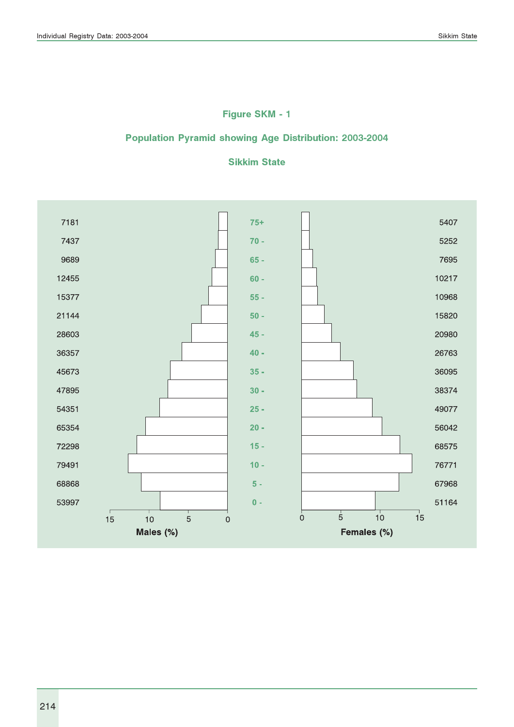# Figure SKM - 1

### Population Pyramid showing Age Distribution: 2003-2004

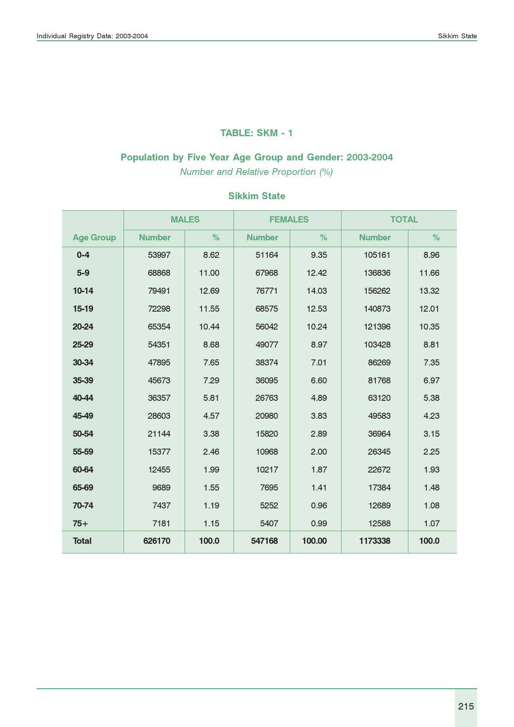### TABLE: SKM - 1

# Population by Five Year Age Group and Gender: 2003-2004

Number and Relative Proportion (%)

|                  |               | <b>MALES</b> | <b>FEMALES</b> |        | <b>TOTAL</b>  |       |
|------------------|---------------|--------------|----------------|--------|---------------|-------|
| <b>Age Group</b> | <b>Number</b> | %            | <b>Number</b>  | %      | <b>Number</b> | %     |
| $0 - 4$          | 53997         | 8.62         | 51164          | 9.35   | 105161        | 8.96  |
| $5-9$            | 68868         | 11.00        | 67968          | 12.42  | 136836        | 11.66 |
| $10-14$          | 79491         | 12.69        | 76771          | 14.03  | 156262        | 13.32 |
| 15-19            | 72298         | 11.55        | 68575          | 12.53  | 140873        | 12.01 |
| 20-24            | 65354         | 10.44        | 56042          | 10.24  | 121396        | 10.35 |
| 25-29            | 54351         | 8.68         | 49077          | 8.97   | 103428        | 8.81  |
| 30-34            | 47895         | 7.65         | 38374          | 7.01   | 86269         | 7.35  |
| 35-39            | 45673         | 7.29         | 36095          | 6.60   | 81768         | 6.97  |
| 40-44            | 36357         | 5.81         | 26763          | 4.89   | 63120         | 5.38  |
| 45-49            | 28603         | 4.57         | 20980          | 3.83   | 49583         | 4.23  |
| 50-54            | 21144         | 3.38         | 15820          | 2.89   | 36964         | 3.15  |
| 55-59            | 15377         | 2.46         | 10968          | 2.00   | 26345         | 2.25  |
| 60-64            | 12455         | 1.99         | 10217          | 1.87   | 22672         | 1.93  |
| 65-69            | 9689          | 1.55         | 7695           | 1.41   | 17384         | 1.48  |
| 70-74            | 7437          | 1.19         | 5252           | 0.96   | 12689         | 1.08  |
| $75+$            | 7181          | 1.15         | 5407           | 0.99   | 12588         | 1.07  |
| <b>Total</b>     | 626170        | 100.0        | 547168         | 100.00 | 1173338       | 100.0 |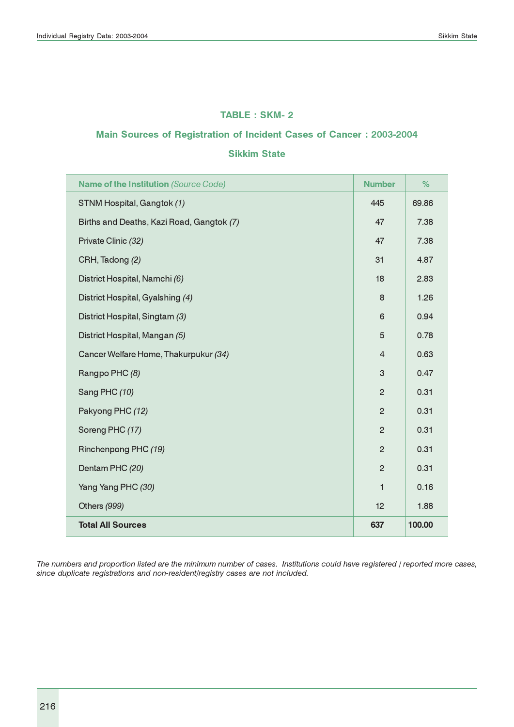#### TABLE : SKM- 2

#### Main Sources of Registration of Incident Cases of Cancer : 2003-2004

#### Sikkim State

| <b>Name of the Institution (Source Code)</b> | <b>Number</b>  | %      |
|----------------------------------------------|----------------|--------|
| STNM Hospital, Gangtok (1)                   | 445            | 69.86  |
| Births and Deaths, Kazi Road, Gangtok (7)    | 47             | 7.38   |
| Private Clinic (32)                          | 47             | 7.38   |
| CRH, Tadong (2)                              | 31             | 4.87   |
| District Hospital, Namchi (6)                | 18             | 2.83   |
| District Hospital, Gyalshing (4)             | 8              | 1.26   |
| District Hospital, Singtam (3)               | 6              | 0.94   |
| District Hospital, Mangan (5)                | 5              | 0.78   |
| Cancer Welfare Home, Thakurpukur (34)        | $\overline{4}$ | 0.63   |
| Rangpo PHC (8)                               | 3              | 0.47   |
| Sang PHC (10)                                | $\overline{2}$ | 0.31   |
| Pakyong PHC (12)                             | $\overline{2}$ | 0.31   |
| Soreng PHC (17)                              | $\overline{2}$ | 0.31   |
| Rinchenpong PHC (19)                         | $\overline{2}$ | 0.31   |
| Dentam PHC (20)                              | $\overline{2}$ | 0.31   |
| Yang Yang PHC (30)                           | 1              | 0.16   |
| Others (999)                                 | 12             | 1.88   |
| <b>Total All Sources</b>                     | 637            | 100.00 |

The numbers and proportion listed are the minimum number of cases. Institutions could have registered / reported more cases, since duplicate registrations and non-resident/registry cases are not included.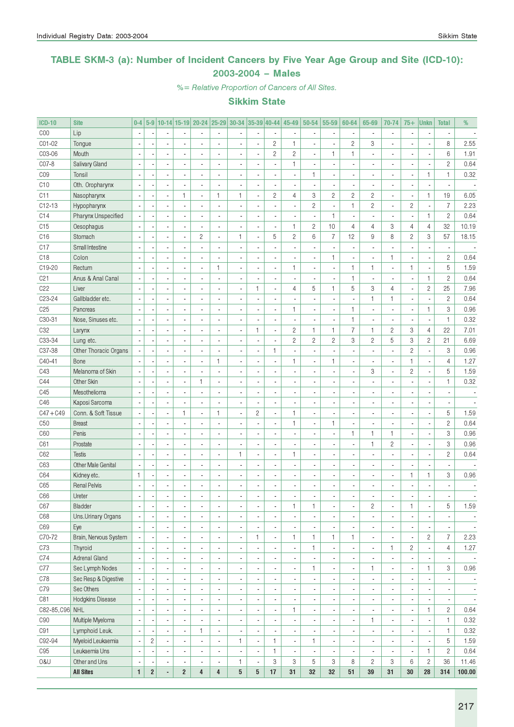### TABLE SKM-3 (a): Number of Incident Cancers by Five Year Age Group and Site (ICD-10): 2003-2004 – Males

%= Relative Proportion of Cancers of All Sites.

| <b>ICD-10</b>    | <b>Site</b>               | $0-4$                    |                          |                          |                          | 5-9 10-14 15-19 20-24 25-29 30-34 35-39 40-44 |                          |                          |                          |                          | 45-49          | 50-54                    | 55-59                    | 60-64                    | 65-69          | 70-74                    | $75+$          | <b>Unkn</b>              | <b>Total</b>              | %                        |
|------------------|---------------------------|--------------------------|--------------------------|--------------------------|--------------------------|-----------------------------------------------|--------------------------|--------------------------|--------------------------|--------------------------|----------------|--------------------------|--------------------------|--------------------------|----------------|--------------------------|----------------|--------------------------|---------------------------|--------------------------|
| COO              | Lip                       |                          |                          |                          |                          |                                               |                          |                          |                          |                          |                |                          | ×,                       |                          |                | $\overline{\phantom{a}}$ |                |                          |                           |                          |
| CO1-02           | Tongue                    |                          |                          |                          |                          |                                               | L,                       |                          |                          | $\sqrt{2}$               | $\mathbf{1}$   |                          | ÷,                       | $\overline{c}$           | 3              |                          |                |                          | 8                         | 2.55                     |
| C03-06           | Mouth                     |                          |                          | $\overline{\phantom{a}}$ |                          |                                               | L,                       |                          |                          | $\sqrt{2}$               | $\overline{c}$ |                          | 1                        | 1                        |                | $\blacksquare$           |                | ÷,                       | $6\,$                     | 1.91                     |
| C07-8            | Salivary Gland            |                          |                          | ä,                       |                          |                                               |                          |                          |                          | ÷,                       | 1              |                          | ÷,                       |                          |                | $\blacksquare$           |                | ×,                       | $\overline{c}$            | 0.64                     |
| C <sub>0</sub> 9 | Tonsil                    |                          |                          | ä,                       |                          |                                               | L,                       |                          |                          | ÷,                       |                | 1                        | ÷,                       |                          |                | $\blacksquare$           |                | 1                        | $\mathbf{1}$              | 0.32                     |
| C10              | Oth. Oropharynx           |                          |                          | ä,                       |                          |                                               |                          |                          |                          | $\blacksquare$           |                |                          | ×,                       |                          |                | $\blacksquare$           |                | ÷,                       |                           |                          |
| C11              | Nasopharynx               |                          |                          | $\overline{\phantom{a}}$ | 1                        | $\overline{\phantom{a}}$                      | 1                        | $\mathbf{1}$             | ÷,                       | $\sqrt{2}$               | 4              | 3                        | $\overline{c}$           | $\overline{c}$           | $\overline{c}$ | $\blacksquare$           |                | $\mathbf{1}$             | 19                        | 6.05                     |
| $C12-13$         | Hypopharynx               |                          |                          | $\overline{\phantom{a}}$ |                          |                                               |                          |                          |                          | ÷,                       |                | $\overline{c}$           | $\overline{\phantom{a}}$ | $\mathbf{1}$             | $\overline{c}$ | $\overline{\phantom{a}}$ | $\overline{c}$ | ÷,                       | $\overline{7}$            | 2.23                     |
| C14              | Pharynx Unspecified       |                          |                          | $\overline{\phantom{a}}$ |                          |                                               |                          |                          |                          | ÷,                       |                |                          | $\mathbf{1}$             |                          |                | $\overline{\phantom{a}}$ |                | $\mathbf{1}$             | $\overline{c}$            | 0.64                     |
| C15              | Oesophagus                |                          |                          | $\overline{\phantom{a}}$ |                          |                                               | ä,                       |                          |                          | $\blacksquare$           | $\mathbf{1}$   | $\overline{c}$           | 10                       | $\overline{4}$           | $\overline{4}$ | 3                        | $\overline{4}$ | $\overline{4}$           | 32                        | 10.19                    |
| C16              | Stomach                   |                          |                          | ÷,                       |                          | $\overline{c}$                                | ä,                       | $\mathbf{1}$             | ×,                       | 5                        | $\overline{c}$ | 6                        | $\overline{7}$           | 12                       | 9              | 8                        | $\overline{c}$ | 3                        | 57                        | 18.15                    |
| C <sub>17</sub>  | Small Intestine           |                          |                          | ÷,                       |                          |                                               | ä,                       |                          |                          | ÷,                       |                |                          | ×,                       |                          |                | $\blacksquare$           |                | ×,                       |                           |                          |
| C18              | Colon                     |                          |                          | ä,                       |                          |                                               |                          |                          |                          | $\blacksquare$           |                |                          | $\mathbf{1}$             |                          |                | $\mathbf{1}$             |                | ÷,                       | $\overline{c}$            | 0.64                     |
| C19-20           | Rectum                    |                          |                          | ä,                       |                          |                                               | 1                        |                          |                          | $\blacksquare$           | $\mathbf{1}$   |                          | $\blacksquare$           | 1                        | 1              | $\overline{\phantom{a}}$ | $\mathbf{1}$   | ÷,                       | $\sqrt{5}$                | 1.59                     |
| C <sub>21</sub>  | Anus & Anal Canal         |                          |                          | ä,                       |                          |                                               |                          |                          |                          | $\blacksquare$           |                |                          | $\overline{\phantom{a}}$ | $\mathbf{1}$             |                | $\blacksquare$           |                | $\mathbf{1}$             | $\overline{c}$            | 0.64                     |
| C22              | Liver                     |                          |                          | ä,                       |                          |                                               | L,                       |                          | $\mathbf{1}$             | $\blacksquare$           | 4              | 5                        | 1                        | 5                        | 3              | $\overline{4}$           |                | $\overline{c}$           | 25                        | 7.96                     |
| C23-24           | Gallbladder etc.          |                          |                          | $\overline{\phantom{a}}$ |                          |                                               | L,                       |                          |                          | $\frac{1}{2}$            |                |                          | ÷,                       |                          | $\mathbf{1}$   | $\mathbf{1}$             |                | ×,                       | $\overline{c}$            | 0.64                     |
| C <sub>25</sub>  | Pancreas                  |                          |                          | ä,                       |                          |                                               | L,                       |                          |                          | $\blacksquare$           | $\mathbf{1}$   |                          | ÷,                       | $\mathbf{1}$             |                | $\overline{\phantom{a}}$ |                | $\mathbf{1}$             | 3                         | 0.96                     |
| C30-31           | Nose, Sinuses etc.        |                          |                          | ä,                       |                          |                                               | L,                       |                          |                          | $\blacksquare$           |                |                          | ÷,                       | $\mathbf{1}$             |                | $\blacksquare$           |                | ÷,                       | $\mathbf{1}$              | 0.32                     |
| C <sub>32</sub>  |                           |                          |                          | ä,                       |                          |                                               | L,                       |                          | $\mathbf{1}$             | $\blacksquare$           | $\overline{c}$ | 1                        | 1                        | $\overline{7}$           | $\mathbf{1}$   | $\overline{c}$           | 3              | $\overline{4}$           | 22                        | 7.01                     |
| C33-34           | Larynx                    |                          |                          | ä,                       |                          |                                               |                          |                          |                          |                          | $\overline{c}$ | $\mathbf{2}$             | $\overline{c}$           | 3                        | $\overline{c}$ | 5                        | 3              | $\overline{c}$           | 21                        | 6.69                     |
|                  | Lung etc.                 |                          |                          |                          |                          |                                               | ä,                       |                          |                          | $\blacksquare$           |                |                          |                          |                          |                |                          |                |                          |                           |                          |
| C37-38           | Other Thoracic Organs     |                          |                          | ä,                       |                          |                                               |                          |                          |                          | 1                        |                |                          | ÷                        |                          |                | $\overline{\phantom{a}}$ | $\overline{c}$ | ×,                       | 3                         | 0.96                     |
| C40-41           | Bone                      |                          |                          | ä,                       |                          |                                               | $\mathbf{1}$             |                          |                          | $\blacksquare$           | 1              |                          | $\mathbf{1}$             |                          |                | $\blacksquare$           | 1              | ×,                       | $\overline{4}$            | 1.27                     |
| C43              | Melanoma of Skin          |                          |                          | $\overline{\phantom{a}}$ |                          |                                               | ä,                       |                          |                          | $\blacksquare$           |                |                          | $\overline{\phantom{a}}$ |                          | 3              | $\overline{\phantom{a}}$ | $\overline{c}$ | ÷,                       | 5                         | 1.59                     |
| C44              | Other Skin                |                          |                          | ä,                       |                          | 1                                             | ä,                       |                          |                          | $\blacksquare$           |                |                          | ÷,                       |                          |                | $\blacksquare$           |                | ×,                       | $\mathbf{1}$              | 0.32                     |
| C45              | Mesothelioma              |                          |                          | ä,                       |                          |                                               | ä,                       |                          |                          | $\blacksquare$           |                |                          | ÷,                       |                          |                | $\blacksquare$           |                | ÷,                       |                           |                          |
| C46              | Kaposi Sarcoma            |                          |                          | ä,                       |                          |                                               |                          |                          |                          | $\blacksquare$           |                |                          | ÷,                       |                          |                | $\blacksquare$           |                | ÷,                       |                           |                          |
| $C47 + C49$      | Conn. & Soft Tissue       |                          |                          | $\overline{\phantom{a}}$ | $\mathbf{1}$             | $\overline{\phantom{a}}$                      | 1                        | $\overline{a}$           | $\sqrt{2}$               | $\blacksquare$           | $\mathbf{1}$   |                          | ÷,                       |                          |                | $\blacksquare$           |                | $\overline{\phantom{a}}$ | 5                         | 1.59                     |
| C50              | <b>Breast</b>             |                          |                          | $\overline{\phantom{a}}$ |                          |                                               |                          |                          |                          | $\frac{1}{2}$            | 1              |                          | $\mathbf{1}$             |                          |                | $\overline{\phantom{a}}$ |                | ×,                       | $\sqrt{2}$                | 0.64                     |
| C60              | Penis                     |                          |                          | ä,                       |                          |                                               | L,                       |                          |                          | $\frac{1}{2}$            |                |                          | ÷,                       | 1                        | 1              | $\mathbf{1}$             |                | ×,                       | $\ensuremath{\mathsf{3}}$ | 0.96                     |
| C61              | Prostate                  |                          |                          | ä,                       |                          |                                               | ä,                       |                          |                          | $\blacksquare$           |                |                          | ×,                       |                          | $\mathbf{1}$   | $\overline{c}$           |                | ×,                       | 3                         | 0.96                     |
| C62              | <b>Testis</b>             |                          |                          | ä,                       |                          |                                               | ä,                       | $\mathbf{1}$             | ÷,                       | $\blacksquare$           | 1              |                          | ÷,                       |                          |                | $\blacksquare$           |                | ×,                       | $\sqrt{2}$                | 0.64                     |
| C63              | <b>Other Male Genital</b> |                          |                          | ä,                       |                          |                                               | ä,                       |                          |                          | $\frac{1}{2}$            |                |                          | $\overline{\phantom{a}}$ |                          |                | $\blacksquare$           |                | ×,                       | ×,                        |                          |
| C64              | Kidney etc.               | 1                        |                          | ä,                       |                          |                                               | ä,                       |                          |                          | $\blacksquare$           |                |                          | $\overline{\phantom{a}}$ |                          |                | $\overline{\phantom{a}}$ | 1              | 1                        | 3                         | 0.96                     |
| C65              | <b>Renal Pelvis</b>       |                          |                          | ÷,                       |                          |                                               | L,                       |                          |                          | ÷,                       |                |                          | ÷                        |                          |                | $\blacksquare$           |                |                          |                           |                          |
| C66              | Ureter                    | $\overline{\phantom{a}}$ |                          | ä,                       |                          | $\overline{\phantom{a}}$                      | ä,                       |                          |                          | ÷,                       |                |                          | ä,                       |                          |                | $\blacksquare$           |                |                          |                           |                          |
| C67              | Bladder                   | $\overline{\phantom{a}}$ | $\overline{\phantom{a}}$ | ٠                        | $\blacksquare$           |                                               |                          | ٠                        | $\overline{\phantom{a}}$ | ٠                        | 1              | 1                        | $\overline{\phantom{a}}$ | ٠                        | $\overline{c}$ | ٠                        | 1              | ٠                        | 5                         | 1.59                     |
| C68              | Uns.Urinary Organs        | $\overline{\phantom{a}}$ |                          | $\overline{\phantom{a}}$ | $\blacksquare$           | $\overline{\phantom{a}}$                      | ä,                       | $\overline{\phantom{a}}$ |                          | $\overline{\phantom{a}}$ | ٠              | $\overline{\phantom{a}}$ | $\overline{\phantom{a}}$ | $\overline{\phantom{a}}$ | $\blacksquare$ | $\overline{\phantom{a}}$ |                | $\overline{\phantom{a}}$ |                           | $\overline{\phantom{a}}$ |
| C69              | Eye                       |                          |                          | $\overline{\phantom{a}}$ | $\blacksquare$           |                                               | ä,                       | $\blacksquare$           |                          | $\overline{\phantom{a}}$ |                | $\overline{\phantom{a}}$ | $\overline{\phantom{a}}$ |                          | ٠              | $\overline{\phantom{a}}$ |                | $\overline{\phantom{a}}$ | $\blacksquare$            | $\overline{\phantom{a}}$ |
| C70-72           | Brain, Nervous System     |                          |                          | $\overline{\phantom{a}}$ |                          |                                               | ä,                       | $\blacksquare$           | $\mathbf{1}$             | ÷,                       | 1              | $\mathbf{1}$             | 1                        | 1                        | ٠              | $\blacksquare$           |                | $\overline{c}$           | $\overline{7}$            | 2.23                     |
| C73              | Thyroid                   |                          |                          | $\overline{\phantom{a}}$ |                          |                                               | $\overline{a}$           | $\overline{\phantom{a}}$ |                          | $\overline{\phantom{a}}$ |                | 1                        | $\overline{\phantom{a}}$ |                          | ٠              | $\mathbf{1}$             | $\overline{c}$ | ÷,                       | $\overline{4}$            | 1.27                     |
| C74              | Adrenal Gland             |                          |                          | $\overline{\phantom{a}}$ |                          |                                               | ä,                       | ÷,                       |                          | ÷,                       |                | ä,                       | ÷,                       | $\overline{\phantom{a}}$ | $\blacksquare$ | $\overline{\phantom{a}}$ |                | $\overline{\phantom{a}}$ |                           | $\overline{\phantom{a}}$ |
| $\mathbb{C}77$   | Sec Lymph Nodes           |                          |                          | $\overline{\phantom{a}}$ |                          |                                               | ä,                       | ä,                       |                          | ÷,                       |                | $\mathbf{1}$             | $\blacksquare$           | $\overline{\phantom{a}}$ | $\mathbf{1}$   | $\blacksquare$           |                | $\mathbf{1}$             | 3                         | 0.96                     |
| C78              | Sec Resp & Digestive      |                          |                          | $\overline{\phantom{a}}$ | $\blacksquare$           |                                               | ä,                       | ä,                       |                          | $\blacksquare$           |                | $\overline{\phantom{a}}$ | $\overline{\phantom{a}}$ | $\overline{\phantom{a}}$ | $\blacksquare$ | $\overline{\phantom{a}}$ |                | $\overline{\phantom{a}}$ |                           | $\overline{\phantom{a}}$ |
| C79              | Sec Others                |                          |                          | $\overline{\phantom{a}}$ |                          |                                               | ä,                       | ä,                       |                          | ÷,                       |                | $\blacksquare$           | $\overline{\phantom{a}}$ | $\overline{\phantom{a}}$ | $\blacksquare$ | $\overline{\phantom{a}}$ |                | $\overline{\phantom{a}}$ | $\overline{\phantom{a}}$  | $\overline{\phantom{a}}$ |
| C81              | Hodgkins Disease          | Ĭ.                       |                          | $\overline{\phantom{a}}$ |                          |                                               | ä,                       | ä,                       |                          | $\blacksquare$           |                | $\blacksquare$           | $\overline{\phantom{a}}$ | $\overline{\phantom{a}}$ | $\blacksquare$ | $\overline{\phantom{a}}$ |                | ÷,                       | $\overline{\phantom{a}}$  | $\overline{\phantom{a}}$ |
| C82-85, C96 NHL  |                           | ÷,                       |                          | ä,                       |                          |                                               | ä,                       | ä,                       |                          | $\blacksquare$           | 1              | $\blacksquare$           | $\overline{\phantom{a}}$ | $\overline{\phantom{a}}$ | $\blacksquare$ | $\overline{\phantom{a}}$ |                | $\mathbf{1}$             | $\mathbf{2}$              | 0.64                     |
| C90              | Multiple Myeloma          | Ĭ.                       |                          | $\overline{\phantom{a}}$ |                          |                                               | ä,                       | ä,                       |                          | $\blacksquare$           |                | $\blacksquare$           | $\overline{\phantom{a}}$ | $\overline{\phantom{a}}$ | $\mathbf{1}$   | $\overline{\phantom{a}}$ |                | ÷,                       | $\mathbf{1}$              | 0.32                     |
| C91              | Lymphoid Leuk.            |                          |                          | $\overline{\phantom{a}}$ | $\overline{\phantom{a}}$ | 1                                             | $\overline{\phantom{a}}$ | ×,                       |                          | $\blacksquare$           |                | $\overline{\phantom{a}}$ | $\overline{\phantom{a}}$ | $\overline{a}$           | $\blacksquare$ | $\overline{\phantom{a}}$ |                | $\overline{\phantom{a}}$ | $\mathbf{1}$              | 0.32                     |
| C92-94           | Myeloid Leukaemia         | ÷,                       | $\overline{c}$           | $\overline{\phantom{a}}$ | $\blacksquare$           |                                               | ä,                       | $\mathbf{1}$             | $\blacksquare$           | $\mathbf{1}$             | ä,             | 1                        | $\overline{\phantom{a}}$ | $\overline{a}$           | $\blacksquare$ | $\overline{\phantom{a}}$ |                | ÷,                       | 5                         | 1.59                     |
| C95              | Leukaemia Uns             | ÷,                       |                          | $\overline{\phantom{a}}$ | $\blacksquare$           | $\blacksquare$                                | ä,                       | $\overline{a}$           |                          | 1                        |                | $\blacksquare$           | $\overline{\phantom{a}}$ | $\blacksquare$           | $\blacksquare$ | $\overline{\phantom{a}}$ |                | $\mathbf{1}$             | $\overline{c}$            | 0.64                     |
| 0&U              | Other and Uns             | ×,                       |                          | $\overline{\phantom{a}}$ | $\blacksquare$           |                                               | ä,                       | $\mathbf{1}$             |                          | 3                        | 3              | 5                        | 3                        | 8                        | $\overline{c}$ | 3                        | 6              | $\mathbf{2}$             | 36                        | 11.46                    |
|                  | <b>All Sites</b>          | $\mathbf{1}$             | $\boldsymbol{2}$         | ÷.                       | $\overline{2}$           | 4                                             | 4                        | 5                        | $5\phantom{.0}$          | 17                       | 31             | 32                       | 32                       | 51                       | 39             | 31                       | 30             | 28                       | 314                       | 100.00                   |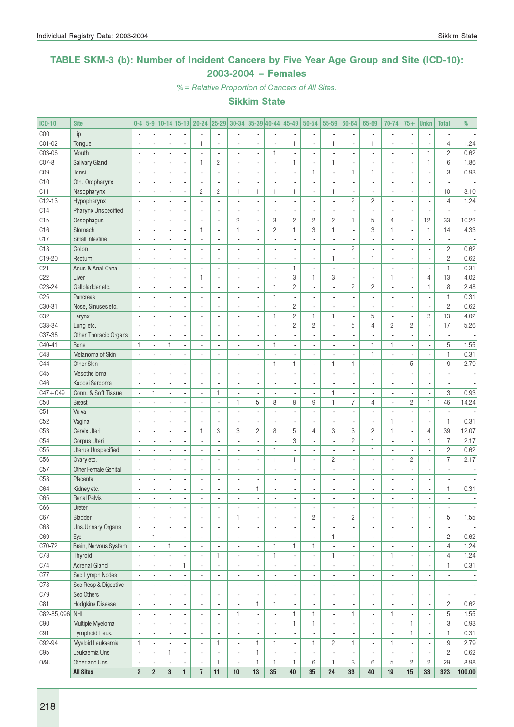### TABLE SKM-3 (b): Number of Incident Cancers by Five Year Age Group and Site (ICD-10): 2003-2004 – Females

%= Relative Proportion of Cancers of All Sites.

| <b>ICD-10</b>   | <b>Site</b>               | $0-4$                    |                |                |                          | 5-9 10-14 15-19 20-24    |                             | $ 25-29 30-34 35-39 40-44 $ |                          |                              | 45-49                    | 50-54                    | 55-59                    | 60-64                    | 65-69                        | 70-74                    | $75+$                    | <b>Unkn</b>              | <b>Total</b>             | %                        |
|-----------------|---------------------------|--------------------------|----------------|----------------|--------------------------|--------------------------|-----------------------------|-----------------------------|--------------------------|------------------------------|--------------------------|--------------------------|--------------------------|--------------------------|------------------------------|--------------------------|--------------------------|--------------------------|--------------------------|--------------------------|
| C <sub>00</sub> | Lip                       | $\sim$                   |                |                |                          |                          | ÷.                          | $\overline{a}$              |                          | ä,                           |                          | $\overline{\phantom{a}}$ | $\blacksquare$           |                          | ÷.                           | $\overline{\phantom{a}}$ |                          | Ĭ.                       |                          |                          |
| C01-02          | Tongue                    |                          |                |                |                          | 1                        | Ĭ.                          | ä,                          |                          | $\overline{a}$               | 1                        |                          | 1                        |                          | $\mathbf{1}$                 | $\blacksquare$           |                          |                          | $\overline{4}$           | 1.24                     |
| C03-06          | Mouth                     | $\sim$                   |                |                | ÷,                       |                          | $\overline{a}$              | ÷,                          | Ĭ.                       | $\mathbf{1}$                 |                          |                          | l,                       |                          |                              | $\overline{a}$           |                          | $\mathbf{1}$             | $\overline{2}$           | 0.62                     |
| C07-8           | Salivary Gland            | $\sim$                   |                |                | $\blacksquare$           | 1                        | $\overline{c}$              | $\overline{\phantom{a}}$    | $\blacksquare$           | $\overline{\phantom{a}}$     | 1                        | $\overline{\phantom{a}}$ | $\mathbf{1}$             | $\overline{\phantom{a}}$ | $\overline{\phantom{a}}$     | $\blacksquare$           | ä,                       | $\mathbf{1}$             | 6                        | 1.86                     |
| C <sub>09</sub> | Tonsil                    | $\sim$                   |                | $\overline{a}$ | $\overline{a}$           | ä,                       | $\overline{a}$              | $\overline{\phantom{a}}$    | $\blacksquare$           | $\blacksquare$               | $\blacksquare$           | $\mathbf{1}$             | $\overline{\phantom{a}}$ | $\mathbf{1}$             | $\mathbf{1}$                 | $\overline{\phantom{a}}$ | ÷,                       | ÷,                       | 3                        | 0.93                     |
| C10             | Oth. Oropharynx           |                          |                |                |                          |                          |                             | $\overline{a}$              |                          | $\overline{\phantom{a}}$     |                          |                          | ×,                       | $\blacksquare$           |                              | $\blacksquare$           |                          | ٠                        | ä,                       |                          |
| C11             | Nasopharynx               | ÷.                       |                |                | $\overline{\phantom{a}}$ | $\overline{c}$           | $\overline{c}$              | $\mathbf{1}$                | $\mathbf{1}$             | $\mathbf{1}$                 | 1                        | $\overline{\phantom{a}}$ | $\mathbf{1}$             | $\overline{\phantom{a}}$ | $\overline{a}$               | $\overline{\phantom{a}}$ | ä,                       | $\mathbf{1}$             | 10                       | 3.10                     |
| $C12-13$        | Hypopharynx               |                          |                |                | $\overline{\phantom{a}}$ | $\overline{a}$           | $\overline{a}$              | ä,                          | $\overline{\phantom{a}}$ | ä,                           | $\overline{a}$           |                          | $\overline{\phantom{a}}$ | $\overline{c}$           | $\overline{c}$               | $\overline{\phantom{a}}$ | $\overline{a}$           | ÷,                       | $\overline{4}$           | 1.24                     |
| C14             | Pharynx Unspecified       |                          |                |                | $\overline{\phantom{a}}$ |                          | $\overline{\phantom{a}}$    | $\overline{\phantom{a}}$    |                          | $\overline{\phantom{a}}$     |                          |                          | ×,                       |                          |                              | $\blacksquare$           |                          | ×,                       |                          |                          |
| C15             | Oesophagus                | $\sim$                   |                |                | $\overline{a}$           | $\overline{a}$           | $\overline{a}$              | $\overline{c}$              | ÷,                       | 3                            | $\overline{c}$           | $\overline{c}$           | $\overline{c}$           | $\mathbf{1}$             | 5                            | $\overline{4}$           | ÷,                       | 12                       | 33                       | 10.22                    |
| C16             | Stomach                   | $\sim$                   |                | $\overline{a}$ | $\overline{a}$           | 1                        | $\overline{a}$              | 1                           | $\blacksquare$           | $\mathbf{2}$                 | $\mathbf{1}$             | 3                        | $\mathbf{1}$             | $\overline{a}$           | 3                            | $\mathbf{1}$             | ÷,                       | 1                        | 14                       | 4.33                     |
| C17             | Small Intestine           | $\overline{\phantom{a}}$ |                |                | $\blacksquare$           | ä,                       | ä,                          | $\blacksquare$              | $\blacksquare$           | $\blacksquare$               | ä,                       | ä,                       | $\overline{\phantom{a}}$ | $\blacksquare$           |                              | $\overline{\phantom{a}}$ |                          | $\overline{\phantom{a}}$ | $\overline{\phantom{a}}$ | $\overline{\phantom{a}}$ |
| C18             | Colon                     |                          |                |                |                          |                          |                             | $\overline{a}$              |                          | ٠                            |                          |                          | $\overline{\phantom{a}}$ | $\overline{c}$           |                              | $\overline{\phantom{a}}$ |                          | $\overline{\phantom{a}}$ | $\overline{c}$           | 0.62                     |
| C19-20          | Rectum                    |                          |                |                | $\overline{\phantom{a}}$ | $\overline{a}$           | $\overline{a}$              | $\blacksquare$              | $\overline{a}$           | ÷,                           | ÷,                       |                          | $\mathbf{1}$             | $\blacksquare$           | $\mathbf{1}$                 | $\overline{\phantom{a}}$ | $\overline{a}$           | $\overline{\phantom{a}}$ | $\mathbf{2}$             | 0.62                     |
| C21             | Anus & Anal Canal         |                          |                |                |                          |                          | ÷,                          | $\overline{\phantom{a}}$    | ÷,                       | $\overline{a}$               | $\mathbf{1}$             |                          | ÷,                       |                          | ÷.                           | $\overline{\phantom{a}}$ |                          | $\overline{\phantom{a}}$ | $\mathbf{1}$             | 0.31                     |
| C <sub>22</sub> | Liver                     |                          |                |                | $\overline{\phantom{a}}$ | 1                        | ä,                          | $\blacksquare$              |                          | $\blacksquare$               | 3                        | $\mathbf{1}$             | 3                        |                          |                              | $\mathbf{1}$             | ×,                       | $\overline{4}$           | 13                       | 4.02                     |
| C23-24          | Gallbladder etc.          | $\sim$                   |                |                | $\overline{a}$           | $\overline{a}$           | ÷,                          | ä,                          | $\blacksquare$           | $\mathbf{1}$                 | $\overline{c}$           | $\overline{\phantom{a}}$ | $\overline{\phantom{a}}$ | $\overline{c}$           | $\overline{2}$               | $\overline{\phantom{a}}$ |                          | $\mathbf{1}$             | 8                        | 2.48                     |
| C <sub>25</sub> | Pancreas                  | $\sim$                   |                |                | $\overline{a}$           | $\overline{a}$           | ÷.                          | $\blacksquare$              | $\blacksquare$           | $\mathbf{1}$                 | ä,                       | $\overline{a}$           | $\blacksquare$           | $\overline{a}$           | ÷.                           | $\blacksquare$           | $\overline{a}$           | ÷,                       | $\mathbf{1}$             | 0.31                     |
| $C30-31$        | Nose, Sinuses etc.        |                          |                |                |                          | ä,                       | $\overline{\phantom{a}}$    | $\blacksquare$              | $\blacksquare$           | $\blacksquare$               | $\overline{c}$           |                          | $\overline{\phantom{a}}$ | $\overline{\phantom{a}}$ |                              | $\blacksquare$           | ×,                       | $\overline{\phantom{a}}$ | $\overline{c}$           | 0.62                     |
| C <sub>32</sub> | Larynx                    | $\blacksquare$           |                |                |                          |                          |                             | $\overline{a}$              |                          | $\mathbf{1}$                 | $\overline{2}$           | $\mathbf{1}$             | $\mathbf{1}$             | $\overline{a}$           | 5                            | $\overline{a}$           |                          | 3                        | 13                       | 4.02                     |
| C33-34          | Lung etc.                 |                          |                |                | $\overline{\phantom{a}}$ | $\overline{a}$           | $\overline{a}$              | $\blacksquare$              | $\overline{a}$           | $\frac{1}{2}$                | $\overline{2}$           | $\overline{c}$           | ä,                       | 5                        | $\overline{4}$               | $\mathbf{2}$             | $\overline{c}$           | ÷,                       | 17                       | 5.26                     |
| C37-38          | Other Thoracic Organs     |                          |                |                | $\blacksquare$           |                          | ä,                          | $\overline{\phantom{a}}$    |                          | ä,                           |                          | ä,                       | ä,                       | ä,                       |                              | $\overline{\phantom{a}}$ |                          | ÷,                       | $\overline{\phantom{a}}$ |                          |
| $C40 - 41$      | Bone                      | $\mathbf{1}$             |                | $\mathbf{1}$   |                          |                          | $\overline{a}$              | $\overline{\phantom{a}}$    |                          | $\mathbf{1}$                 |                          |                          | ä,                       |                          | $\mathbf{1}$                 | $\mathbf{1}$             |                          | ÷,                       | 5                        | 1.55                     |
| C43             | Melanoma of Skin          | $\overline{\phantom{a}}$ |                |                | $\overline{\phantom{a}}$ | $\overline{a}$           | $\mathbf{r}$                | $\overline{\phantom{a}}$    | $\blacksquare$           | $\overline{a}$               | $\overline{a}$           | $\overline{\phantom{a}}$ | $\sim$                   | $\overline{\phantom{a}}$ | $\mathbf{1}$                 | $\overline{\phantom{a}}$ | $\overline{a}$           | ÷,                       | $\mathbf{1}$             | 0.31                     |
| C44             | Other Skin                | $\overline{\phantom{a}}$ |                | $\overline{a}$ | $\overline{\phantom{a}}$ | ä,                       | $\overline{a}$              | $\overline{\phantom{a}}$    | $\blacksquare$           | 1                            | 1                        | $\overline{\phantom{a}}$ | $\mathbf{1}$             | $\mathbf{1}$             | ÷.                           | $\overline{\phantom{a}}$ | 5                        | ÷,                       | 9                        | 2.79                     |
| C45             | Mesothelioma              |                          |                |                |                          |                          | ٠                           | $\overline{\phantom{a}}$    | $\overline{\phantom{a}}$ | $\overline{\phantom{a}}$     | ٠                        |                          | $\overline{\phantom{a}}$ | ٠                        |                              | $\overline{\phantom{a}}$ |                          | $\overline{\phantom{a}}$ | $\overline{\phantom{a}}$ |                          |
| C46             | Kaposi Sarcoma            | $\sim$                   |                |                | $\overline{\phantom{a}}$ | $\overline{a}$           | ÷,                          | $\overline{\phantom{a}}$    | ÷,                       | ä,                           |                          |                          | $\overline{\phantom{a}}$ | $\overline{a}$           |                              | $\overline{\phantom{a}}$ |                          | $\overline{\phantom{a}}$ | $\overline{a}$           | $\overline{\phantom{a}}$ |
| $C47 + C49$     | Conn. & Soft Tissue       |                          | 1              |                | $\overline{\phantom{a}}$ | $\overline{\phantom{a}}$ | $\mathbf{1}$                | $\overline{\phantom{a}}$    | $\overline{a}$           | $\overline{a}$               | $\overline{\phantom{a}}$ |                          | $\mathbf{1}$             | $\blacksquare$           | $\overline{\phantom{a}}$     | $\overline{\phantom{a}}$ | $\overline{\phantom{a}}$ | $\overline{\phantom{a}}$ | 3                        | 0.93                     |
| C <sub>50</sub> | <b>Breast</b>             |                          |                |                |                          |                          | $\overline{\phantom{a}}$    | 1                           | 5                        | 8                            | 8                        | 9                        | $\mathbf{1}$             | $\overline{7}$           | $\overline{4}$               | $\overline{\phantom{a}}$ | $\overline{c}$           | $\mathbf{1}$             | 46                       | 14.24                    |
| C51             | Vulva                     | $\sim$                   |                |                | $\overline{a}$           | $\overline{a}$           | $\overline{a}$              | ä,                          |                          | $\overline{\phantom{a}}$     |                          |                          | L.                       |                          |                              | $\overline{\phantom{a}}$ |                          | $\overline{a}$           | ÷,                       |                          |
| C52             | Vagina                    | $\sim$                   |                |                | $\sim$                   | $\overline{a}$           | $\overline{\phantom{a}}$    | $\blacksquare$              | $\blacksquare$           | ÷,                           | ٠                        | $\blacksquare$           | $\overline{\phantom{a}}$ | $\overline{\phantom{a}}$ | $\overline{\phantom{a}}$     | $\mathbf{1}$             | $\overline{\phantom{a}}$ | ÷,                       | $\mathbf{1}$             | 0.31                     |
| C53             | Cervix Uteri              | $\overline{\phantom{a}}$ |                | ÷,             | $\blacksquare$           | 1                        | 3                           | 3                           | $\overline{c}$           | 8                            | 5                        | 4                        | 3                        | 3                        | $\overline{c}$               | $\mathbf{1}$             | $\overline{\phantom{a}}$ | 4                        | 39                       | 12.07                    |
| C54             | Corpus Uteri              |                          |                |                |                          |                          |                             | $\overline{a}$              |                          | $\overline{\phantom{a}}$     | 3                        |                          | $\overline{\phantom{a}}$ | $\overline{c}$           | $\mathbf{1}$                 | $\blacksquare$           |                          | 1                        | $\overline{7}$           | 2.17                     |
| C55             | <b>Uterus Unspecified</b> |                          |                |                | $\overline{\phantom{a}}$ | $\overline{a}$           | $\overline{a}$              | $\blacksquare$              | $\blacksquare$           | $\mathbf{1}$                 | ٠                        | $\overline{a}$           | $\overline{\phantom{a}}$ | $\overline{a}$           | $\mathbf{1}$                 | $\overline{\phantom{a}}$ | $\overline{a}$           | ÷,                       | $\overline{c}$           | 0.62                     |
| C56             | Ovary etc.                |                          |                | Ĭ.             | $\overline{\phantom{a}}$ | ÷,                       | $\overline{a}$              | $\overline{a}$              | ÷,                       | $\mathbf{1}$                 | $\mathbf{1}$             | $\overline{\phantom{a}}$ | $\overline{c}$           | $\overline{a}$           |                              | $\overline{\phantom{a}}$ | $\overline{c}$           | $\mathbf{1}$             | $\overline{7}$           | 2.17                     |
| C57             | Other Female Genital      |                          |                |                |                          |                          | ä,                          | $\overline{a}$              |                          | $\overline{\phantom{a}}$     |                          |                          | ×,                       | ٠                        |                              | $\blacksquare$           |                          | ×,                       |                          |                          |
| C <sub>58</sub> | Placenta                  | $\blacksquare$           |                |                | $\blacksquare$           | ä,                       | ÷,                          | ä,                          | $\blacksquare$           | ÷,                           |                          |                          | $\blacksquare$           | ä,                       |                              | $\overline{\phantom{a}}$ |                          | $\overline{\phantom{a}}$ | $\blacksquare$           | $\overline{\phantom{a}}$ |
| C64             | Kidney etc.               | $\sim$                   |                | $\overline{a}$ | $\overline{a}$           | $\overline{\phantom{a}}$ | $\overline{a}$              | $\blacksquare$              | $\mathbf{1}$             | ÷,                           | ٠                        | $\overline{\phantom{a}}$ | $\blacksquare$           | $\overline{a}$           | $\overline{\phantom{a}}$     | $\overline{\phantom{a}}$ | $\overline{a}$           | $\overline{\phantom{a}}$ | $\mathbf{1}$             | 0.31                     |
| C65             | <b>Renal Pelvis</b>       |                          |                |                |                          |                          |                             |                             |                          | L,                           |                          |                          | ä,                       | ä,                       |                              | $\overline{a}$           |                          |                          | $\overline{\phantom{a}}$ |                          |
| C66             | Ureter                    | $\overline{\phantom{a}}$ |                |                | $\overline{\phantom{a}}$ | $\overline{\phantom{a}}$ | $\overline{\phantom{a}}$    | $\overline{\phantom{a}}$    | $\overline{\phantom{a}}$ | $\sim$                       | $\overline{\phantom{a}}$ | $\overline{\phantom{a}}$ | $\overline{\phantom{a}}$ | $\overline{\phantom{a}}$ | $\overline{\phantom{a}}$     | $\overline{\phantom{a}}$ | $\overline{\phantom{a}}$ | $\overline{\phantom{a}}$ | $\overline{\phantom{a}}$ | $\overline{\phantom{a}}$ |
| C67             | Bladder                   | $\sim$                   |                |                | $\blacksquare$           | $\overline{a}$           | $\overline{\phantom{a}}$    | 1                           | $\blacksquare$           | $\overline{\phantom{a}}$     | ٠                        | $\overline{c}$           | $\overline{\phantom{a}}$ | $\overline{c}$           | ٠                            | $\overline{\phantom{a}}$ | ×,                       | ÷,                       | 5                        | 1.55                     |
| C68             | Uns.Urinary Organs        |                          |                |                | $\overline{\phantom{a}}$ |                          | $\blacksquare$              | $\overline{\phantom{a}}$    |                          | $\overline{\phantom{a}}$     |                          | $\blacksquare$           | $\overline{\phantom{a}}$ |                          | ٠                            | $\overline{\phantom{a}}$ |                          | $\overline{\phantom{a}}$ |                          | $\overline{\phantom{a}}$ |
| C69             | Eye                       |                          | $\mathbf{1}$   |                | $\overline{\phantom{a}}$ | $\overline{a}$           | ÷,                          | $\blacksquare$              |                          | $\blacksquare$               |                          | $\blacksquare$           | 1                        | ٠                        | $\overline{\phantom{a}}$     | $\overline{\phantom{a}}$ |                          | $\overline{\phantom{a}}$ | $\overline{c}$           | 0.62                     |
| C70-72          | Brain, Nervous System     | $\mathcal{L}$            |                | $\mathbf{1}$   | $\blacksquare$           | ä,                       | $\overline{a}$              | $\overline{\phantom{a}}$    | ÷,                       | $\mathbf{1}$                 | 1                        | $\mathbf{1}$             | ÷.                       | ä,                       | $\overline{\phantom{a}}$     | $\overline{\phantom{a}}$ |                          | ÷,                       | $\overline{4}$           | 1.24                     |
| C73             | Thyroid                   | $\overline{\phantom{a}}$ |                | $\overline{a}$ | $\overline{\phantom{a}}$ | $\overline{\phantom{a}}$ | $\mathbf{1}$                | $\blacksquare$              | $\overline{\phantom{a}}$ | $\mathbf{1}$                 | $\blacksquare$           | $\overline{\phantom{a}}$ | 1                        | ٠                        | $\overline{\phantom{a}}$     | $\mathbf{1}$             | ٠                        | ÷,                       | $\overline{4}$           | 1.24                     |
| C74             | Adrenal Gland             | $\overline{\phantom{a}}$ |                |                | 1.                       | $\blacksquare$           | $\blacksquare$              | $\overline{\phantom{a}}$    | $\overline{\phantom{a}}$ | $\overline{\phantom{a}}$     | ٠                        | $\blacksquare$           | $\overline{\phantom{a}}$ | $\overline{\phantom{a}}$ | $\overline{\phantom{a}}$     | $\overline{\phantom{a}}$ | $\overline{\phantom{a}}$ | ÷,                       | $\mathbf{1}$             | 0.31                     |
| C77             | Sec Lymph Nodes           |                          |                |                | $\blacksquare$           |                          | ٠                           | $\overline{\phantom{a}}$    | $\overline{\phantom{a}}$ | $\qquad \qquad \blacksquare$ |                          |                          | $\overline{\phantom{a}}$ | $\overline{\phantom{a}}$ | $\qquad \qquad \blacksquare$ | $\overline{\phantom{a}}$ |                          | ٠                        | $\overline{\phantom{a}}$ | $\overline{\phantom{a}}$ |
| C78             | Sec Resp & Digestive      |                          |                |                | $\blacksquare$           | $\overline{a}$           | $\blacksquare$              | $\overline{\phantom{a}}$    | $\blacksquare$           | $\overline{\phantom{a}}$     | ٠                        | $\blacksquare$           | $\overline{\phantom{a}}$ | ٠                        | $\overline{\phantom{a}}$     | $\blacksquare$           |                          | $\overline{\phantom{a}}$ | $\blacksquare$           | $\overline{\phantom{a}}$ |
| C79             | Sec Others                |                          |                |                | $\overline{\phantom{a}}$ |                          | $\overline{\phantom{a}}$    | $\overline{\phantom{a}}$    |                          | ä,                           |                          | $\overline{\phantom{a}}$ | $\blacksquare$           | $\overline{\phantom{a}}$ | $\overline{\phantom{a}}$     | $\overline{\phantom{a}}$ |                          | ÷,                       | $\overline{\phantom{a}}$ | $\overline{\phantom{a}}$ |
| C81             | Hodgkins Disease          |                          |                |                | $\blacksquare$           |                          | $\overline{\phantom{a}}$    | $\overline{\phantom{a}}$    | $\mathbf{1}$             | 1                            |                          |                          | $\overline{\phantom{a}}$ |                          | $\qquad \qquad \blacksquare$ | $\overline{\phantom{a}}$ |                          | $\overline{\phantom{a}}$ | $\mathbf{2}$             | 0.62                     |
| C82-85, C96 NHL |                           | $\sim$                   |                |                | $\overline{\phantom{a}}$ | ÷,                       | $\mathcal{L}_{\mathcal{A}}$ | 1                           | ÷,                       | $\overline{\phantom{a}}$     | $\mathbf{1}$             | $\mathbf{1}$             | $\overline{\phantom{a}}$ | $\mathbf{1}$             | $\overline{\phantom{a}}$     | $\mathbf{1}$             |                          | ÷,                       | 5                        | 1.55                     |
| C90             | Multiple Myeloma          | $\sim$                   |                |                | $\blacksquare$           | $\overline{\phantom{a}}$ | $\blacksquare$              | ä,                          | $\blacksquare$           | $\overline{\phantom{a}}$     | $\mathbf{1}$             | $\mathbf{1}$             | ÷.                       | $\overline{\phantom{a}}$ | $\overline{\phantom{a}}$     | $\overline{\phantom{a}}$ | 1                        | ÷,                       | 3                        | 0.93                     |
| C91             | Lymphoid Leuk.            | $\overline{\phantom{a}}$ |                | $\overline{a}$ | $\overline{\phantom{a}}$ | $\overline{\phantom{a}}$ | $\blacksquare$              | $\overline{\phantom{a}}$    | $\overline{\phantom{a}}$ | $\overline{\phantom{a}}$     | $\overline{\phantom{a}}$ | $\overline{\phantom{a}}$ | $\overline{\phantom{a}}$ | $\overline{\phantom{a}}$ | $\overline{\phantom{a}}$     | $\overline{\phantom{a}}$ | $\mathbf{1}$             | $\blacksquare$           | $\mathbf{1}$             | 0.31                     |
| C92-94          | Myeloid Leukaemia         | $\mathbf{1}$             |                |                | $\overline{\phantom{a}}$ | $\overline{\phantom{a}}$ | 1                           | $\overline{\phantom{a}}$    | 1                        | 1                            | $\overline{\phantom{a}}$ | $\mathbf{1}$             | $\overline{c}$           | 1                        | $\overline{\phantom{a}}$     | $\mathbf{1}$             | $\overline{\phantom{a}}$ | ٠                        | 9                        | 2.79                     |
| C95             | Leukaemia Uns             | $\overline{\phantom{a}}$ |                | $\mathbf{1}$   | $\overline{\phantom{a}}$ | ä,                       | $\overline{\phantom{a}}$    | $\blacksquare$              | 1                        | $\overline{\phantom{a}}$     | $\blacksquare$           | $\overline{a}$           | $\blacksquare$           | $\overline{\phantom{a}}$ | ä,                           | $\overline{\phantom{a}}$ |                          | ÷,                       | $\overline{c}$           | 0.62                     |
| 0&U             | Other and Uns             | $\overline{\phantom{a}}$ |                |                | $\blacksquare$           | $\blacksquare$           | $\mathbf{1}$                | $\overline{\phantom{a}}$    | $\mathbf{1}$             | $\mathbf{1}$                 | 1                        | 6                        | $\mathbf{1}$             | 3                        | 6                            | 5                        | $\overline{c}$           | $\overline{c}$           | 29                       | 8.98                     |
|                 | <b>All Sites</b>          | $\overline{2}$           | $\overline{2}$ | $\bf{3}$       | $\mathbf{1}$             | $\overline{1}$           | 11                          | $10\,$                      | 13                       | $35\,$                       | 40                       | 35                       | 24                       | 33                       | 40                           | 19                       | 15                       | 33                       | 323                      | 100.00                   |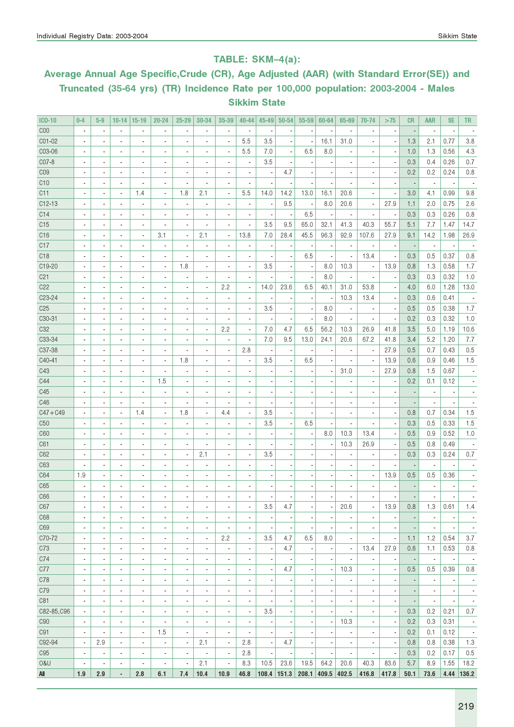### TABLE: SKM–4(a):

# Average Annual Age Specific,Crude (CR), Age Adjusted (AAR) (with Standard Error(SE)) and Truncated (35-64 yrs) (TR) Incidence Rate per 100,000 population: 2003-2004 - Males Sikkim State

| <b>ICD-10</b>   | $0 - 4$                                              | $5-9$                                                | $10 - 14$                                            | $15 - 19$                                            | $20 - 24$                                  | $25 - 29$                                            | 30-34                                                | 35-39                                                | 40-44                                      | $45 - 49$                | $50 - 54$             | 55-59                         | 60-64                    | 65-69                            | 70-74                            | >75                                                  | <b>CR</b>      | <b>AAR</b>                      | <b>SE</b>                        | <b>TR</b>                       |
|-----------------|------------------------------------------------------|------------------------------------------------------|------------------------------------------------------|------------------------------------------------------|--------------------------------------------|------------------------------------------------------|------------------------------------------------------|------------------------------------------------------|--------------------------------------------|--------------------------|-----------------------|-------------------------------|--------------------------|----------------------------------|----------------------------------|------------------------------------------------------|----------------|---------------------------------|----------------------------------|---------------------------------|
| COO             | $\overline{\phantom{a}}$                             | $\overline{\phantom{a}}$                             | $\overline{\phantom{a}}$                             | $\overline{\phantom{a}}$                             | $\overline{\phantom{a}}$                   | $\overline{\phantom{m}}$                             |                                                      | $\overline{\phantom{a}}$                             | $\overline{\phantom{a}}$                   |                          |                       |                               |                          | $\overline{\phantom{a}}$         | $\overline{\phantom{a}}$         |                                                      |                | $\overline{\phantom{a}}$        |                                  |                                 |
| CO1-02          |                                                      | $\overline{\phantom{a}}$                             | $\overline{\phantom{a}}$                             | ٠                                                    | $\overline{a}$                             | ٠                                                    |                                                      | ä,                                                   | 5.5                                        | 3.5                      |                       |                               | 16.1                     | 31.0                             |                                  |                                                      | 1.3            | 2.1                             | 0.77                             | 3.8                             |
| C03-06          | $\blacksquare$                                       | $\overline{\phantom{a}}$                             | $\blacksquare$                                       | $\blacksquare$                                       | $\blacksquare$                             | $\overline{a}$                                       | $\blacksquare$                                       | ä,                                                   | 5.5                                        | 7.0                      |                       | 6.5                           | 8.0                      | $\blacksquare$                   |                                  | $\overline{\phantom{a}}$                             | 1.0            | 1.3                             | 0.56                             | 4.3                             |
| C07-8           | $\blacksquare$                                       | $\overline{\phantom{a}}$                             | $\blacksquare$                                       | $\blacksquare$                                       | $\overline{a}$                             | ٠                                                    |                                                      | ٠                                                    | $\overline{\phantom{a}}$                   | 3.5                      |                       |                               |                          |                                  |                                  |                                                      | 0.3            | 0.4                             | 0.26                             | 0.7                             |
| C <sub>09</sub> | $\blacksquare$                                       | $\overline{\phantom{a}}$                             | $\blacksquare$                                       | $\blacksquare$                                       | $\blacksquare$                             | ä,                                                   | $\sim$                                               | ٠                                                    |                                            |                          | 4.7                   |                               |                          |                                  |                                  |                                                      | 0.2            | 0.2                             | 0.24                             | 0.8                             |
| C10             | $\overline{a}$                                       | $\overline{\phantom{a}}$                             | $\overline{\phantom{a}}$                             | ٠                                                    | $\overline{a}$                             | $\overline{\phantom{a}}$                             | $\sim$                                               | ٠                                                    | $\blacksquare$                             |                          |                       |                               |                          |                                  |                                  | $\overline{\phantom{a}}$                             |                | $\blacksquare$                  |                                  |                                 |
| C11             | $\overline{\phantom{a}}$                             | $\overline{a}$                                       | $\overline{a}$                                       | 1.4                                                  | $\overline{a}$                             | 1.8                                                  | 2.1                                                  | ä,                                                   | 5.5                                        | 14.0                     | 14.2                  | 13.0                          | 16.1                     | 20.6                             | ٠                                | ٠.                                                   | 3.0            | 4.1                             | 0.99                             | 9.8                             |
| $C12-13$        | $\overline{a}$                                       | ÷.                                                   | $\overline{\phantom{a}}$                             | ٠                                                    | $\overline{a}$                             | $\overline{a}$                                       | $\overline{\phantom{a}}$                             | $\overline{\phantom{a}}$                             | $\overline{a}$                             |                          | 9.5                   | ÷,                            | 8.0                      | 20.6                             | $\blacksquare$                   | 27.9                                                 | 1.1            | 2.0                             | 0.75                             | 2.6                             |
| C14             | $\overline{\phantom{a}}$                             | $\overline{a}$                                       | $\overline{a}$                                       | $\overline{a}$                                       |                                            |                                                      |                                                      | $\overline{\phantom{a}}$                             | $\overline{a}$                             |                          | $\overline{a}$        | 6.5                           | ä,                       | $\overline{\phantom{a}}$         | $\blacksquare$                   | $\overline{\phantom{a}}$                             | 0.3            | 0.3                             | 0.26                             | 0.8                             |
| C15             | $\overline{\phantom{a}}$                             | ä,                                                   | ä,                                                   | $\blacksquare$                                       | $\overline{a}$                             | $\overline{\phantom{a}}$                             |                                                      | $\overline{\phantom{a}}$                             | $\overline{a}$                             | 3.5                      | 9.5                   | 65.0                          | 32.1                     | 41.3                             | 40.3                             | 55.7                                                 | 5.1            | 7.7                             | 1.47                             | 14.7                            |
| C16             | $\overline{\phantom{a}}$                             | ä,                                                   | ä,                                                   | $\overline{\phantom{a}}$                             | 3.1                                        | ÷,                                                   | 2.1                                                  | ÷,                                                   | 13.8                                       | 7.0                      | 28.4                  | 45.5                          | 96.3                     | 92.9                             | 107.6                            | 27.9                                                 | 9.1            | 14.2                            | 1.98                             | 26.9                            |
| C17             | $\overline{a}$                                       | $\overline{a}$                                       | $\overline{\phantom{a}}$                             | ٠                                                    | $\overline{\phantom{a}}$                   |                                                      | $\blacksquare$                                       | ä,                                                   | $\blacksquare$                             |                          |                       |                               |                          | $\overline{\phantom{a}}$         | $\overline{\phantom{a}}$         |                                                      |                | $\overline{\phantom{a}}$        |                                  |                                 |
| C <sub>18</sub> |                                                      |                                                      | $\overline{\phantom{a}}$                             | $\blacksquare$                                       |                                            | Ĭ.                                                   |                                                      | ä,                                                   |                                            |                          |                       | 6.5                           |                          | ÷,                               | 13.4                             |                                                      | 0.3            | 0.5                             | 0.37                             | 0.8                             |
| C19-20          |                                                      |                                                      |                                                      | $\overline{\phantom{a}}$                             | $\overline{a}$                             | 1.8                                                  |                                                      | ä,                                                   |                                            | 3.5                      |                       |                               | 8.0                      | 10.3                             | $\overline{\phantom{a}}$         | 13.9                                                 | 0.8            | 1.3                             | 0.58                             | 1.7                             |
| C <sub>21</sub> |                                                      |                                                      |                                                      | $\blacksquare$                                       |                                            | Ĭ.                                                   |                                                      | ä,                                                   |                                            |                          |                       |                               | 8.0                      | $\overline{\phantom{a}}$         |                                  |                                                      | 0.3            | 0.3                             | 0.32                             | 1.0                             |
| C22             |                                                      |                                                      |                                                      | $\blacksquare$                                       |                                            |                                                      |                                                      | 2.2                                                  | $\overline{\phantom{a}}$                   | 14.0                     | 23.6                  | 6.5                           | 40.1                     | 31.0                             | 53.8                             |                                                      | 4.0            | 6.0                             | 1.28                             | 13.0                            |
| C23-24          |                                                      |                                                      | $\overline{\phantom{a}}$                             | $\overline{\phantom{a}}$                             |                                            |                                                      |                                                      | ä,                                                   | ä,                                         |                          |                       |                               | $\overline{\phantom{a}}$ | 10.3                             | 13.4                             |                                                      | 0.3            | 0.6                             | 0.41                             |                                 |
| C <sub>25</sub> |                                                      |                                                      | $\blacksquare$                                       | $\blacksquare$                                       |                                            |                                                      |                                                      | ٠                                                    |                                            | 3.5                      |                       |                               | 8.0                      | ä,                               | ×,                               |                                                      | 0.5            | 0.5                             | 0.38                             | 1.7                             |
| C30-31          |                                                      |                                                      | $\blacksquare$                                       | $\overline{\phantom{a}}$                             |                                            |                                                      |                                                      | ä,                                                   | ä,                                         |                          |                       |                               | 8.0                      | $\overline{\phantom{a}}$         | ÷,                               |                                                      | 0.2            | 0.3                             | 0.32                             | 1.0                             |
| C <sub>32</sub> |                                                      |                                                      | $\blacksquare$                                       | $\blacksquare$                                       |                                            |                                                      |                                                      | 2.2                                                  | ä,                                         | 7.0                      | 4.7                   | 6.5                           | 56.2                     | 10.3                             | 26.9                             | 41.8                                                 | 3.5            | 5.0                             | 1.19                             | 10.6                            |
| C33-34          |                                                      | $\blacksquare$                                       | $\blacksquare$                                       | $\qquad \qquad \blacksquare$                         | $\overline{a}$                             | $\frac{1}{2}$                                        |                                                      | $\qquad \qquad \blacksquare$                         | $\overline{\phantom{a}}$                   | 7.0                      | 9.5                   | 13.0                          | 24.1                     | 20.6                             | 67.2                             | 41.8                                                 | 3.4            | 5.2                             | 1.20                             | 7.7                             |
| C37-38          |                                                      | $\qquad \qquad \blacksquare$                         | $\blacksquare$                                       | $\overline{\phantom{a}}$                             | $\overline{a}$                             | $\frac{1}{2}$                                        |                                                      | $\qquad \qquad \blacksquare$                         | 2.8                                        |                          |                       |                               |                          | ٠                                | ÷                                | 27.9                                                 | 0.5            | 0.7                             | 0.43                             | 0.5                             |
| C40-41          |                                                      | $\qquad \qquad \blacksquare$                         | $\blacksquare$                                       | $\overline{\phantom{a}}$                             | $\overline{a}$                             | 1.8                                                  |                                                      | $\qquad \qquad \blacksquare$                         | $\overline{a}$                             | 3.5                      |                       | 6.5                           | $\overline{\phantom{a}}$ |                                  |                                  | 13.9                                                 | 0.6            | 0.9                             | 0.46                             | 1.5                             |
| C43             |                                                      | $\overline{a}$                                       | $\overline{a}$                                       | $\overline{\phantom{a}}$                             | $\overline{a}$                             | ×,                                                   |                                                      |                                                      |                                            |                          |                       |                               | ٠                        | 31.0                             | $\overline{\phantom{a}}$         | 27.9                                                 | 0.8            | 1.5                             | 0.67                             |                                 |
| C44             |                                                      | $\overline{a}$                                       | $\overline{a}$                                       | $\overline{\phantom{a}}$                             | 1.5                                        | $\overline{a}$                                       |                                                      |                                                      |                                            |                          |                       |                               |                          |                                  |                                  |                                                      | 0.2            | 0.1                             | 0.12                             |                                 |
| C45             |                                                      | $\overline{\phantom{a}}$                             | $\overline{\phantom{a}}$                             | $\overline{\phantom{a}}$                             | i,                                         | i,                                                   |                                                      |                                                      |                                            |                          |                       |                               |                          |                                  |                                  |                                                      |                | ÷,                              |                                  |                                 |
| C46             |                                                      | $\overline{\phantom{a}}$                             | $\overline{\phantom{a}}$                             | $\overline{\phantom{a}}$                             | $\overline{a}$                             | $\overline{a}$                                       |                                                      |                                                      |                                            |                          |                       |                               | $\overline{a}$           |                                  |                                  |                                                      | $\overline{a}$ | ×,                              |                                  |                                 |
| $C47 + C49$     |                                                      |                                                      |                                                      |                                                      |                                            | 1.8                                                  | $\blacksquare$                                       | 4.4                                                  |                                            | 3.5                      |                       |                               |                          |                                  |                                  |                                                      | 0.8            | 0.7                             | 0.34                             | 1.5                             |
| C50             | $\overline{\phantom{a}}$                             | $\overline{\phantom{a}}$                             | $\overline{\phantom{a}}$                             | 1.4<br>$\blacksquare$                                | $\overline{\phantom{a}}$                   |                                                      |                                                      |                                                      | $\blacksquare$                             | 3.5                      |                       | 6.5                           | $\overline{\phantom{a}}$ | $\overline{\phantom{a}}$         | $\overline{\phantom{a}}$         | $\overline{\phantom{a}}$                             | 0.3            | 0.5                             | 0.33                             | 1.5                             |
| C60             | $\overline{\phantom{a}}$                             | $\overline{\phantom{a}}$                             | $\overline{\phantom{a}}$                             |                                                      | $\overline{\phantom{a}}$                   | $\overline{a}$                                       | $\blacksquare$                                       | $\overline{\phantom{a}}$<br>$\overline{\phantom{a}}$ | $\overline{\phantom{a}}$                   |                          |                       |                               | ÷,<br>8.0                | $\overline{\phantom{a}}$<br>10.3 | $\overline{\phantom{a}}$<br>13.4 | $\overline{\phantom{a}}$                             | 0.5            | 0.9                             | 0.52                             | 1.0                             |
| C61             | $\overline{\phantom{a}}$                             | $\overline{\phantom{a}}$                             | $\overline{\phantom{a}}$                             | $\overline{\phantom{a}}$                             | $\overline{\phantom{a}}$                   | $\overline{\phantom{a}}$                             |                                                      | $\overline{\phantom{a}}$                             | $\overline{\phantom{a}}$                   |                          |                       |                               | ÷,                       | 10.3                             | 26.9                             | $\overline{\phantom{a}}$                             | 0.5            | 0.8                             | 0.49                             |                                 |
| C62             | $\overline{\phantom{a}}$<br>$\overline{\phantom{a}}$ | $\overline{\phantom{a}}$<br>$\overline{\phantom{a}}$ | $\overline{\phantom{a}}$<br>$\blacksquare$           | $\overline{\phantom{a}}$<br>$\blacksquare$           | $\overline{\phantom{a}}$<br>$\blacksquare$ | $\overline{\phantom{a}}$<br>ä,                       |                                                      | $\overline{\phantom{a}}$                             | $\overline{\phantom{a}}$<br>$\blacksquare$ | 3.5                      |                       |                               | ä,                       | ÷,                               | $\blacksquare$                   | $\overline{\phantom{a}}$<br>$\blacksquare$           | 0.3            | 0.3                             | 0.24                             | 0.7                             |
| C63             | $\blacksquare$                                       | $\overline{\phantom{a}}$                             | $\blacksquare$                                       | ٠                                                    | $\blacksquare$                             | $\overline{\phantom{a}}$                             | 2.1                                                  | $\overline{\phantom{a}}$                             | $\blacksquare$                             |                          |                       |                               | $\overline{a}$           | $\blacksquare$                   | ٠                                | $\blacksquare$                                       |                | $\overline{a}$                  |                                  |                                 |
| C64             |                                                      | $\blacksquare$                                       |                                                      | $\blacksquare$                                       | $\blacksquare$                             | $\overline{\phantom{a}}$                             |                                                      | $\overline{\phantom{a}}$                             | $\blacksquare$                             |                          |                       |                               | ä,                       | $\blacksquare$                   | $\blacksquare$                   |                                                      | 0.5            | 0.5                             | 0.36                             |                                 |
| C65             | 1.9                                                  | $\overline{\phantom{a}}$                             | $\overline{\phantom{a}}$<br>$\overline{\phantom{a}}$ | $\overline{\phantom{a}}$                             | $\overline{a}$                             | $\overline{\phantom{a}}$                             |                                                      |                                                      | $\overline{\phantom{a}}$                   |                          |                       |                               | $\overline{a}$           | $\overline{\phantom{a}}$         |                                  | 13.9                                                 |                | $\overline{a}$                  |                                  |                                 |
| C66             | $\overline{a}$                                       |                                                      |                                                      |                                                      |                                            |                                                      |                                                      | $\blacksquare$                                       |                                            |                          |                       |                               | $\overline{a}$           |                                  |                                  |                                                      |                | $\overline{a}$                  |                                  |                                 |
| C67             |                                                      |                                                      |                                                      |                                                      |                                            |                                                      | $\overline{\phantom{a}}$                             |                                                      | $\overline{\phantom{a}}$                   | 3.5                      |                       | $\overline{\phantom{a}}$      | ٠                        | 20.6                             |                                  | 13.9                                                 | 0.8            | 1.3                             | 0.61                             |                                 |
| C68             | $\overline{\phantom{a}}$<br>$\blacksquare$           | $\overline{\phantom{a}}$<br>$\overline{\phantom{a}}$ | $\overline{\phantom{a}}$<br>$\overline{\phantom{a}}$ | $\overline{\phantom{a}}$<br>٠                        | $\overline{\phantom{a}}$<br>$\blacksquare$ | $\overline{\phantom{a}}$<br>$\overline{\phantom{a}}$ | $\blacksquare$                                       | $\overline{\phantom{a}}$<br>$\blacksquare$           | $\blacksquare$                             |                          | 4.7                   |                               | $\overline{\phantom{a}}$ | $\overline{a}$                   | $\overline{\phantom{a}}$<br>٠    | $\blacksquare$                                       |                | $\overline{\phantom{a}}$        | $\overline{a}$                   | 1.4<br>$\overline{\phantom{a}}$ |
|                 | $\blacksquare$                                       |                                                      |                                                      |                                                      |                                            |                                                      |                                                      |                                                      |                                            |                          |                       |                               | ä,                       |                                  |                                  |                                                      |                |                                 |                                  |                                 |
| C69<br>C70-72   | $\overline{\phantom{a}}$                             | $\overline{\phantom{a}}$<br>$\overline{\phantom{a}}$ | $\overline{\phantom{a}}$<br>$\overline{\phantom{a}}$ | $\overline{\phantom{a}}$<br>$\overline{\phantom{a}}$ | $\frac{1}{2}$<br>$\frac{1}{2}$             | $\overline{\phantom{a}}$<br>$\overline{\phantom{a}}$ | $\overline{\phantom{a}}$<br>$\overline{\phantom{a}}$ | ÷,<br>2.2                                            | $\blacksquare$<br>$\overline{\phantom{a}}$ | 3.5                      | $\overline{a}$<br>4.7 | ÷,<br>6.5                     | 8.0                      | $\blacksquare$<br>$\blacksquare$ | ٠<br>÷,                          | $\overline{\phantom{a}}$<br>$\overline{\phantom{a}}$ | 1.1            | $\overline{\phantom{a}}$<br>1.2 | $\overline{\phantom{a}}$<br>0.54 | $\overline{\phantom{a}}$<br>3.7 |
| C73             | $\overline{\phantom{a}}$                             | $\blacksquare$                                       | $\overline{\phantom{a}}$                             |                                                      | $\frac{1}{2}$                              | ÷,                                                   |                                                      | ÷,                                                   | $\overline{\phantom{a}}$                   |                          | 4.7                   | ÷,                            | $\overline{\phantom{a}}$ | $\overline{\phantom{a}}$         | 13.4                             | 27.9                                                 | 0.6            | 1.1                             | 0.53                             | 0.8                             |
|                 |                                                      |                                                      |                                                      | $\overline{\phantom{a}}$                             |                                            |                                                      | $\overline{\phantom{a}}$                             |                                                      | ä,                                         |                          |                       |                               |                          |                                  |                                  |                                                      |                |                                 |                                  |                                 |
| C74             | $\overline{\phantom{a}}$                             | ÷,                                                   | $\overline{\phantom{a}}$                             | $\overline{\phantom{a}}$                             | $\overline{\phantom{a}}$                   | $\overline{a}$                                       | $\blacksquare$                                       | ÷,                                                   |                                            |                          |                       |                               |                          | ÷,                               | ÷,                               | ÷,                                                   |                | $\overline{\phantom{a}}$        | $\overline{\phantom{a}}$         | $\sim$                          |
| C77             | $\overline{\phantom{a}}$                             | ÷,                                                   | $\overline{\phantom{a}}$                             | $\overline{\phantom{a}}$                             | $\frac{1}{2}$                              | ÷,                                                   | $\blacksquare$                                       | ÷,                                                   | $\blacksquare$                             |                          | 4.7                   | ÷,                            | $\frac{1}{2}$            | 10.3                             | $\blacksquare$                   | ÷,                                                   | 0.5            | 0.5                             | 0.39                             | 0.8                             |
| C78             | $\overline{\phantom{a}}$                             | $\overline{\phantom{a}}$                             | $\overline{\phantom{a}}$                             | $\overline{\phantom{a}}$                             | $\frac{1}{2}$                              | ÷,                                                   | $\blacksquare$                                       | ÷,                                                   | $\blacksquare$                             |                          |                       | ×,                            |                          |                                  | ÷,                               | $\overline{\phantom{a}}$                             |                | $\overline{\phantom{a}}$        | ÷,<br>ä,                         | $\overline{\phantom{a}}$        |
| C79             | $\overline{\phantom{a}}$                             | ÷,                                                   | $\overline{\phantom{a}}$                             | $\overline{\phantom{a}}$                             | $\overline{\phantom{a}}$                   | ÷,                                                   | $\blacksquare$                                       | ÷,                                                   | $\blacksquare$                             |                          |                       |                               |                          |                                  | $\overline{\phantom{a}}$         | $\overline{a}$                                       |                | $\blacksquare$                  |                                  | $\overline{\phantom{a}}$        |
| C81             |                                                      | $\overline{\phantom{a}}$                             | $\overline{\phantom{a}}$                             | ÷,                                                   | $\overline{\phantom{a}}$                   | ÷,                                                   | $\blacksquare$                                       | ÷,                                                   | $\overline{\phantom{a}}$                   |                          |                       |                               |                          |                                  | ä,                               | $\overline{\phantom{a}}$                             |                | $\blacksquare$                  |                                  | $\overline{\phantom{a}}$        |
| C82-85, C96     | $\overline{\phantom{a}}$                             | ÷,                                                   | $\blacksquare$                                       | $\blacksquare$                                       | $\overline{\phantom{a}}$                   | ä,                                                   | $\blacksquare$                                       | ÷,                                                   | $\overline{a}$                             | 3.5                      |                       |                               |                          |                                  | $\blacksquare$                   | ÷,                                                   | 0.3            | 0.2                             | 0.21                             | 0.7                             |
| <b>C90</b>      | $\overline{\phantom{a}}$                             | ÷,                                                   | $\overline{\phantom{a}}$                             | $\blacksquare$                                       | $\overline{a}$                             | ä,                                                   |                                                      | ÷,                                                   |                                            |                          |                       |                               | ÷,                       | 10.3                             | $\overline{\phantom{a}}$         | $\overline{\phantom{a}}$                             | 0.2            | 0.3                             | 0.31                             | $\overline{\phantom{a}}$        |
| C91             | $\blacksquare$                                       | ÷,                                                   | ÷,                                                   | $\overline{\phantom{a}}$                             | 1.5                                        | $\overline{\phantom{a}}$                             | $\overline{\phantom{a}}$                             | $\blacksquare$                                       |                                            |                          |                       |                               |                          |                                  | ×,                               |                                                      | 0.2            | 0.1                             | 0.12                             | $\overline{\phantom{a}}$        |
| C92-94          | ÷,                                                   | 2.9                                                  | $\overline{\phantom{a}}$                             | $\overline{\phantom{a}}$                             | $\overline{\phantom{a}}$                   | $\frac{1}{2}$                                        | 2.1                                                  | $\overline{\phantom{a}}$                             | 2.8                                        | ×                        | 4.7                   |                               |                          | $\qquad \qquad \blacksquare$     | ٠                                | $\overline{\phantom{a}}$                             | 0.8            | 0.8                             | 0.38                             | 1.3                             |
| C <sub>95</sub> | $\blacksquare$                                       | $\overline{\phantom{a}}$                             | $\overline{\phantom{a}}$                             | $\overline{\phantom{a}}$                             | $\overline{\phantom{a}}$                   | $\overline{\phantom{a}}$                             | ÷,                                                   | $\overline{\phantom{a}}$                             | 2.8                                        | $\overline{\phantom{a}}$ |                       |                               |                          | ÷,                               | $\blacksquare$                   | $\overline{\phantom{a}}$                             | 0.3            | 0.2                             | 0.17                             | 0.5                             |
| 0&U             | Ĭ.                                                   | $\overline{\phantom{a}}$<br>2.9                      | ÷.<br>ä,                                             | $\overline{\phantom{a}}$                             | $\overline{\phantom{a}}$                   | ÷<br>7.4                                             | 2.1                                                  | $\overline{\phantom{a}}$                             | 8.3                                        | 10.5                     | 23.6                  | 19.5                          | 64.2                     | 20.6                             | 40.3                             | 83.6                                                 | 5.7            | 8.9                             | 1.55                             | 18.2                            |
| All             | 1.9                                                  |                                                      |                                                      | 2.8                                                  | 6.1                                        |                                                      | 10.4                                                 | 10.9                                                 | 46.8                                       |                          |                       | 108.4 151.3 208.1 409.5 402.5 |                          |                                  | 416.8                            | 417.8                                                | 50.1           | 73.6                            |                                  | $4.44$   136.2                  |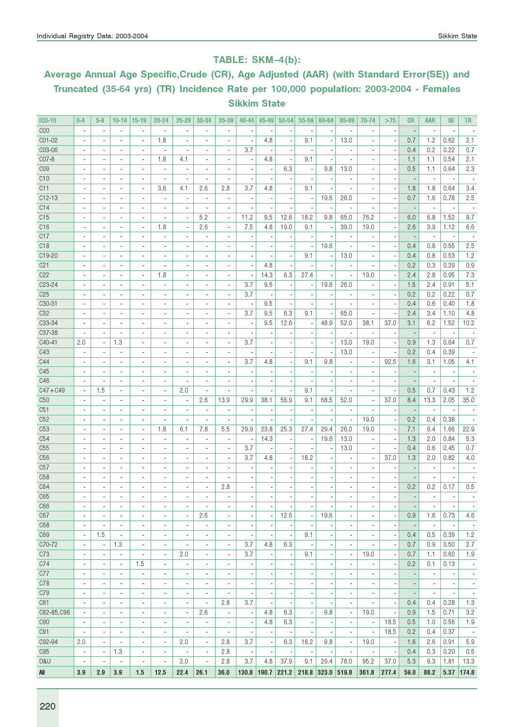### TABLE: SKM–4(b):

# Average Annual Age Specific,Crude (CR), Age Adjusted (AAR) (with Standard Error(SE)) and Truncated (35-64 yrs) (TR) Incidence Rate per 100,000 population: 2003-2004 - Females Sikkim State

| <b>ICD-10</b>   | $0 - 4$                  | $5-9$                    | $10 - 14$                | 15-19                    | $20 - 24$                | $25 - 29$                | 30-34                        | 35-39                        | $40 - 44$                | $45 - 49$                | 50-54                    | 55-59                    | 60-64                    | 65-69                        | 70-74                        | >75                      | <b>CR</b>                    | <b>AAR</b>                   | <b>SE</b>                | TR.                      |
|-----------------|--------------------------|--------------------------|--------------------------|--------------------------|--------------------------|--------------------------|------------------------------|------------------------------|--------------------------|--------------------------|--------------------------|--------------------------|--------------------------|------------------------------|------------------------------|--------------------------|------------------------------|------------------------------|--------------------------|--------------------------|
| C <sub>00</sub> |                          | $\overline{\phantom{a}}$ | $\overline{\phantom{a}}$ |                          | $\overline{\phantom{a}}$ |                          | ٠                            | ٠                            |                          |                          |                          |                          |                          |                              | ٠                            |                          |                              | ÷,                           |                          |                          |
| C01-02          |                          |                          | $\blacksquare$           | $\overline{a}$           | 1.8                      |                          | ٠                            | ä,                           |                          | 4.8                      |                          | 9.1                      |                          | 13.0                         | $\overline{\phantom{a}}$     |                          | 0.7                          | 1.2                          | 0.62                     | 2.1                      |
| C03-06          | $\overline{\phantom{a}}$ | $\blacksquare$           | $\overline{\phantom{a}}$ | $\overline{\phantom{a}}$ | $\blacksquare$           | ä,                       | $\overline{\phantom{a}}$     | $\overline{\phantom{a}}$     | 3.7                      |                          | ä,                       | Ĭ.                       |                          | ÷,                           | ٠                            | ×,                       | 0.4                          | 0.2                          | 0.22                     | 0.7                      |
| CO7-8           | $\overline{\phantom{a}}$ | $\blacksquare$           | $\blacksquare$           | $\blacksquare$           | 1.8                      | 4.1                      | $\overline{\phantom{a}}$     | $\overline{\phantom{a}}$     | $\overline{\phantom{a}}$ | 4.8                      | ä,                       | 9.1                      |                          | $\overline{a}$               | ä,                           | $\overline{\phantom{a}}$ | 1.1                          | 1.1                          | 0.54                     | 2.1                      |
| C <sub>09</sub> |                          | $\frac{1}{2}$            | $\overline{\phantom{a}}$ | $\overline{\phantom{a}}$ | ×,                       | ×,                       | ٠                            | $\qquad \qquad \blacksquare$ | $\overline{a}$           |                          | 6.3                      | ÷                        | 9.8                      | 13.0                         | ٠                            | ×,                       | 0.5                          | 1.1                          | 0.64                     | 2.3                      |
| C10             |                          |                          | $\overline{\phantom{a}}$ |                          |                          | ÷,                       |                              | Ĩ.                           |                          |                          |                          | ł,                       |                          |                              |                              |                          |                              |                              |                          |                          |
| C11             |                          | $\overline{\phantom{a}}$ | $\overline{\phantom{a}}$ | $\overline{a}$           | 3.6                      | 4.1                      | 2.6                          | 2.8                          | 3.7                      | 4.8                      |                          | 9.1                      |                          |                              | $\overline{\phantom{a}}$     | $\overline{\phantom{a}}$ | 1.8                          | 1.8                          | 0.64                     | 3.4                      |
| $C12-13$        |                          | $\overline{a}$           | $\blacksquare$           | $\overline{\phantom{a}}$ | $\overline{\phantom{a}}$ | ×,                       | $\overline{\phantom{a}}$     | $\overline{\phantom{a}}$     |                          |                          |                          | $\overline{\phantom{a}}$ | 19.6                     | 26.0                         |                              |                          | 0.7                          | 1.6                          | 0.78                     | 2.5                      |
| C14             |                          | $\blacksquare$           | $\overline{\phantom{a}}$ | $\blacksquare$           |                          | $\overline{a}$           | ٠                            | ÷                            |                          |                          |                          |                          |                          |                              |                              |                          |                              | $\blacksquare$               |                          |                          |
| C15             | $\overline{\phantom{a}}$ | $\blacksquare$           | $\overline{\phantom{a}}$ | $\blacksquare$           | $\blacksquare$           | $\blacksquare$           | 5.2                          | $\overline{\phantom{a}}$     | 11.2                     | 9.5                      | 12.6                     | 18.2                     | 9.8                      | 65.0                         | 76.2                         | ×,                       | 6.0                          | 6.8                          | 1.52                     | 9.7                      |
| C16             | ٠                        | $\blacksquare$           | $\blacksquare$           | $\blacksquare$           | 1.8                      | $\blacksquare$           | 2.6                          | $\overline{\phantom{a}}$     | 7.5                      | 4.8                      | 19.0                     | 9.1                      |                          | 39.0                         | 19.0                         | $\overline{\phantom{a}}$ | 2.6                          | 3.9                          | 1.12                     | 6.6                      |
| C17             |                          | $\frac{1}{2}$            | $\overline{\phantom{a}}$ | $\overline{\phantom{a}}$ | $\frac{1}{2}$            |                          | ٠                            | $\qquad \qquad \blacksquare$ |                          |                          |                          |                          |                          | ٠                            | ٠                            |                          | $\overline{\phantom{a}}$     | $\overline{\phantom{a}}$     | $\overline{\phantom{a}}$ |                          |
| C <sub>18</sub> |                          |                          | $\overline{a}$           |                          |                          |                          |                              | ÷,                           |                          |                          |                          | ÷,                       | 19.6                     |                              |                              |                          | 0.4                          | 0.8                          | 0.55                     | 2.5                      |
| C19-20          |                          |                          | $\overline{\phantom{a}}$ | $\overline{\phantom{a}}$ | $\blacksquare$           |                          | $\blacksquare$               | ÷,                           |                          |                          |                          | 9.1                      |                          | 13.0                         | $\overline{\phantom{a}}$     |                          | 0.4                          | 0.8                          | 0.53                     | 1.2                      |
| C21             |                          | $\blacksquare$           | $\blacksquare$           | $\overline{\phantom{a}}$ | $\overline{\phantom{a}}$ |                          | $\blacksquare$               | ÷,                           |                          | 4.8                      |                          |                          |                          | $\overline{\phantom{a}}$     |                              |                          | 0.2                          | 0.3                          | 0.29                     | 0.9                      |
| C22             |                          |                          | $\blacksquare$           | $\blacksquare$           | 1.8                      |                          | $\blacksquare$               |                              |                          | 14.3                     | 6.3                      | 27.4                     |                          | ÷,                           | 19.0                         |                          | 2.4                          | 2.8                          | 0.95                     | 7.3                      |
| C23-24          |                          | $\overline{\phantom{a}}$ | $\blacksquare$           | ä,                       | ä,                       |                          | ä,                           | ä,                           | 3.7                      | 9.5                      |                          | ÷,                       | 19.6                     | 26.0                         |                              |                          | 1.5                          | 2.4                          | 0.91                     | 5.1                      |
| C <sub>25</sub> | $\blacksquare$           | $\blacksquare$           | $\overline{\phantom{a}}$ | $\blacksquare$           | $\blacksquare$           | $\blacksquare$           | $\blacksquare$               | $\overline{\phantom{a}}$     | 3.7                      |                          |                          | $\overline{\phantom{a}}$ |                          | $\blacksquare$               | ٠                            | ÷                        | 0.2                          | 0.2                          | 0.22                     | 0.7                      |
| $C30-31$        |                          | $\overline{\phantom{a}}$ | $\overline{\phantom{a}}$ | $\overline{\phantom{a}}$ | $\blacksquare$           |                          | $\qquad \qquad \blacksquare$ | ÷,                           | $\overline{a}$           | 9.5                      |                          | $\overline{a}$           |                          |                              | $\overline{\phantom{a}}$     | ×,                       | 0.4                          | 0.6                          | 0.40                     | 1.8                      |
| C32             |                          |                          | $\overline{\phantom{a}}$ | $\overline{a}$           | $\overline{a}$           |                          | ÷,                           | ä,                           | 3.7                      | 9.5                      | 6.3                      | 9.1                      |                          | 65.0                         |                              |                          | 2.4                          | 3.4                          | 1.10                     | 4.8                      |
| C33-34          | $\overline{a}$           | $\overline{a}$           | $\overline{\phantom{a}}$ | $\overline{\phantom{a}}$ | $\overline{\phantom{a}}$ | ٠                        | ٠                            | $\overline{\phantom{a}}$     | $\blacksquare$           | 9.5                      | 12.6                     | $\overline{\phantom{a}}$ | 48.9                     | 52.0                         | 38.1                         | 37.0                     | 3.1                          | 6.2                          | 1.52                     | 10.2                     |
| C37-38          |                          |                          | $\blacksquare$           | $\overline{\phantom{a}}$ | $\overline{\phantom{a}}$ |                          | $\overline{\phantom{a}}$     | ä,                           |                          |                          |                          | $\overline{\phantom{a}}$ |                          | $\overline{\phantom{a}}$     | ٠                            |                          |                              | $\overline{\phantom{a}}$     | $\overline{\phantom{a}}$ |                          |
| C40-41          | 2.0                      | $\overline{\phantom{a}}$ | 1.3                      | $\overline{\phantom{a}}$ | $\blacksquare$           |                          | ٠                            | $\blacksquare$               | 3.7                      |                          |                          | $\overline{\phantom{a}}$ |                          | 13.0                         | 19.0                         | ÷                        | 0.9                          | 1.3                          | 0.64                     | 0.7                      |
| C43             |                          | $\blacksquare$           | $\overline{\phantom{a}}$ | $\blacksquare$           | $\blacksquare$           |                          |                              | $\overline{\phantom{a}}$     |                          |                          |                          | ÷,                       |                          | 13.0                         | $\overline{\phantom{a}}$     |                          | 0.2                          | 0.4                          | 0.39                     |                          |
| C44             | $\blacksquare$           | $\blacksquare$           | $\overline{\phantom{a}}$ | $\blacksquare$           | $\blacksquare$           | $\blacksquare$           | $\blacksquare$               | ٠                            | 3.7                      | 4.8                      |                          | 9.1                      | 9.8                      | $\blacksquare$               | $\overline{\phantom{a}}$     | 92.5                     | 1.6                          | 3.1                          | 1.05                     | 4.1                      |
| C45             | ٠                        | $\overline{\phantom{a}}$ | $\overline{\phantom{a}}$ | $\overline{\phantom{a}}$ | $\blacksquare$           |                          | $\blacksquare$               | ÷,                           | $\overline{\phantom{a}}$ |                          | ٠                        | $\overline{\phantom{a}}$ |                          | $\overline{\phantom{a}}$     | $\overline{\phantom{a}}$     | ÷                        |                              | $\overline{\phantom{a}}$     | $\overline{\phantom{a}}$ |                          |
| C46             |                          | $\overline{a}$           | $\blacksquare$           | $\overline{a}$           |                          | ÷,                       |                              | ä,                           |                          |                          |                          |                          |                          |                              |                              |                          |                              |                              |                          |                          |
| $C47 + C49$     | $\blacksquare$           | 1.5                      | $\overline{\phantom{a}}$ | $\overline{\phantom{a}}$ | $\blacksquare$           | 2.0                      | ä,                           | ä,                           |                          |                          |                          | 9.1                      |                          | ÷,                           | $\overline{a}$               | ×,                       | 0.5                          | 0.7                          | 0.43                     | 1.2                      |
| C50             |                          | $\blacksquare$           | $\blacksquare$           | $\overline{\phantom{a}}$ | $\overline{\phantom{a}}$ | $\overline{a}$           | 2.6                          | 13.9                         | 29.9                     | 38.1                     | 56.9                     | 9.1                      | 68.5                     | 52.0                         | $\overline{\phantom{a}}$     | 37.0                     | 8.4                          | 13.3                         | 2.05                     | 35.0                     |
| C51             |                          |                          | $\blacksquare$           | $\blacksquare$           |                          | ٠                        | ٠                            | ٠                            |                          |                          |                          | ÷                        |                          | $\blacksquare$               |                              |                          |                              | $\overline{\phantom{a}}$     |                          |                          |
| C52             | $\blacksquare$           |                          | $\blacksquare$           | $\overline{\phantom{a}}$ | $\overline{\phantom{a}}$ | Ĭ.                       |                              | ä,                           |                          |                          |                          | ÷,                       |                          | $\overline{\phantom{a}}$     | 19.0                         |                          | 0.2                          | 0.4                          | 0.38                     |                          |
| C <sub>53</sub> | ٠                        | $\blacksquare$           | $\overline{\phantom{a}}$ | $\overline{\phantom{a}}$ | 1.8                      | 6.1                      | 7.8                          | 5.5                          | 29.9                     | 23.8                     | 25.3                     | 27.4                     | 29.4                     | 26.0                         | 19.0                         | $\overline{\phantom{a}}$ | 7.1                          | 9.4                          | 1.66                     | 22.9                     |
| C54             | $\blacksquare$           | $\blacksquare$           | $\overline{\phantom{a}}$ | $\overline{\phantom{a}}$ | $\overline{\phantom{a}}$ | ×,                       | $\overline{\phantom{a}}$     | $\blacksquare$               | ×,                       | 14.3                     |                          | $\overline{\phantom{a}}$ | 19.6                     | 13.0                         | $\overline{\phantom{a}}$     | ×,                       | 1.3                          | 2.0                          | 0.84                     | 5.3                      |
| C55             |                          |                          | $\blacksquare$           | ٠                        |                          |                          |                              | $\overline{\phantom{a}}$     | 3.7                      |                          |                          | ł,                       |                          | 13.0                         |                              |                          | 0.4                          | 0.6                          | 0.45                     | 0.7                      |
| C56             |                          | $\overline{a}$           | $\blacksquare$           | $\overline{\phantom{a}}$ | $\overline{\phantom{a}}$ | ٠                        | $\overline{\phantom{a}}$     | $\overline{\phantom{a}}$     | 3.7                      | 4.8                      |                          | 18.2                     |                          | ×,                           | $\overline{\phantom{a}}$     | 37.0                     | 1.3                          | 2.0                          | 0.82                     | 4.0                      |
| C57             |                          | $\overline{a}$           | $\blacksquare$           | $\overline{a}$           | $\overline{a}$           | $\overline{a}$           | ÷,                           | ÷,                           |                          |                          |                          | ł,                       |                          | $\overline{a}$               |                              |                          |                              | $\overline{\phantom{a}}$     | $\blacksquare$           |                          |
| C58             |                          |                          | $\overline{\phantom{m}}$ |                          | $\overline{a}$           |                          |                              |                              |                          |                          |                          |                          |                          |                              |                              |                          |                              |                              |                          |                          |
| C64             |                          |                          | $\overline{\phantom{a}}$ | $\overline{\phantom{a}}$ |                          |                          |                              | 2.8                          |                          |                          |                          |                          |                          |                              |                              |                          | 0.2                          | 0.2                          | 0.17                     | 0.5                      |
| C65             | ٠                        |                          | $\overline{a}$           | ۰                        |                          | $\overline{a}$           |                              | ÷.                           |                          |                          |                          |                          |                          | ٠                            |                              |                          | ÷,                           |                              | $\blacksquare$           |                          |
| C66             | $\overline{\phantom{a}}$ | $\overline{\phantom{a}}$ | $\overline{\phantom{a}}$ | $\overline{\phantom{a}}$ | $\overline{\phantom{a}}$ | $\overline{\phantom{a}}$ | $\overline{\phantom{a}}$     | $\overline{\phantom{a}}$     | $\overline{\phantom{a}}$ | $\overline{\phantom{a}}$ | $\overline{\phantom{a}}$ | $\overline{\phantom{a}}$ | $\overline{\phantom{a}}$ | $\overline{\phantom{a}}$     | $\overline{\phantom{a}}$     | $\blacksquare$           | $\overline{\phantom{a}}$     | $\overline{\phantom{a}}$     | $\overline{\phantom{a}}$ | $\overline{\phantom{a}}$ |
| C67             | $\overline{\phantom{a}}$ | $\overline{\phantom{a}}$ | $\overline{\phantom{a}}$ | $\overline{\phantom{a}}$ | $\overline{\phantom{a}}$ | $\overline{\phantom{a}}$ | 2.6                          | $\blacksquare$               | $\overline{\phantom{m}}$ | ,                        | 12.6                     | $\overline{\phantom{a}}$ | 19.6                     | $\blacksquare$               | $\qquad \qquad \blacksquare$ | ł,                       | 0.9                          | 1.6                          | 0.73                     | 4.6                      |
| C68             | $\overline{\phantom{a}}$ | $\blacksquare$           | $\overline{\phantom{a}}$ | $\overline{\phantom{a}}$ | $\overline{\phantom{a}}$ | $\overline{\phantom{a}}$ | $\overline{\phantom{a}}$     | $\overline{\phantom{a}}$     |                          |                          |                          | $\overline{\phantom{a}}$ |                          | $\blacksquare$               | $\blacksquare$               | ×,                       | $\overline{\phantom{a}}$     | $\overline{\phantom{a}}$     | $\overline{\phantom{a}}$ | $\sim$                   |
| C69             | $\overline{\phantom{a}}$ | 1.5                      | $\overline{\phantom{a}}$ | $\blacksquare$           | $\blacksquare$           | $\blacksquare$           | ٠                            | $\overline{\phantom{a}}$     | $\overline{\phantom{a}}$ | $\overline{\phantom{a}}$ | ×,                       | 9.1                      | $\blacksquare$           | $\blacksquare$               | $\overline{\phantom{a}}$     | $\overline{\phantom{a}}$ | 0.4                          | 0.5                          | 0.39                     | 1.2                      |
| C70-72          | ٠                        | $\overline{\phantom{a}}$ | 1.3                      | $\frac{1}{2}$            | $\overline{\phantom{a}}$ | $\overline{a}$           | $\overline{\phantom{a}}$     | $\overline{\phantom{a}}$     | 3.7                      | 4.8                      | 6.3                      | $\overline{\phantom{a}}$ |                          | $\overline{\phantom{a}}$     |                              | ×,                       | 0.7                          | 0.9                          | 0.50                     | 2.7                      |
| C73             | ÷,                       | $\overline{\phantom{a}}$ | $\blacksquare$           | $\overline{\phantom{a}}$ | $\overline{\phantom{a}}$ | 2.0                      | $\blacksquare$               | $\blacksquare$               | 3.7                      | ×,                       |                          | 9.1                      | ×,                       | $\overline{\phantom{a}}$     | 19.0                         | $\overline{\phantom{a}}$ | 0.7                          | 1.1                          | 0.60                     | 1.9                      |
| C74             | $\overline{\phantom{a}}$ | $\overline{\phantom{a}}$ | $\overline{\phantom{a}}$ | 1.5                      | $\overline{\phantom{a}}$ | $\overline{\phantom{a}}$ | $\overline{\phantom{a}}$     | $\overline{\phantom{a}}$     | ×,                       | ×                        | ٠                        | ٠                        | $\overline{a}$           | $\overline{\phantom{a}}$     | $\overline{\phantom{a}}$     | $\overline{\phantom{a}}$ | 0.2                          | 0.1                          | 0.13                     | $\overline{\phantom{a}}$ |
| C77             | $\overline{\phantom{a}}$ | $\blacksquare$           | $\blacksquare$           | $\overline{\phantom{a}}$ | $\overline{\phantom{a}}$ | $\overline{\phantom{a}}$ | $\overline{\phantom{a}}$     | $\blacksquare$               | $\overline{\phantom{a}}$ | $\overline{\phantom{a}}$ | ÷,                       | $\overline{\phantom{a}}$ | $\overline{a}$           | ٠                            | ä,                           | $\overline{\phantom{a}}$ | $\overline{a}$               | $\overline{\phantom{a}}$     | $\overline{\phantom{a}}$ | $\overline{\phantom{a}}$ |
| C78             | $\overline{\phantom{a}}$ | $\overline{\phantom{a}}$ | $\overline{\phantom{a}}$ | $\overline{\phantom{a}}$ | $\overline{\phantom{a}}$ | $\frac{1}{2}$            | $\qquad \qquad \blacksquare$ | $\overline{\phantom{a}}$     | $\overline{\phantom{m}}$ |                          | ٠                        | $\overline{a}$           |                          | $\qquad \qquad \blacksquare$ | $\qquad \qquad \blacksquare$ | ×,                       | $\qquad \qquad \blacksquare$ | $\qquad \qquad \blacksquare$ | $\overline{\phantom{a}}$ | $\overline{\phantom{a}}$ |
| C79             | ÷,                       | $\blacksquare$           | $\blacksquare$           | ä,                       | $\overline{\phantom{a}}$ | $\overline{\phantom{a}}$ | ä,                           | ä,                           | ×,                       |                          |                          | $\overline{a}$           |                          | ÷,                           | ä,                           | ×,                       | $\overline{\phantom{a}}$     | ä,                           | $\overline{\phantom{a}}$ | $\overline{\phantom{a}}$ |
| C81             | $\blacksquare$           | $\blacksquare$           | $\overline{\phantom{a}}$ | $\overline{\phantom{a}}$ | $\overline{\phantom{a}}$ | $\overline{\phantom{a}}$ | $\overline{\phantom{a}}$     | 2.8                          | 3.7                      |                          |                          | $\overline{\phantom{a}}$ |                          | $\blacksquare$               | $\blacksquare$               | ×,                       | 0.4                          | 0.4                          | 0.28                     | 1.3                      |
| C82-85, C96     | $\blacksquare$           | $\blacksquare$           | $\blacksquare$           | $\blacksquare$           | $\blacksquare$           | $\overline{\phantom{a}}$ | 2.6                          | $\overline{\phantom{a}}$     | $\overline{\phantom{a}}$ | 4.8                      | 6.3                      | $\overline{\phantom{a}}$ | 9.8                      | $\overline{\phantom{a}}$     | 19.0                         | $\overline{\phantom{a}}$ | 0.9                          | 1.5                          | 0.71                     | 3.2                      |
| C90             |                          | $\overline{\phantom{a}}$ | $\overline{\phantom{a}}$ | $\overline{\phantom{a}}$ | $\overline{\phantom{a}}$ | $\overline{a}$           | $\overline{\phantom{a}}$     |                              | $\overline{\phantom{a}}$ | 4.8                      | 6.3                      | $\overline{\phantom{a}}$ |                          |                              | $\overline{\phantom{a}}$     | 18.5                     | 0.5                          | 1.0                          | 0.56                     | 1.9                      |
| C91             | ÷,                       | $\blacksquare$           | $\overline{\phantom{a}}$ | $\blacksquare$           | $\blacksquare$           | $\overline{\phantom{a}}$ | $\sim$                       | $\blacksquare$               | $\overline{\phantom{a}}$ | ÷,                       | $\overline{\phantom{a}}$ | $\overline{\phantom{a}}$ |                          | $\overline{\phantom{a}}$     | $\blacksquare$               | 18.5                     | 0.2                          | 0.4                          | 0.37                     | $\sim$                   |
| C92-94          | 2.0                      | $\blacksquare$           | $\overline{\phantom{a}}$ | $\overline{\phantom{a}}$ | $\overline{\phantom{a}}$ | 2.0                      | $\overline{\phantom{a}}$     | 2.8                          | 3.7                      | ×,                       | 6.3                      | 18.2                     | 9.8                      | $\overline{\phantom{a}}$     | 19.0                         | $\overline{\phantom{a}}$ | 1.6                          | 2.6                          | 0.91                     | 5.9                      |
| C95             | $\overline{\phantom{a}}$ | $\overline{\phantom{a}}$ | 1.3                      | $\overline{\phantom{a}}$ | $\overline{\phantom{a}}$ | $\overline{\phantom{a}}$ | $\overline{\phantom{a}}$     | 2.8                          | $\overline{\phantom{a}}$ | $\overline{\phantom{a}}$ | $\overline{a}$           | $\overline{\phantom{a}}$ | $\overline{\phantom{a}}$ | $\overline{\phantom{a}}$     | $\overline{\phantom{a}}$     | $\overline{\phantom{a}}$ | 0.4                          | 0.3                          | 0.20                     | 0.5                      |
| 0&U             | $\overline{\phantom{a}}$ | $\overline{\phantom{a}}$ | $\overline{a}$           | $\frac{1}{2}$            | $\overline{\phantom{a}}$ | 2.0                      | $\overline{\phantom{a}}$     | 2.8                          | 3.7                      | 4.8                      | 37.9                     | 9.1                      | 29.4                     | 78.0                         | 95.2                         | 37.0                     | 5.3                          | 9.3                          | 1.81                     | 13.3                     |
| All             | 3.9                      | 2.9                      | 3.9                      | 1.5                      | 12.5                     | 22.4                     | 26.1                         | 36.0                         | 130.8                    | 190.7                    | 221.2                    | 218.8 323.0 519.8        |                          |                              | 361.8                        | 277.4                    | 59.0                         | 88.2                         |                          | 5.37 174.8               |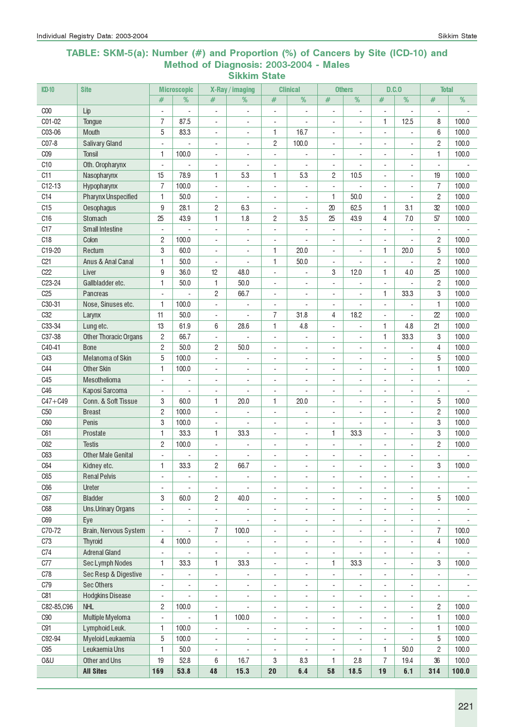#### TABLE: SKM-5(a): Number (#) and Proportion (%) of Cancers by Site (ICD-10) and Method of Diagnosis: 2003-2004 - Males Sikkim State

| ICD-10          | <b>Site</b>                             |                                            | <b>Microscopic</b>       |                                  | X-Ray / imaging                   |                                                      | <b>Clinical</b>                                      |                          | <b>Others</b>                              |                          | D.C.0                                                | <b>Total</b>                               |                          |
|-----------------|-----------------------------------------|--------------------------------------------|--------------------------|----------------------------------|-----------------------------------|------------------------------------------------------|------------------------------------------------------|--------------------------|--------------------------------------------|--------------------------|------------------------------------------------------|--------------------------------------------|--------------------------|
|                 |                                         | #                                          | %                        | #                                | %                                 | #                                                    | %                                                    | #                        | $\frac{9}{6}$                              | #                        | %                                                    | #                                          | %                        |
| C <sub>00</sub> | Lip                                     | ÷,                                         | ÷,                       | ÷,                               | ÷,                                | $\overline{a}$                                       | ä,                                                   | $\overline{a}$           | ÷,                                         | ä,                       |                                                      | ÷,                                         |                          |
| C01-02          | Tongue                                  | 7                                          | 87.5                     | $\overline{a}$                   | ä,                                | $\overline{\phantom{a}}$                             |                                                      | ÷,                       | ÷,                                         | 1                        | 12.5                                                 | 8                                          | 100.0                    |
| C03-06          | <b>Mouth</b>                            | 5                                          | 83.3                     | $\overline{a}$                   | $\overline{\phantom{a}}$          | 1                                                    | 16.7                                                 | $\overline{\phantom{a}}$ | ÷,                                         | $\overline{a}$           |                                                      | 6                                          | 100.0                    |
| C07-8           | <b>Salivary Gland</b>                   | ÷,                                         |                          | $\blacksquare$                   | $\overline{\phantom{a}}$          | $\mathbf{2}$                                         | 100.0                                                | $\blacksquare$           | ÷,                                         | ÷,                       | $\overline{\phantom{a}}$                             | $\overline{c}$                             | 100.0                    |
| C <sub>09</sub> | <b>Tonsil</b>                           | 1                                          | 100.0                    | $\overline{a}$                   | ä,                                | $\overline{a}$                                       |                                                      | $\overline{a}$           | ÷,                                         | $\blacksquare$           | $\blacksquare$                                       | 1                                          | 100.0                    |
| C <sub>10</sub> | Oth. Oropharynx                         | $\sim$                                     |                          | $\overline{a}$                   |                                   | $\overline{a}$                                       |                                                      | $\sim$                   | L.                                         | $\blacksquare$           | $\overline{\phantom{a}}$                             | $\blacksquare$                             |                          |
| C11             | Nasopharynx                             | 15                                         | 78.9                     | 1                                | 5.3                               | 1                                                    | 5.3                                                  | $\overline{c}$           | 10.5                                       | $\overline{a}$           | ÷.                                                   | 19                                         | 100.0                    |
| $C12-13$        | Hypopharynx                             | $\overline{7}$                             | 100.0                    | $\blacksquare$                   | ÷,                                | $\overline{a}$                                       |                                                      | $\overline{a}$           | L.                                         | ÷,                       |                                                      | $\overline{7}$                             | 100.0                    |
| C14             | <b>Pharynx Unspecified</b>              | 1                                          | 50.0                     | $\overline{\phantom{a}}$         |                                   | $\overline{\phantom{a}}$                             |                                                      | 1                        | 50.0                                       |                          |                                                      | $\mathbf{2}$                               | 100.0                    |
| C15             | Oesophagus                              | 9                                          | 28.1                     | $\overline{c}$                   | 6.3                               | ÷                                                    |                                                      | 20                       | 62.5                                       | 1                        | 3.1                                                  | 32                                         | 100.0                    |
| C16             | Stomach                                 | 25                                         | 43.9                     | 1                                | 1.8                               | $\overline{c}$                                       | 3.5                                                  | 25                       | 43.9                                       | 4                        | 7.0                                                  | 57                                         | 100.0                    |
| C17             | <b>Small Intestine</b>                  | $\overline{\phantom{a}}$                   | ÷,                       | $\overline{\phantom{a}}$         | ÷,                                | $\overline{\phantom{a}}$                             |                                                      | $\overline{\phantom{a}}$ | ٠                                          | ÷,                       | ÷,                                                   | $\overline{\phantom{a}}$                   |                          |
| C18             | Colon                                   | 2                                          | 100.0                    | $\overline{\phantom{a}}$         | $\overline{\phantom{a}}$          | $\overline{\phantom{a}}$                             | ÷,                                                   | $\overline{\phantom{a}}$ | $\overline{\phantom{a}}$                   | $\blacksquare$           | $\overline{\phantom{a}}$                             | $\overline{c}$                             | 100.0                    |
| C19-20          | Rectum                                  | 3                                          | 60.0                     | $\blacksquare$                   | $\overline{\phantom{a}}$          | 1                                                    | 20.0                                                 | $\blacksquare$           | $\overline{\phantom{a}}$                   | 1                        | 20.0                                                 | 5                                          | 100.0                    |
| C <sub>21</sub> | Anus & Anal Canal                       | 1                                          | 50.0                     | $\overline{\phantom{a}}$         | ÷,                                | 1                                                    | 50.0                                                 | $\overline{\phantom{a}}$ | ÷,                                         | $\overline{\phantom{a}}$ |                                                      | $\overline{c}$                             | 100.0                    |
| C22             | Liver                                   | 9                                          | 36.0                     | 12                               | 48.0                              | $\blacksquare$                                       |                                                      | 3                        | 12.0                                       | 1                        | 4.0                                                  | 25                                         | 100.0                    |
| C23-24          | Gallbladder etc.                        | 1                                          | 50.0                     | 1                                | 50.0                              | $\blacksquare$                                       | $\overline{\phantom{a}}$                             | $\overline{a}$           | ÷,                                         | $\overline{a}$           |                                                      | $\mathbf{2}$                               | 100.0                    |
| C <sub>25</sub> | <b>Pancreas</b>                         | $\overline{a}$                             |                          | $\overline{c}$                   | 66.7                              | ÷,                                                   | $\sim$                                               | ÷,                       | ÷,                                         | 1                        | 33.3                                                 | 3                                          | 100.0                    |
| C30-31          | Nose, Sinuses etc.                      | 1                                          | 100.0                    | $\overline{a}$                   |                                   | $\blacksquare$                                       |                                                      | $\blacksquare$           | ÷,                                         | $\blacksquare$           |                                                      | 1                                          | 100.0                    |
| C <sub>32</sub> | Larynx                                  | 11                                         | 50.0                     | $\blacksquare$                   |                                   | $\overline{7}$                                       | 31.8                                                 | 4                        | 18.2                                       | $\overline{a}$           |                                                      | 22                                         | 100.0                    |
| C33-34          | Lung etc.                               | 13                                         | 61.9                     | 6                                | 28.6                              | 1                                                    | 4.8                                                  | $\overline{\phantom{a}}$ | ÷,                                         | 1                        | 4.8                                                  | 21                                         | 100.0                    |
| C37-38          | <b>Other Thoracic Organs</b>            | 2                                          | 66.7                     | $\overline{\phantom{a}}$         |                                   | $\overline{a}$                                       |                                                      | $\overline{a}$           | ÷,                                         | 1                        | 33.3                                                 | 3                                          | 100.0                    |
| C40-41          | <b>Bone</b>                             | $\mathbf{2}$                               | 50.0                     | $\overline{c}$                   | 50.0                              | ÷                                                    | $\sim$                                               | $\overline{\phantom{a}}$ | $\overline{a}$                             | ÷,                       |                                                      | 4                                          | 100.0                    |
| C43             | Melanoma of Skin                        | 5                                          | 100.0                    | $\overline{\phantom{a}}$         |                                   | $\overline{\phantom{a}}$                             | $\overline{\phantom{a}}$                             | $\overline{\phantom{a}}$ | $\overline{\phantom{a}}$                   | ÷,                       | $\overline{\phantom{a}}$                             | 5                                          | 100.0                    |
| C44             | <b>Other Skin</b>                       | 1                                          | 100.0                    | $\overline{\phantom{a}}$         | ÷,                                | $\overline{\phantom{a}}$                             | $\overline{\phantom{a}}$                             | ÷,                       | $\overline{\phantom{a}}$                   | $\overline{\phantom{a}}$ | ÷,                                                   | 1                                          | 100.0                    |
| C45             | Mesothelioma                            | $\blacksquare$                             | ÷,                       | $\blacksquare$                   | ÷,                                | $\overline{\phantom{a}}$                             | $\sim$                                               | $\overline{\phantom{a}}$ | ÷,                                         | $\overline{\phantom{a}}$ | $\overline{\phantom{a}}$                             | $\overline{\phantom{a}}$                   |                          |
| C46             | Kaposi Sarcoma                          | $\overline{\phantom{a}}$                   | ÷,                       | $\blacksquare$                   | L,                                | $\overline{a}$                                       | $\blacksquare$                                       | ÷,                       | ÷,                                         | $\overline{\phantom{a}}$ | $\overline{\phantom{a}}$                             | $\blacksquare$                             |                          |
| $C47 + C49$     | Conn. & Soft Tissue                     | 3                                          | 60.0                     | 1                                | 20.0                              | 1                                                    | 20.0                                                 | $\blacksquare$           | ÷,                                         |                          | $\overline{\phantom{a}}$                             | 5                                          | 100.0                    |
| C <sub>50</sub> | <b>Breast</b>                           | $\overline{c}$                             | 100.0                    | ÷,                               |                                   | $\overline{\phantom{a}}$                             |                                                      | ÷,                       | ÷                                          |                          | $\blacksquare$                                       | $\overline{c}$                             | 100.0                    |
| C60             | Penis                                   | 3                                          | 100.0                    | $\blacksquare$                   |                                   | $\blacksquare$                                       | $\overline{\phantom{a}}$                             | $\overline{\phantom{a}}$ | ÷,                                         |                          | $\overline{\phantom{a}}$                             | 3                                          | 100.0                    |
| C61             | Prostate                                | 1                                          | 33.3                     | 1                                | 33.3                              | $\blacksquare$                                       | $\overline{\phantom{a}}$                             | 1                        | 33.3                                       | $\overline{\phantom{a}}$ | ÷,                                                   | 3                                          | 100.0                    |
| C62             | <b>Testis</b>                           | $\overline{c}$                             | 100.0                    | $\sim$                           | ÷,                                | $\overline{\phantom{a}}$                             | $\mathbf{r}$                                         | $\blacksquare$           | ÷.                                         | $\blacksquare$           | $\overline{\phantom{a}}$                             | $\overline{c}$                             | 100.0                    |
| C63             | <b>Other Male Genital</b>               | L.                                         |                          | $\overline{\phantom{a}}$         |                                   | $\overline{a}$                                       | ÷.                                                   | ÷,                       | L.                                         | ÷,                       | $\overline{\phantom{a}}$                             | ÷.                                         |                          |
| C64             | Kidney etc.                             | 1                                          | 33.3                     | $\overline{c}$                   | 66.7                              | L.                                                   |                                                      | L,                       | ÷.                                         | ÷,                       | ä,                                                   | 3                                          | 100.0                    |
| C65             | <b>Renal Pelvis</b>                     | $\sim$                                     | $\overline{\phantom{a}}$ | $\blacksquare$                   | ÷,                                | ÷,                                                   | $\overline{\phantom{a}}$                             | ÷,                       | ÷.                                         | $\overline{a}$           | $\overline{\phantom{a}}$                             | $\overline{\phantom{a}}$                   |                          |
| C66             | Ureter                                  | $\blacksquare$                             | $\overline{\phantom{a}}$ | $\overline{\phantom{a}}$         | $\overline{\phantom{a}}$          | $\blacksquare$                                       | $\overline{\phantom{a}}$                             | $\overline{\phantom{a}}$ | ÷,                                         | $\blacksquare$           | $\blacksquare$                                       | $\overline{\phantom{a}}$                   |                          |
| C67<br>C68      | <b>Bladder</b>                          | 3                                          | 60.0                     | $\overline{c}$                   | 40.0                              | $\blacksquare$                                       | $\overline{\phantom{a}}$                             | $\blacksquare$           | $\overline{a}$                             | $\blacksquare$           | $\blacksquare$                                       | 5                                          | 100.0                    |
| C69             | <b>Uns.Urinary Organs</b>               | $\overline{\phantom{a}}$<br>$\blacksquare$ | $\blacksquare$           | $\qquad \qquad \blacksquare$     | $\blacksquare$                    | $\overline{\phantom{a}}$                             | $\overline{\phantom{a}}$                             | 4                        | ۰                                          | $\overline{\phantom{a}}$ | $\overline{\phantom{a}}$                             | $\overline{\phantom{a}}$                   | $\mathbf{r}$             |
| C70-72          | Eye                                     | ÷.                                         | $\overline{\phantom{a}}$ | $\blacksquare$<br>$\overline{7}$ | $\overline{\phantom{a}}$<br>100.0 | $\blacksquare$                                       | $\overline{\phantom{a}}$                             | 4                        | $\overline{\phantom{0}}$<br>$\overline{a}$ | $\overline{\phantom{a}}$ | $\overline{\phantom{a}}$                             | $\overline{\phantom{a}}$<br>$\overline{7}$ | 100.0                    |
| C73             | Brain, Nervous System<br><b>Thyroid</b> | 4                                          | $\blacksquare$<br>100.0  |                                  | $\overline{\phantom{a}}$          | $\blacksquare$                                       | $\overline{\phantom{a}}$                             | $\blacksquare$           | $\overline{a}$                             | ÷,                       | $\overline{\phantom{a}}$<br>$\blacksquare$           | 4                                          | 100.0                    |
| C74             | <b>Adrenal Gland</b>                    | $\overline{\phantom{a}}$                   |                          | $\overline{\phantom{a}}$         | ÷,                                | $\overline{\phantom{a}}$                             | $\overline{\phantom{a}}$                             | $\overline{\phantom{a}}$ | ÷,                                         | $\overline{\phantom{a}}$ |                                                      |                                            |                          |
| C77             | Sec Lymph Nodes                         | 1                                          | 33.3                     | $\blacksquare$<br>1              | 33.3                              | $\overline{\phantom{a}}$<br>$\blacksquare$           | $\overline{\phantom{a}}$<br>$\overline{\phantom{a}}$ | $\blacksquare$<br>1      | 33.3                                       | $\overline{\phantom{a}}$ | $\overline{\phantom{a}}$<br>$\overline{\phantom{a}}$ | $\overline{\phantom{a}}$<br>3              | 100.0                    |
| C78             | Sec Resp & Digestive                    | $\mathbf{r}$                               | $\overline{\phantom{a}}$ | ÷,                               | $\overline{\phantom{a}}$          | $\overline{\phantom{a}}$                             | $\blacksquare$                                       | $\blacksquare$           | ÷.                                         | $\blacksquare$           | $\blacksquare$                                       | $\blacksquare$                             | $\sim$                   |
| C79             | <b>Sec Others</b>                       | $\overline{\phantom{a}}$                   | $\overline{\phantom{a}}$ | $\overline{a}$                   | $\overline{\phantom{a}}$          | $\overline{\phantom{a}}$                             |                                                      | $\blacksquare$           | ÷,                                         | ÷,                       | $\overline{\phantom{a}}$                             | $\overline{a}$                             | $\overline{\phantom{a}}$ |
| C81             | <b>Hodgkins Disease</b>                 | $\overline{\phantom{a}}$                   | ÷,                       | $\blacksquare$                   | $\blacksquare$                    |                                                      | $\overline{\phantom{a}}$<br>$\overline{\phantom{a}}$ | $\blacksquare$           | $\overline{a}$                             | ÷,                       | $\overline{\phantom{a}}$                             | $\overline{\phantom{a}}$                   |                          |
| C82-85,C96      | <b>NHL</b>                              | $\overline{\mathbf{c}}$                    | 100.0                    | $\overline{\phantom{a}}$         | $\blacksquare$                    | $\overline{\phantom{a}}$<br>$\overline{\phantom{a}}$ | $\overline{\phantom{a}}$                             | $\overline{\phantom{a}}$ | $\overline{a}$                             | $\blacksquare$           | $\blacksquare$                                       | $\mathbf{2}$                               | 100.0                    |
| C90             | Multiple Myeloma                        | $\blacksquare$                             | $\overline{a}$           | 1                                | 100.0                             | $\overline{\phantom{a}}$                             | $\overline{\phantom{a}}$                             | $\overline{\phantom{a}}$ | $\blacksquare$                             | ÷,                       | $\overline{\phantom{a}}$                             | $\mathbf{1}$                               | 100.0                    |
| C91             | Lymphoid Leuk.                          | 1                                          | 100.0                    | $\blacksquare$                   | ٠                                 |                                                      |                                                      | ٠                        | $\blacksquare$                             | $\overline{\phantom{a}}$ | $\overline{\phantom{a}}$                             | 1                                          | 100.0                    |
| C92-94          | Myeloid Leukaemia                       | 5                                          | 100.0                    | $\blacksquare$                   | $\overline{\phantom{a}}$          | $\overline{\phantom{a}}$<br>$\overline{\phantom{a}}$ | $\overline{\phantom{a}}$<br>$\overline{\phantom{a}}$ | ٠                        | $\blacksquare$                             | $\overline{\phantom{a}}$ | $\blacksquare$                                       | 5                                          | 100.0                    |
| C <sub>95</sub> | Leukaemia Uns                           | 1                                          | 50.0                     | $\blacksquare$                   | $\blacksquare$                    | $\blacksquare$                                       | $\overline{\phantom{a}}$                             | $\blacksquare$           | $\blacksquare$                             | 1                        | 50.0                                                 | $\overline{c}$                             | 100.0                    |
| U&0             | Other and Uns                           | 19                                         | 52.8                     | 6                                | 16.7                              | 3                                                    | 8.3                                                  | 1                        | 2.8                                        | $\overline{7}$           | 19.4                                                 | 36                                         | 100.0                    |
|                 | <b>All Sites</b>                        | 169                                        | 53.8                     | 48                               | 15.3                              | 20                                                   | 6.4                                                  | 58                       | 18.5                                       | 19                       | 6.1                                                  | 314                                        | 100.0                    |
|                 |                                         |                                            |                          |                                  |                                   |                                                      |                                                      |                          |                                            |                          |                                                      |                                            |                          |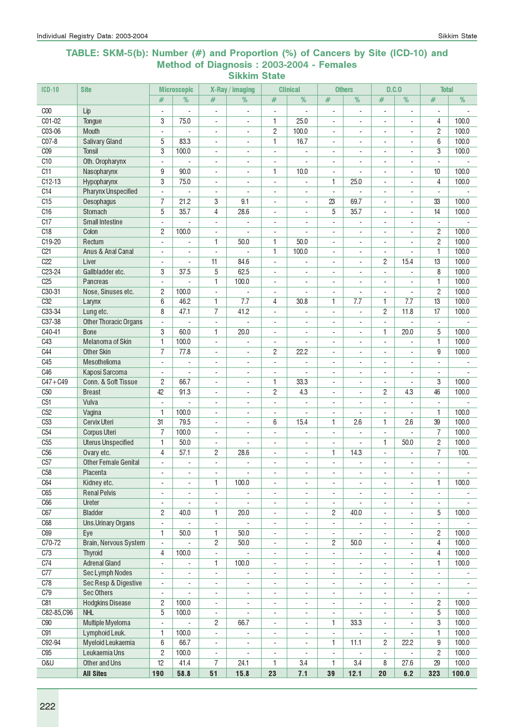### TABLE: SKM-5(b): Number (#) and Proportion (%) of Cancers by Site (ICD-10) and Method of Diagnosis : 2003-2004 - Females Sikkim State

| $ICD-10$        | <b>Site</b>                  |                          | <b>Microscopic</b>       |                          | X-Ray / imaging          |                          | <b>Clinical</b>          |                          | <b>Others</b>            | D.C.0                     |                          | <b>Total</b>             |                |
|-----------------|------------------------------|--------------------------|--------------------------|--------------------------|--------------------------|--------------------------|--------------------------|--------------------------|--------------------------|---------------------------|--------------------------|--------------------------|----------------|
|                 |                              | #                        | %                        | #                        | %                        | #                        | %                        | #                        | %                        | #                         | %                        | $\#$                     | %              |
| C <sub>00</sub> | Lip                          | $\blacksquare$           |                          | ÷,                       | $\overline{\phantom{a}}$ | $\overline{\phantom{a}}$ |                          | ÷,                       | ÷,                       |                           |                          | ÷,                       |                |
| $CO1-02$        | Tongue                       | 3                        | 75.0                     | $\blacksquare$           | ÷                        | 1                        | 25.0                     | ÷,                       | ÷.                       |                           | L.                       | 4                        | 100.0          |
| C03-06          | <b>Mouth</b>                 | $\overline{a}$           |                          | $\overline{\phantom{a}}$ | $\overline{\phantom{a}}$ | $\overline{c}$           | 100.0                    | $\blacksquare$           |                          | ÷,                        |                          | $\overline{c}$           | 100.0          |
| C07-8           | <b>Salivary Gland</b>        | 5                        | 83.3                     | $\overline{a}$           | $\overline{\phantom{a}}$ | 1                        | 16.7                     | $\overline{\phantom{a}}$ | $\overline{\phantom{a}}$ | $\overline{a}$            | ä,                       | 6                        | 100.0          |
| C <sub>09</sub> | <b>Tonsil</b>                | 3                        | 100.0                    | $\blacksquare$           | $\overline{\phantom{a}}$ | $\blacksquare$           | $\overline{a}$           | $\overline{\phantom{a}}$ | $\overline{\phantom{a}}$ | $\overline{\phantom{a}}$  | $\sim$                   | 3                        | 100.0          |
| C10             | Oth. Oropharynx              | $\blacksquare$           | $\mathbf{r}$             | $\blacksquare$           | ÷                        | $\blacksquare$           | L,                       | $\overline{\phantom{a}}$ | ÷.                       | $\overline{a}$            | ÷.                       | $\overline{\phantom{a}}$ |                |
| C11             | Nasopharynx                  | 9                        | 90.0                     | $\blacksquare$           | $\overline{\phantom{a}}$ | 1                        | 10.0                     | $\overline{\phantom{a}}$ |                          | $\blacksquare$            | $\blacksquare$           | 10                       | 100.0          |
| C12-13          | Hypopharynx                  | 3                        | 75.0                     | $\overline{\phantom{a}}$ | $\overline{\phantom{a}}$ | $\overline{\phantom{a}}$ | $\overline{\phantom{a}}$ | 1                        | 25.0                     | $\overline{\phantom{a}}$  | $\sim$                   | 4                        | 100.0          |
| C <sub>14</sub> | <b>Pharynx Unspecified</b>   | $\overline{\phantom{a}}$ |                          | $\overline{\phantom{a}}$ | $\overline{\phantom{a}}$ | $\overline{\phantom{a}}$ | $\overline{a}$           | $\overline{\phantom{a}}$ |                          | $\overline{a}$            | $\overline{a}$           | $\overline{\phantom{a}}$ |                |
| C15             | Oesophagus                   | $\overline{7}$           | 21.2                     | 3                        | 9.1                      | $\sim$                   | $\blacksquare$           | 23                       | 69.7                     | ÷.                        | $\sim$                   | 33                       | 100.0          |
| C16             | Stomach                      | 5                        | 35.7                     | 4                        | 28.6                     | $\blacksquare$           |                          | 5                        | 35.7                     |                           |                          | 14                       | 100.0          |
| C17             | <b>Small Intestine</b>       | $\overline{a}$           |                          | $\sim$                   |                          |                          |                          | $\blacksquare$           |                          |                           |                          | ÷,                       |                |
| C18             | Colon                        | $\overline{2}$           | 100.0                    | $\sim$                   |                          | $\sim$                   | L,                       | $\overline{\phantom{a}}$ |                          | $\overline{a}$            | $\sim$                   | $\overline{c}$           | 100.0          |
| C19-20          | Rectum                       | $\mathbf{r}$             | ÷.                       | $\mathbf{1}$             | 50.0                     | 1                        | 50.0                     | ÷                        | ×.                       | ÷.                        | $\overline{a}$           | $\overline{c}$           | 100.0          |
| C <sub>21</sub> | Anus & Anal Canal            | ÷.                       |                          | ÷,                       |                          | 1                        | 100.0                    | ä,                       | ÷.                       | $\overline{a}$            |                          | 1                        | 100.0          |
| C22             | Liver                        | ÷.                       |                          | 11                       | 84.6                     | $\sim$                   |                          | $\overline{\phantom{a}}$ | $\blacksquare$           | $\overline{c}$            | 15.4                     | 13                       | 100.0          |
| $C23-24$        | Gallbladder etc.             | 3                        | 37.5                     | 5                        | 62.5                     | $\overline{\phantom{a}}$ | $\overline{a}$           | $\overline{\phantom{a}}$ | $\overline{\phantom{a}}$ |                           |                          | 8                        | 100.0          |
| C25             | Pancreas                     | $\mathbf{r}$             |                          | $\mathbf{1}$             | 100.0                    | $\blacksquare$           | ÷,                       | $\overline{a}$           | ÷.                       |                           |                          | 1                        | 100.0          |
| C30-31          | Nose, Sinuses etc.           | $\overline{c}$           | 100.0                    | $\overline{\phantom{a}}$ |                          | $\blacksquare$           | Ĭ.                       | ÷,                       | ÷.                       | ÷.                        | $\overline{\phantom{a}}$ | $\overline{c}$           | 100.0          |
| C <sub>32</sub> | Larynx                       | 6                        | 46.2                     | 1                        | 7.7                      | 4                        | 30.8                     | $\mathbf{1}$             | 7.7                      | 1                         | 7.7                      | 13                       | 100.0          |
| C33-34          | Lung etc.                    | 8                        | 47.1                     | $\overline{7}$           | 41.2                     | $\overline{\phantom{a}}$ | $\blacksquare$           | $\blacksquare$           | ÷,                       | $\overline{c}$            | 11.8                     | 17                       | 100.0          |
| C37-38          | <b>Other Thoracic Organs</b> | $\blacksquare$           |                          | $\sim$                   | ÷,                       | $\blacksquare$           | $\overline{\phantom{a}}$ | $\blacksquare$           | $\blacksquare$           | $\overline{a}$            | L,                       | $\sim$                   |                |
| C40-41          | <b>Bone</b>                  | 3                        | 60.0                     | 1                        | 20.0                     | $\overline{\phantom{a}}$ | $\overline{a}$           | $\blacksquare$           | $\blacksquare$           | 1                         | 20.0                     | 5                        | 100.0          |
| C43             | Melanoma of Skin             | $\mathbf{1}$             | 100.0                    | $\overline{\phantom{a}}$ |                          | $\overline{\phantom{a}}$ | ÷,                       | $\overline{\phantom{a}}$ | $\overline{\phantom{a}}$ | ÷,                        |                          | 1                        | 100.0          |
| C44             | <b>Other Skin</b>            | $\overline{7}$           | 77.8                     | $\overline{\phantom{a}}$ | $\overline{\phantom{a}}$ | $\overline{c}$           | 22.2                     | $\overline{\phantom{a}}$ | $\overline{a}$           | $\overline{\phantom{a}}$  |                          | 9                        | 100.0          |
| C45             | Mesothelioma                 | ÷,                       |                          | $\overline{\phantom{a}}$ | $\overline{\phantom{a}}$ | $\overline{\phantom{a}}$ |                          | $\overline{\phantom{a}}$ | $\overline{\phantom{a}}$ |                           |                          | ÷,                       |                |
| C46             | Kaposi Sarcoma               | ÷.                       |                          | $\blacksquare$           | ÷.                       | $\blacksquare$           | L.                       | $\blacksquare$           | ÷.                       | ä,                        |                          | ÷.                       |                |
| $C47 + C49$     | Conn. & Soft Tissue          | $\overline{c}$           | 66.7                     | $\blacksquare$           |                          | 1                        | 33.3                     | $\overline{a}$           | ÷                        | ä,                        | ÷,                       | 3                        | 100.0          |
| C <sub>50</sub> | <b>Breast</b>                | 42                       | 91.3                     | $\sim$                   | $\overline{\phantom{a}}$ | $\overline{c}$           | 4.3                      | $\overline{\phantom{a}}$ | ÷                        | $\overline{c}$            | 4.3                      | 46                       | 100.0          |
| C51             | Vulva                        | $\blacksquare$           | $\blacksquare$           | $\sim$                   | $\blacksquare$           | $\overline{\phantom{a}}$ | $\overline{\phantom{a}}$ | $\overline{\phantom{a}}$ | ÷                        | ÷                         | $\blacksquare$           | $\sim$                   |                |
| C52             | Vagina                       | $\mathbf{1}$             | 100.0                    | $\mathbf{r}$             | $\overline{\phantom{a}}$ | $\overline{\phantom{a}}$ |                          | ÷,                       |                          |                           |                          | 1                        | 100.0          |
| C <sub>53</sub> | <b>Cervix Uteri</b>          | 31                       | 79.5                     | $\blacksquare$           | ä,                       | 6                        | 15.4                     | $\mathbf{1}$             | 2.6                      | 1                         | 2.6                      | 39                       | 100.0          |
| C <sub>54</sub> | <b>Corpus Uteri</b>          | $\overline{7}$           | 100.0                    | $\overline{\phantom{a}}$ | $\overline{\phantom{a}}$ | $\overline{\phantom{a}}$ |                          | $\overline{\phantom{a}}$ | ÷,                       |                           |                          | $\overline{7}$           | 100.0          |
| C55             | <b>Uterus Unspecified</b>    | $\mathbf{1}$             | 50.0                     | $\overline{\phantom{a}}$ | $\overline{a}$           | $\overline{\phantom{a}}$ | $\overline{\phantom{a}}$ | $\overline{a}$           |                          | 1                         | 50.0                     | 2                        | 100.0          |
| C <sub>56</sub> | Ovary etc.                   | 4                        | 57.1                     | 2                        | 28.6                     | $\overline{\phantom{a}}$ | $\overline{\phantom{a}}$ | $\mathbf{1}$             | 14.3                     |                           |                          | $\overline{7}$           | 100.           |
| C57             | <b>Other Female Genital</b>  |                          |                          |                          |                          | ÷.                       | ä,                       |                          |                          | ÷.                        | L.                       |                          |                |
| C58             | Placenta                     | $\blacksquare$           | $\overline{\phantom{a}}$ | $\overline{\phantom{a}}$ | ÷,                       | $\overline{\phantom{a}}$ | $\blacksquare$           | $\overline{\phantom{a}}$ | $\overline{\phantom{a}}$ | $\blacksquare$            | $\blacksquare$           | $\blacksquare$           |                |
| C64             | Kidney etc.                  | $\overline{\phantom{a}}$ | $\overline{\phantom{a}}$ | 1                        | 100.0                    | $\overline{\phantom{a}}$ | $\overline{\phantom{a}}$ | $\overline{\phantom{a}}$ | $\blacksquare$           | $\overline{\phantom{a}}$  | $\overline{\phantom{a}}$ | 1                        | 100.0          |
| C65             | <b>Renal Pelvis</b>          | $\overline{\phantom{a}}$ | $\overline{\phantom{a}}$ | $\blacksquare$           |                          | $\overline{\phantom{a}}$ | $\overline{\phantom{a}}$ | $\overline{\phantom{a}}$ | $\overline{\phantom{a}}$ | $\overline{\phantom{a}}$  | $\overline{\phantom{a}}$ | $\blacksquare$           | $\sim$         |
| C66             | Ureter                       | $\overline{\phantom{a}}$ | $\overline{\phantom{a}}$ | $\overline{\phantom{a}}$ | $\overline{\phantom{a}}$ | $\overline{\phantom{a}}$ | $\overline{\phantom{a}}$ | $\blacksquare$           | $\overline{\phantom{a}}$ | $\overline{\phantom{a}}$  | $\overline{\phantom{a}}$ | $\overline{\phantom{a}}$ |                |
| C67             | <b>Bladder</b>               | $\mathbf{2}$             | 40.0                     | 1                        | 20.0                     | $\overline{\phantom{a}}$ | $\overline{a}$           | $\overline{c}$           | 40.0                     | $\blacksquare$            | ÷,                       | 5                        | 100.0          |
| C68             | <b>Uns.Urinary Organs</b>    | $\overline{\phantom{a}}$ |                          | $\overline{\phantom{a}}$ |                          | $\overline{\phantom{a}}$ | $\overline{\phantom{a}}$ | $\overline{\phantom{a}}$ |                          | $\overline{\phantom{a}}$  | $\overline{\phantom{a}}$ | $\overline{\phantom{a}}$ |                |
| C69             | Eye                          | $\mathbf{1}$             | 50.0                     | 1                        | 50.0                     | $\overline{\phantom{a}}$ | $\overline{\phantom{a}}$ | $\overline{\phantom{a}}$ |                          | ۰                         | $\overline{\phantom{a}}$ | $\overline{c}$           | 100.0          |
| C70-72          | Brain, Nervous System        | ÷,                       |                          | 2                        | 50.0                     | $\overline{\phantom{a}}$ | $\overline{\phantom{a}}$ | $\mathbf{2}$             | 50.0                     | ÷,                        | $\blacksquare$           | 4                        | 100.0          |
| C73             | <b>Thyroid</b>               | $\overline{4}$           | 100.0                    | $\Box$                   | $\sim$                   | $\overline{\phantom{a}}$ | $\overline{\phantom{a}}$ | $\overline{a}$           | $\blacksquare$           | $\blacksquare$            | $\blacksquare$           | $\overline{4}$           | 100.0          |
| C74             | <b>Adrenal Gland</b>         | $\overline{\phantom{a}}$ | $\overline{\phantom{a}}$ | 1                        | 100.0                    | $\overline{\phantom{a}}$ | $\overline{\phantom{a}}$ | $\overline{\phantom{a}}$ | ÷,                       | $\blacksquare$            | $\overline{\phantom{a}}$ | 1                        | 100.0          |
| C77             | Sec Lymph Nodes              | $\overline{\phantom{a}}$ | $\overline{\phantom{a}}$ | $\overline{\phantom{a}}$ | $\overline{\phantom{a}}$ | $\overline{\phantom{a}}$ | $\overline{\phantom{a}}$ | $\blacksquare$           | $\overline{\phantom{a}}$ | $\blacksquare$            | $\overline{\phantom{a}}$ | $\blacksquare$           | $\blacksquare$ |
| C78             | Sec Resp & Digestive         | $\overline{\phantom{a}}$ | $\overline{\phantom{a}}$ | $\overline{\phantom{a}}$ | $\overline{\phantom{a}}$ | $\overline{\phantom{a}}$ | $\overline{\phantom{a}}$ | $\overline{\phantom{a}}$ | $\overline{\phantom{a}}$ |                           |                          | $\overline{\phantom{a}}$ |                |
| C79             | <b>Sec Others</b>            | $\overline{\phantom{a}}$ |                          | $\overline{\phantom{a}}$ | $\overline{\phantom{a}}$ | $\overline{\phantom{a}}$ | $\overline{\phantom{a}}$ | $\overline{\phantom{a}}$ | $\overline{\phantom{a}}$ | $\overline{\phantom{a}}$  |                          | $\overline{\phantom{a}}$ |                |
| C81             | <b>Hodgkins Disease</b>      | $\mathbf{2}$             | 100.0                    | $\overline{\phantom{a}}$ | $\overline{\phantom{a}}$ | $\overline{\phantom{a}}$ | $\overline{\phantom{a}}$ | $\overline{\phantom{a}}$ | ÷,                       | ä,                        | ÷,                       | $\overline{c}$           | 100.0          |
| C82-85,C96      | <b>NHL</b>                   | 5                        | 100.0                    | $\overline{\phantom{a}}$ | $\overline{\phantom{a}}$ | $\overline{\phantom{a}}$ | $\overline{\phantom{a}}$ | $\overline{\phantom{a}}$ | ÷,                       | $\overline{\phantom{a}}$  | ÷,                       | $\overline{5}$           | 100.0          |
| C90             | Multiple Myeloma             | ÷,                       | $\omega$                 | $\overline{c}$           | 66.7                     | $\overline{\phantom{a}}$ | $\overline{\phantom{a}}$ | $\mathbf{1}$             | 33.3                     | $\mathbb{L}^{\mathbb{N}}$ | $\blacksquare$           | 3                        | 100.0          |
| C91             | Lymphoid Leuk.               | $\mathbf{1}$             | 100.0                    | $\blacksquare$           | $\overline{\phantom{a}}$ | $\blacksquare$           | $\overline{\phantom{a}}$ | $\overline{\phantom{a}}$ | $\blacksquare$           | $\blacksquare$            | $\blacksquare$           | 1                        | 100.0          |
| C92-94          | Myeloid Leukaemia            | 6                        | 66.7                     | $\blacksquare$           | $\overline{\phantom{a}}$ | $\overline{\phantom{a}}$ | $\overline{\phantom{a}}$ | 1                        | 11.1                     | $\overline{2}$            | 22.2                     | 9                        | 100.0          |
| C95             | Leukaemia Uns                | $\overline{c}$           | 100.0                    | $\overline{\phantom{a}}$ | $\overline{\phantom{a}}$ | $\overline{\phantom{a}}$ | $\overline{\phantom{a}}$ | $\overline{\phantom{a}}$ | $\overline{\phantom{a}}$ | $\blacksquare$            | $\overline{\phantom{a}}$ | 2                        | 100.0          |
| U&0             | Other and Uns                | 12                       | 41.4                     | $\overline{7}$           | 24.1                     | 1                        | 3.4                      | 1                        | 3.4                      | 8                         | 27.6                     | 29                       | 100.0          |
|                 | <b>All Sites</b>             | 190                      | 58.8                     | 51                       | 15.8                     | 23                       | 7.1                      | 39                       | 12.1                     | 20                        | 6.2                      | 323                      | 100.0          |
|                 |                              |                          |                          |                          |                          |                          |                          |                          |                          |                           |                          |                          |                |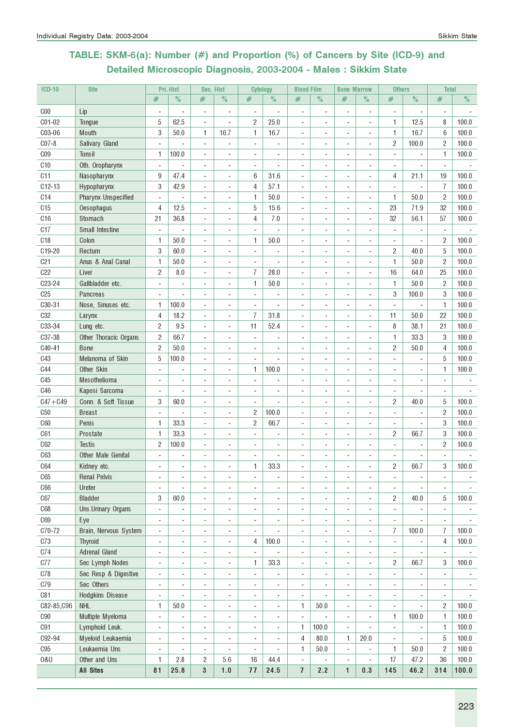# TABLE: SKM-6(a): Number (#) and Proportion (%) of Cancers by Site (ICD-9) and Detailed Microscopic Diagnosis, 2003-2004 - Males : Sikkim State

| <b>ICD-10</b>   | <b>Site</b>                            |                                | Pri. Hist                    | Sec. Hist                |                                | <b>Cytology</b>               |                | <b>Blood Film</b>        |                          | <b>Bone Marrow</b>       |                                    | <b>Others</b>                  |                          | <b>Total</b>             |       |
|-----------------|----------------------------------------|--------------------------------|------------------------------|--------------------------|--------------------------------|-------------------------------|----------------|--------------------------|--------------------------|--------------------------|------------------------------------|--------------------------------|--------------------------|--------------------------|-------|
|                 |                                        | #                              | $\%$                         | #                        | $\%$                           | #                             | $\%$           | #                        | $\%$                     | #                        | $\%$                               | #                              | $\%$                     | $\#$                     | $\%$  |
| C <sub>00</sub> | Lip                                    |                                |                              | $\overline{a}$           | ÷                              | $\overline{\phantom{a}}$      | ä,             | $\blacksquare$           | $\overline{\phantom{a}}$ |                          | $\overline{a}$                     | $\overline{a}$                 | $\overline{\phantom{a}}$ | $\overline{a}$           |       |
| C01-02          | Tongue                                 | 5                              | 62.5                         | $\overline{a}$           | ÷,                             | 2                             | 25.0           | ÷,                       | ä,                       |                          | ÷,                                 | 1                              | 12.5                     | 8                        | 100.0 |
| C03-06          | Mouth                                  | 3                              | 50.0                         | 1                        | 16.7                           | 1                             | 16.7           |                          |                          |                          | ä,                                 | $\mathbf{1}$                   | 16.7                     | 6                        | 100.0 |
| $C07-8$         | Salivary Gland                         |                                |                              | ÷,                       | ä,                             |                               |                |                          |                          |                          | ÷,                                 | $\overline{c}$                 | 100.0                    | $\overline{c}$           | 100.0 |
| C <sub>09</sub> | <b>Tonsil</b>                          | 1                              | 100.0                        | ÷,                       | ÷,                             | ÷,                            | ä,             |                          |                          |                          | ÷,                                 | ÷,                             |                          | 1                        | 100.0 |
| C <sub>10</sub> | Oth. Oropharynx                        |                                |                              | ÷,                       | ä,                             | ÷,                            |                | ÷,                       |                          |                          | ä,                                 | ÷,                             |                          |                          |       |
| C11             | Nasopharynx                            | 9                              | 47.4                         | ÷,                       | ä,                             | 6                             | 31.6           | $\overline{\phantom{a}}$ | ÷                        | $\sim$                   | ä,                                 | 4                              | 21.1                     | 19                       | 100.0 |
| $C12-13$        | Hypopharynx                            | 3                              | 42.9                         | ÷,                       | ÷,                             | 4                             | 57.1           |                          |                          |                          |                                    |                                | $\omega$                 | $\overline{I}$           | 100.0 |
| C <sub>14</sub> | <b>Pharynx Unspecified</b>             |                                |                              |                          |                                | 1                             | 50.0           |                          |                          |                          |                                    | 1                              | 50.0                     | $\overline{c}$           | 100.0 |
| C15             | Oesophagus                             | 4                              | 12.5                         | $\overline{a}$           |                                | 5                             | 15.6           |                          |                          |                          | ÷                                  | 23                             | 71.9                     | 32                       | 100.0 |
| C16             | Stomach                                | 21                             | 36.8                         | $\overline{a}$           | ÷                              | 4                             | 7.0            |                          |                          |                          | $\qquad \qquad \blacksquare$       | 32                             | 56.1                     | 57                       | 100.0 |
| C <sub>17</sub> | Small Intestine                        |                                |                              | $\overline{a}$           | ÷                              | ÷,                            |                |                          |                          |                          | ÷,                                 | ÷,                             | ÷,                       | ÷,                       |       |
| C <sub>18</sub> | Colon                                  | 1                              | 50.0                         | ÷,                       | ä,                             | 1                             | 50.0           | ä,                       |                          | $\overline{\phantom{a}}$ | ٠                                  | $\sim$                         | $\overline{\phantom{a}}$ | $\overline{c}$           | 100.0 |
| C19-20          | Rectum                                 | 3                              | 60.0                         | ÷,                       | $\blacksquare$                 | $\blacksquare$                | ä,             | ÷.                       | $\overline{a}$           | $\overline{a}$           | ä,                                 | 2                              | 40.0                     | 5                        | 100.0 |
| C <sub>21</sub> | Anus & Anal Canal                      | 1                              | 50.0                         | ÷,                       | ä,                             | $\blacksquare$                | ä,             | ÷                        |                          |                          | ÷,                                 | 1                              | 50.0                     | $\overline{c}$           | 100.0 |
| C22             | Liver                                  | $\overline{c}$                 | 8.0                          | ÷,                       | ä,                             | 7                             | 28.0           | ä,                       |                          |                          | ÷,                                 | 16                             | 64.0                     | 25                       | 100.0 |
| C23-24          | Gallbladder etc.                       |                                |                              | $\overline{a}$           | $\overline{a}$                 | 1                             | 50.0           |                          |                          |                          | ÷,                                 | 1                              | 50.0                     | 2                        | 100.0 |
| C <sub>25</sub> | Pancreas                               |                                |                              | ÷,                       | ÷                              |                               |                |                          |                          |                          | ÷,                                 | 3                              | 100.0                    | 3                        | 100.0 |
| C30-31          | Nose, Sinuses etc.                     | 1                              | 100.0                        | $\overline{a}$           | $\overline{a}$                 | $\overline{\phantom{a}}$      |                |                          |                          | $\overline{\phantom{m}}$ | $\overline{a}$                     | ÷,                             | $\blacksquare$           | $\mathbf{1}$             | 100.0 |
| <b>C32</b>      | Larynx                                 | 4                              | 18.2                         | $\overline{a}$           | $\overline{a}$                 | $\overline{7}$                | 31.8           | $\blacksquare$           |                          | $\overline{\phantom{a}}$ | ٠                                  | 11                             | 50.0                     | 22                       | 100.0 |
| C33-34          | Lung etc.                              | 2                              | 9.5                          | $\overline{a}$           | ٠                              | 11                            | 52.4           |                          |                          |                          | ٠                                  | 8                              | 38.1                     | 21                       | 100.0 |
| C37-38          | Other Thoracic Organs                  | 2                              | 66.7                         |                          |                                |                               |                |                          |                          |                          |                                    | $\mathbf{1}$                   | 33.3                     | 3                        | 100.0 |
| C40-41          | <b>Bone</b>                            | $\overline{c}$                 | 50.0                         | ÷,                       |                                |                               |                |                          |                          |                          | ٠                                  | $\overline{c}$                 | 50.0                     | 4                        | 100.0 |
| C43             | Melanoma of Skin                       | 5                              | 100.0                        | ÷,                       | ä,                             |                               |                |                          |                          |                          | ٠                                  | ÷,                             |                          | 5                        | 100.0 |
| <b>C44</b>      | Other Skin                             |                                | $\blacksquare$               | ÷,                       | ÷                              | 1                             | 100.0          |                          |                          |                          | $\overline{a}$                     |                                |                          | 1                        | 100.0 |
| C45             | Mesothelioma                           | ÷                              | $\sim$                       | ÷,                       | $\overline{a}$                 | ÷,                            |                |                          |                          |                          | $\blacksquare$                     | ٠                              | $\blacksquare$           | $\overline{\phantom{a}}$ |       |
| C46             | Kaposi Sarcoma                         | $\sim$                         | ÷                            | $\overline{a}$           | $\overline{a}$                 | $\blacksquare$                | ٠              | ÷.                       | $\overline{a}$           |                          | $\blacksquare$                     | $\blacksquare$                 | ä,                       | $\sim$                   |       |
| $C47 + C49$     | Conn. & Soft Tissue                    | 3                              | 60.0                         | ÷,                       | ä,                             | ÷,                            | ä,             |                          |                          |                          | ÷,                                 | $\overline{c}$                 | 40.0                     | 5                        | 100.0 |
| C50             | <b>Breast</b>                          |                                |                              | ÷,                       | ä,                             | 2                             | 100.0          |                          |                          |                          | ä,                                 |                                |                          | $\overline{c}$           | 100.0 |
| C60             | Penis                                  | 1                              | 33.3                         | ÷,                       |                                | 2                             | 66.7           |                          |                          |                          | $\overline{a}$                     |                                |                          | 3                        | 100.0 |
| C61             | Prostate                               | 1                              | 33.3                         | $\overline{a}$           | $\overline{a}$                 |                               |                |                          |                          |                          | $\qquad \qquad \blacksquare$       | $\overline{c}$                 | 66.7                     | 3                        | 100.0 |
| C62             | <b>Testis</b>                          | 2                              | 100.0                        | ÷,                       | ÷,                             | $\overline{\phantom{a}}$      | ÷,             | ä,                       |                          | $\overline{\phantom{a}}$ | ÷,                                 | ÷,                             | $\blacksquare$           | $\overline{c}$           | 100.0 |
| C63             | Other Male Genital                     |                                |                              | $\overline{a}$           | $\overline{a}$                 |                               |                |                          |                          | $\overline{\phantom{a}}$ | ٠                                  | ٠                              |                          | ÷,                       |       |
| C64             | Kidney etc.                            |                                | ÷                            |                          | $\overline{a}$                 | 1                             | 33.3           |                          |                          |                          |                                    | $\overline{c}$                 | 66.7                     | 3                        | 100.0 |
| C65             | <b>Renal Pelvis</b>                    | ÷,                             | $\overline{\phantom{a}}$     | $\overline{a}$           | ÷,                             |                               |                | $\overline{a}$           |                          | $\sim$                   | $\overline{a}$                     | ä,                             | ÷,                       | ÷,                       |       |
| C66             | Ureter                                 | ÷,                             |                              | ÷,                       | ä,                             | ÷,                            | ٠              |                          |                          |                          | ä,                                 | ÷,                             |                          | ÷,                       |       |
| C67             | <b>Bladder</b>                         | 3                              | 60.0                         | $\overline{a}$           | ÷,                             | $\overline{a}$                | ÷              | $\overline{a}$           | $\blacksquare$           | $\overline{a}$           | ÷,                                 | 2                              | 40.0                     | 5                        | 100.0 |
| C68             | Uns.Urinary Organs                     | ÷                              | $\blacksquare$               | $\overline{\phantom{a}}$ | $\overline{\phantom{a}}$       | $\blacksquare$                | ÷              | ÷,                       | ÷,                       | $\overline{\phantom{a}}$ | $\overline{\phantom{a}}$           | $\blacksquare$                 | $\blacksquare$           | $\overline{\phantom{a}}$ |       |
| <b>C69</b>      | Eye                                    | $\blacksquare$                 | $\blacksquare$               | $\overline{a}$           | $\overline{\phantom{a}}$       | $\overline{\phantom{a}}$      | ÷,             | $\overline{\phantom{a}}$ | $\overline{\phantom{a}}$ | $\overline{\phantom{a}}$ | ÷,                                 | $\overline{\phantom{a}}$       | $\overline{\phantom{a}}$ | $\overline{\phantom{a}}$ |       |
| C70-72          | Brain, Nervous System                  |                                | $\overline{\phantom{a}}$     |                          |                                |                               | $\overline{a}$ | $\overline{\phantom{a}}$ | $\overline{\phantom{a}}$ | $\overline{\phantom{a}}$ |                                    | 7                              | 100.0                    | 7                        | 100.0 |
| C73             |                                        | $\overline{\phantom{a}}$<br>÷, |                              | $\overline{a}$<br>÷,     | $\overline{\phantom{a}}$       | $\overline{\phantom{a}}$<br>4 |                | ÷,                       | ÷,                       |                          | $\qquad \qquad \blacksquare$<br>÷, |                                | ÷,                       | 4                        |       |
| C74             | <b>Thyroid</b><br><b>Adrenal Gland</b> | ÷,                             | $\overline{\phantom{a}}$     |                          | $\overline{\phantom{a}}$<br>÷, | ÷,                            | 100.0          |                          |                          | $\overline{\phantom{a}}$ | ÷,                                 | $\overline{\phantom{a}}$<br>÷, |                          | $\overline{\phantom{a}}$ | 100.0 |
| C77             | Sec Lymph Nodes                        | ÷,                             |                              | $\overline{a}$           | ÷                              | 1                             | 33.3           |                          |                          |                          | $\overline{\phantom{a}}$           | $\overline{c}$                 | 66.7                     | 3                        | 100.0 |
| C78             |                                        |                                | $\blacksquare$               | $\overline{a}$           |                                | ÷,                            | ÷,             |                          |                          |                          |                                    |                                | $\blacksquare$           | $\blacksquare$           |       |
|                 | Sec Resp & Digestive                   | $\overline{\phantom{a}}$       |                              | $\overline{a}$           | $\overline{\phantom{a}}$       |                               |                | $\overline{\phantom{a}}$ | $\overline{a}$           | $\overline{a}$           | ٠                                  | $\blacksquare$                 |                          |                          |       |
| C79             | Sec Others                             | $\overline{\phantom{a}}$       | $\sim$                       | ÷,                       | $\overline{\phantom{a}}$       | ÷,                            | ÷,             | $\overline{\phantom{a}}$ | $\sim$                   | $\overline{\phantom{a}}$ | ÷,                                 | ÷,                             | $\overline{\phantom{a}}$ | $\blacksquare$           |       |
| C81             | Hodgkins Disease                       | $\blacksquare$                 |                              | ÷,                       | ä,                             | $\blacksquare$                | ÷.             | $\blacksquare$           |                          | $\sim$                   | ä,                                 | $\sim$                         | $\overline{\phantom{a}}$ | $\blacksquare$           |       |
| C82-85, C96     | <b>NHL</b>                             | 1                              | 50.0                         | ÷,                       | ä,                             | ÷                             | ÷              | 1                        | 50.0                     | $\overline{\phantom{a}}$ | ä,                                 | $\sim$                         | ÷,                       | $\overline{c}$           | 100.0 |
| ${\rm C}90$     | Multiple Myeloma                       | ÷,                             | $\overline{\phantom{a}}$     | ÷,                       | ÷,                             | ÷,                            | ÷              | $\overline{\phantom{a}}$ | ä,                       | $\overline{\phantom{a}}$ | ÷,                                 | 1                              | 100.0                    | 1                        | 100.0 |
| C91             | Lymphoid Leuk.                         | ÷,                             | ÷,                           | ÷,                       | ÷,                             | ÷,                            | $\overline{a}$ | 1                        | 100.0                    |                          | $\overline{a}$                     | ÷,                             | ÷,                       | 1                        | 100.0 |
| C92-94          | Myeloid Leukaemia                      | $\overline{a}$                 | $\qquad \qquad \blacksquare$ | $\overline{a}$           | $\overline{a}$                 | $\overline{a}$                | $\overline{a}$ | 4                        | 80.0                     | 1                        | 20.0                               | $\frac{1}{2}$                  | ÷                        | 5                        | 100.0 |
| C95             | Leukaemia Uns                          | $\overline{a}$                 | $\overline{\phantom{a}}$     | $\frac{1}{2}$            | $\overline{\phantom{a}}$       | $\frac{1}{2}$                 | $\blacksquare$ | 1                        | 50.0                     | $\overline{\phantom{a}}$ | $\overline{\phantom{a}}$           | 1                              | 50.0                     | $\overline{c}$           | 100.0 |
| 0&U             | Other and Uns                          | 1                              | 2.8                          | 2                        | 5.6                            | 16                            | 44.4           | $\blacksquare$           | $\overline{a}$           | $\overline{\phantom{a}}$ | ٠                                  | 17                             | 47.2                     | 36                       | 100.0 |
|                 | <b>All Sites</b>                       | 81                             | 25.8                         | 3                        | 1.0                            | 77                            | 24.5           | $\overline{1}$           | 2.2                      | $\mathbf{1}$             | 0.3                                | 145                            | 46.2                     | 314                      | 100.0 |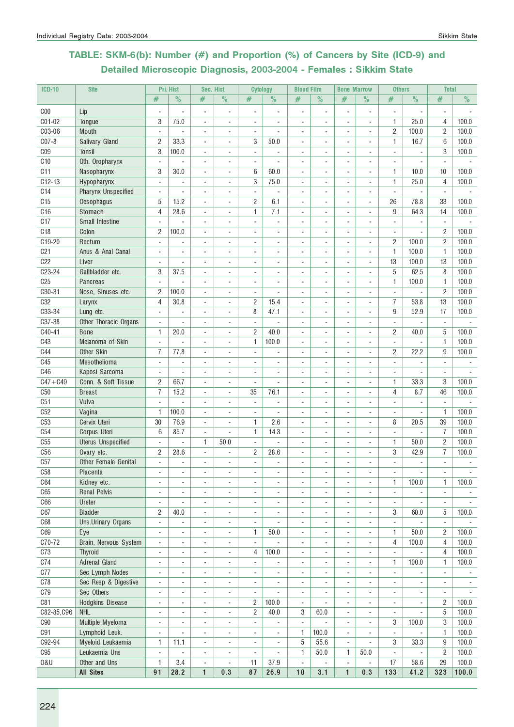# TABLE: SKM-6(b): Number (#) and Proportion (%) of Cancers by Site (ICD-9) and Detailed Microscopic Diagnosis, 2003-2004 - Females : Sikkim State

| <b>ICD-10</b>   | <b>Site</b>                |                          | Pri. Hist                | Sec. Hist                |                          | <b>Cytology</b>          |                          | <b>Blood Film</b>        |                          | <b>Bone Marrow</b>           |                              | <b>Others</b>            |                          | <b>Total</b>             |       |
|-----------------|----------------------------|--------------------------|--------------------------|--------------------------|--------------------------|--------------------------|--------------------------|--------------------------|--------------------------|------------------------------|------------------------------|--------------------------|--------------------------|--------------------------|-------|
|                 |                            | #                        | $\%$                     | #                        | $\%$                     | $\#$                     | $\frac{0}{2}$            | #                        | $\%$                     | $\#$                         | $\%$                         | #                        | $\%$                     | #                        | $\%$  |
| C <sub>00</sub> | Lip                        |                          | $\overline{a}$           | $\overline{a}$           | $\overline{\phantom{m}}$ | $\overline{a}$           | ٠                        | $\overline{\phantom{m}}$ | $\blacksquare$           | $\qquad \qquad \blacksquare$ | $\overline{a}$               | $\overline{\phantom{a}}$ | $\overline{\phantom{a}}$ | $\overline{\phantom{a}}$ |       |
| C01-02          | Tongue                     | 3                        | 75.0                     | ÷,                       | $\sim$                   | ÷,                       |                          | $\sim$                   |                          |                              | ÷,                           | 1                        | 25.0                     | 4                        | 100.0 |
| C03-06          | Mouth                      | $\blacksquare$           | $\overline{\phantom{a}}$ | $\overline{a}$           | $\overline{\phantom{a}}$ | $\overline{\phantom{a}}$ | ÷,                       | $\blacksquare$           |                          | ٠                            | ٠                            | 2                        | 100.0                    | $\overline{c}$           | 100.0 |
| $C07-8$         | Salivary Gland             | $\overline{c}$           | 33.3                     | ÷,                       | $\blacksquare$           | 3                        | 50.0                     |                          |                          |                              | ٠                            | $\mathbf{1}$             | 16.7                     | 6                        | 100.0 |
| C <sub>09</sub> | Tonsil                     | 3                        | 100.0                    | ÷,                       |                          | $\blacksquare$           | ä,                       |                          |                          |                              |                              | $\blacksquare$           | $\overline{a}$           | 3                        | 100.0 |
| C10             | Oth. Oropharynx            | $\blacksquare$           | $\overline{\phantom{a}}$ | ÷,                       | $\blacksquare$           | ÷,                       | ÷,                       |                          |                          |                              | $\overline{a}$               | $\sim$                   | $\sim$                   | $\blacksquare$           |       |
| C11             | Nasopharynx                | 3                        | 30.0                     | ÷,                       | $\overline{a}$           | 6                        | 60.0                     | ÷.                       |                          | ÷.                           | ÷                            | $\mathbf{1}$             | 10.0                     | 10                       | 100.0 |
| $C12-13$        | Hypopharynx                | $\omega$                 | $\blacksquare$           | ÷,                       | $\sim$                   | 3                        | 75.0                     |                          |                          | ÷                            | ÷,                           | $\mathbf{1}$             | 25.0                     | 4                        | 100.0 |
| C14             | <b>Pharynx Unspecified</b> | $\blacksquare$           |                          | ÷,                       | ä,                       | $\blacksquare$           |                          |                          |                          |                              | ä,                           | $\blacksquare$           | $\blacksquare$           |                          |       |
| C <sub>15</sub> | Oesophagus                 | 5                        | 15.2                     | $\overline{a}$           | $\overline{\phantom{a}}$ | $\overline{c}$           | 6.1                      |                          |                          |                              | ٠                            | 26                       | 78.8                     | 33                       | 100.0 |
| C16             | Stomach                    | 4                        | 28.6                     | ÷,                       | $\blacksquare$           | $\mathbf{1}$             | 7.1                      | $\sim$                   |                          | ٠                            | ä,                           | 9                        | 64.3                     | 14                       | 100.0 |
| C17             | Small Intestine            | $\blacksquare$           |                          | L.                       | $\overline{\phantom{a}}$ |                          |                          |                          |                          |                              | ÷,                           | $\overline{\phantom{a}}$ |                          | $\sim$                   |       |
| C <sub>18</sub> | Colon                      | $\overline{c}$           | 100.0                    | ÷,                       | ä,                       | ÷,                       | ÷,                       |                          |                          |                              | ÷,                           | $\blacksquare$           | L,                       | $\overline{c}$           | 100.0 |
| C19-20          | Rectum                     | $\overline{\phantom{a}}$ |                          | $\overline{a}$           | ÷,                       |                          | $\overline{a}$           |                          |                          |                              | ÷,                           | 2                        | 100.0                    | $\overline{c}$           | 100.0 |
| C <sub>21</sub> | Anus & Anal Canal          | $\sim$                   | $\blacksquare$           | $\overline{a}$           | $\blacksquare$           | ٠                        | $\overline{\phantom{0}}$ | $\blacksquare$           |                          | ٠                            | $\blacksquare$               | 1                        | 100.0                    | 1                        | 100.0 |
| C22             | Liver                      | $\blacksquare$           | ÷,                       | ÷,                       | $\sim$                   | ٠                        | ÷,                       | $\sim$                   |                          | ä,                           | $\blacksquare$               | 13                       | 100.0                    | 13                       | 100.0 |
| C23-24          | Gallbladder etc.           | 3                        | 37.5                     | ÷,                       | ä,                       |                          | ä,                       |                          |                          |                              | ÷,                           | 5                        | 62.5                     | 8                        | 100.0 |
| C <sub>25</sub> | Pancreas                   | $\sim$                   |                          | $\overline{a}$           | $\overline{a}$           | $\overline{a}$           | ÷                        |                          |                          |                              | $\overline{a}$               | 1                        | 100.0                    | 1                        | 100.0 |
| C30-31          | Nose, Sinuses etc.         | $\overline{c}$           | 100.0                    | ÷,                       | $\overline{a}$           |                          |                          |                          |                          |                              | ٠                            | $\overline{\phantom{a}}$ |                          | $\overline{c}$           | 100.0 |
| C <sub>32</sub> | Larynx                     | 4                        | 30.8                     | ÷,                       | ÷,                       | $\overline{c}$           | 15.4                     |                          |                          |                              | ä,                           | $\overline{7}$           | 53.8                     | 13                       | 100.0 |
| C33-34          | Lung etc.                  | $\blacksquare$           |                          | ä,                       |                          | 8                        | 47.1                     |                          |                          |                              | ä,                           | 9                        | 52.9                     | 17                       | 100.0 |
| C37-38          | Other Thoracic Organs      | $\blacksquare$           | ÷,                       | ÷,                       | ä,                       | $\blacksquare$           | ÷,                       | ÷                        |                          |                              | ä,                           | $\blacksquare$           | $\overline{a}$           | $\omega$                 |       |
| C40-41          | <b>Bone</b>                | 1                        | 20.0                     | ÷,                       | $\overline{a}$           | $\overline{c}$           | 40.0                     |                          |                          | ÷.                           | ä,                           | $\overline{c}$           | 40.0                     | 5                        | 100.0 |
| C43             | Melanoma of Skin           | $\blacksquare$           |                          | ÷,                       | $\overline{\phantom{a}}$ | 1                        | 100.0                    |                          |                          |                              | ä,                           | ÷,                       | $\blacksquare$           | $\mathbf{1}$             | 100.0 |
| C44             | Other Skin                 | 7                        | 77.8                     | $\overline{a}$           | $\overline{\phantom{a}}$ | ٠                        |                          |                          |                          |                              | ٠                            | $\overline{c}$           | 22.2                     | 9                        | 100.0 |
| C45             | Mesothelioma               | ÷.                       |                          | ÷,                       | $\sim$                   | ä,                       | L.                       | ÷.                       |                          | ÷.                           | ä,                           | $\blacksquare$           | ÷                        |                          |       |
| C46             | Kaposi Sarcoma             | $\omega$                 |                          | ÷,                       | $\overline{\phantom{a}}$ | ä,                       | L.                       |                          |                          |                              | ÷,                           | $\overline{\phantom{a}}$ |                          | $\mathbf{r}$             |       |
| $C47 + C49$     | Conn. & Soft Tissue        | $\overline{c}$           | 66.7                     | ÷,                       | $\sim$                   | ÷,                       |                          |                          |                          |                              | ä,                           | 1                        | 33.3                     | 3                        | 100.0 |
| C50             | <b>Breast</b>              | $\overline{I}$           | 15.2                     | ÷,                       | $\blacksquare$           | 35                       | 76.1                     | $\overline{\phantom{a}}$ |                          |                              | ٠                            | 4                        | 8.7                      | 46                       | 100.0 |
| C51             | Vulva                      | $\blacksquare$           | ÷,                       | ÷,                       | $\overline{\phantom{a}}$ | $\blacksquare$           | ÷,                       | $\sim$                   | $\blacksquare$           | ٠                            | ٠                            | $\overline{\phantom{a}}$ | $\blacksquare$           | $\blacksquare$           |       |
| C52             | Vagina                     | 1                        | 100.0                    | ÷,                       | $\overline{\phantom{a}}$ | $\blacksquare$           | L.                       | ÷.                       |                          | ä,                           | ÷,                           | $\blacksquare$           | $\overline{\phantom{a}}$ | $\mathbf{1}$             | 100.0 |
| C53             | Cervix Uteri               | 30                       | 76.9                     | ÷,                       | ÷,                       | 1                        | 2.6                      | $\overline{\phantom{a}}$ |                          |                              | ä,                           | 8                        | 20.5                     | 39                       | 100.0 |
| C54             | Corpus Uteri               | 6                        | 85.7                     | $\overline{a}$           | $\overline{a}$           | 1                        | 14.3                     |                          |                          |                              | $\qquad \qquad \blacksquare$ | $\overline{\phantom{a}}$ | $\overline{\phantom{a}}$ | 7                        | 100.0 |
| C55             | <b>Uterus Unspecified</b>  | $\overline{\phantom{a}}$ |                          | 1                        | 50.0                     | ÷,                       |                          |                          |                          |                              | ٠                            | 1                        | 50.0                     | $\overline{c}$           | 100.0 |
| C56             | Ovary etc.                 | 2                        | 28.6                     | ÷,                       | $\overline{a}$           | $\overline{c}$           | 28.6                     |                          |                          |                              | ä,                           | 3                        | 42.9                     | $\overline{7}$           | 100.0 |
| C57             | Other Female Genital       | ÷.                       | ÷.                       | ÷,                       | ÷.                       | $\overline{a}$           | L.                       |                          |                          |                              |                              | $\sim$                   | ÷.                       | $\sim$                   |       |
| C58             | Placenta                   |                          |                          |                          | $\overline{\phantom{a}}$ |                          |                          |                          |                          |                              | $\qquad \qquad \blacksquare$ | $\overline{\phantom{a}}$ | $\overline{\phantom{a}}$ | $\overline{\phantom{a}}$ |       |
| <b>C64</b>      | Kidney etc.                | $\blacksquare$           |                          | ÷,                       | $\sim$                   |                          |                          |                          |                          |                              | ÷,                           | 1                        | 100.0                    | $\mathbf{1}$             | 100.0 |
| C65             | <b>Renal Pelvis</b>        | $\sim$                   |                          | $\overline{\phantom{a}}$ | $\blacksquare$           | ٠                        |                          |                          |                          | ٠                            | ٠                            | $\overline{\phantom{a}}$ |                          | $\overline{\phantom{a}}$ |       |
| C66             | Ureter                     | ÷,                       |                          | $\overline{\phantom{a}}$ | $\blacksquare$           | ٠                        |                          | $\sim$                   |                          | ٠                            | ä,                           | $\overline{\phantom{a}}$ |                          |                          |       |
| C67             | <b>Bladder</b>             | 2                        | 40.0                     | $\overline{a}$           | ÷,                       |                          |                          |                          |                          |                              | ٠                            | 3                        | 60.0                     | 5                        | 100.0 |
| C68             | Uns.Urinary Organs         | $\blacksquare$           |                          | ÷,                       | ÷,                       | $\blacksquare$           |                          |                          |                          |                              | ä,                           | ÷,                       |                          | $\sim$                   |       |
| C69             | Eye                        | ÷,                       |                          | ÷,                       | $\overline{\phantom{a}}$ | 1                        | 50.0                     |                          |                          |                              | ÷,                           | 1                        | 50.0                     | 2                        | 100.0 |
| C70-72          | Brain, Nervous System      | $\overline{\phantom{a}}$ | $\overline{a}$           | $\overline{a}$           | $\overline{\phantom{a}}$ | $\overline{\phantom{a}}$ |                          | $\overline{\phantom{a}}$ |                          |                              | ٠                            | 4                        | 100.0                    | $\overline{4}$           | 100.0 |
| C73             | Thyroid                    | $\blacksquare$           | $\blacksquare$           | $\overline{a}$           | $\frac{1}{2}$            | 4                        | 100.0                    | $\blacksquare$           | $\sim$                   | $\blacksquare$               | ÷,                           | $\blacksquare$           |                          | $\overline{4}$           | 100.0 |
| C74             | Adrenal Gland              | $\blacksquare$           | ٠                        | ÷,                       | $\sim$                   | $\blacksquare$           | ÷,                       | $\blacksquare$           | $\overline{\phantom{a}}$ | ٠                            | ÷,                           | 1                        | 100.0                    | 1                        | 100.0 |
| C77             | Sec Lymph Nodes            | $\sim$                   |                          | ÷,                       | $\blacksquare$           | ٠                        | ÷,                       | $\sim$                   |                          |                              | ÷,                           | ÷,                       | ÷,                       | $\blacksquare$           |       |
| C78             | Sec Resp & Digestive       | $\overline{\phantom{a}}$ | $\overline{\phantom{a}}$ | $\overline{a}$           | $\overline{\phantom{a}}$ | ۰                        | ۰                        | $\overline{\phantom{a}}$ |                          | ۰                            | -                            | $\overline{a}$           | $\overline{\phantom{a}}$ | ۰                        |       |
| C79             | Sec Others                 | $\overline{a}$           |                          | $\overline{a}$           | $\overline{\phantom{a}}$ | $\overline{a}$           |                          |                          |                          | $\qquad \qquad \blacksquare$ | ٠                            | $\overline{a}$           | -                        | $\overline{\phantom{a}}$ |       |
| C81             | Hodgkins Disease           | $\overline{\phantom{a}}$ |                          | ä,                       | $\blacksquare$           | 2                        | 100.0                    | $\blacksquare$           |                          | ÷                            | ä,                           | $\blacksquare$           | ÷,                       | $\overline{c}$           | 100.0 |
| C82-85, C96     | <b>NHL</b>                 | ÷,                       |                          | ÷,                       | $\sim$                   | $\overline{2}$           | 40.0                     | 3                        | 60.0                     | ä,                           | ä,                           | $\blacksquare$           | ÷,                       | 5                        | 100.0 |
| C90             | Multiple Myeloma           | ÷,                       |                          | $\overline{a}$           | $\overline{\phantom{a}}$ | $\overline{\phantom{a}}$ | $\overline{\phantom{a}}$ | $\overline{\phantom{a}}$ | $\overline{\phantom{a}}$ |                              | ٠                            | 3                        | 100.0                    | 3                        | 100.0 |
| <b>C91</b>      | Lymphoid Leuk.             | $\overline{\phantom{a}}$ |                          | $\overline{a}$           | $\overline{\phantom{a}}$ | $\overline{a}$           | $\overline{\phantom{a}}$ | $\mathbf{1}$             | 100.0                    | ٠                            | ٠                            | $\overline{\phantom{a}}$ | $\blacksquare$           | $\mathbf{1}$             | 100.0 |
| C92-94          | Myeloid Leukaemia          | 1                        | 11.1                     | ÷,                       | $\overline{\phantom{a}}$ | $\overline{\phantom{a}}$ |                          | 5                        | 55.6                     | $\overline{\phantom{a}}$     |                              | 3                        | 33.3                     | 9                        | 100.0 |
| C95             | Leukaemia Uns              | $\blacksquare$           |                          | ÷,                       |                          | $\blacksquare$           |                          | 1                        | 50.0                     | 1                            | 50.0                         | $\sim$                   | $\sim$                   | $\overline{c}$           | 100.0 |
| 0&U             | Other and Uns              | 1                        | 3.4                      | $\overline{a}$           |                          | 11                       | 37.9                     | $\overline{\phantom{a}}$ |                          |                              |                              | 17                       | 58.6                     | 29                       | 100.0 |
|                 | <b>All Sites</b>           | 91                       | 28.2                     | $\mathbf{1}$             | 0.3                      | 87                       | 26.9                     | 10                       | 3.1                      | $\mathbf{1}$                 | 0.3                          | 133                      | 41.2                     | 323                      | 100.0 |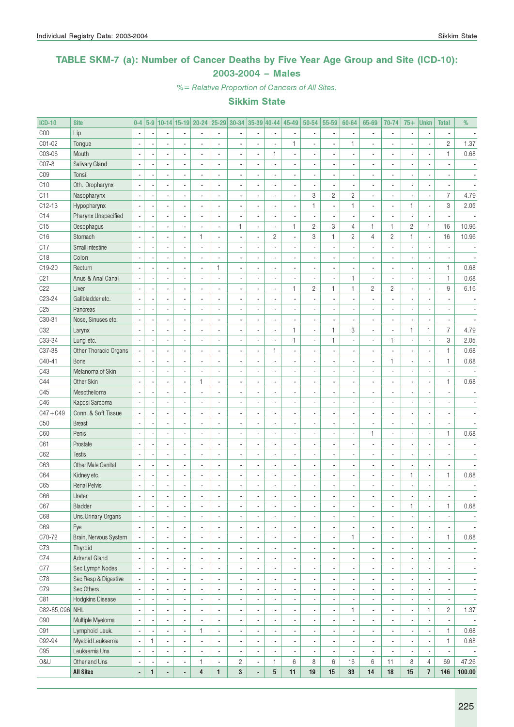### TABLE SKM-7 (a): Number of Cancer Deaths by Five Year Age Group and Site (ICD-10): 2003-2004 – Males

%= Relative Proportion of Cancers of All Sites.

| <b>ICD-10</b>   | <b>Site</b>           | $0-4$                    | $5-9$        |                          |                          | 10-14 15-19 20-24        | $ 25 - 29 $              | $ 30-34 35-39 40-44 $ |                          |                          | 45-49                    | $50 - 54$                | 55-59                    | 60-64          | 65-69                    | 70-74                    | $75+$          | <b>Unkn</b>              | <b>Total</b>             | %                        |
|-----------------|-----------------------|--------------------------|--------------|--------------------------|--------------------------|--------------------------|--------------------------|-----------------------|--------------------------|--------------------------|--------------------------|--------------------------|--------------------------|----------------|--------------------------|--------------------------|----------------|--------------------------|--------------------------|--------------------------|
| COO             | Lip                   | $\overline{\phantom{a}}$ |              |                          |                          |                          | $\blacksquare$           |                       |                          | $\overline{a}$           |                          |                          | $\overline{\phantom{a}}$ |                | $\overline{\phantom{a}}$ | $\blacksquare$           |                |                          |                          |                          |
| CO1-02          | Tongue                | $\overline{a}$           |              | $\overline{a}$           |                          |                          | ÷,                       |                       |                          | ä,                       | 1                        |                          | ä,                       | $\mathbf{1}$   | $\overline{a}$           | $\overline{a}$           |                | ÷,                       | $\overline{c}$           | 1.37                     |
| C03-06          | Mouth                 | $\overline{a}$           |              | $\overline{\phantom{a}}$ |                          |                          | $\overline{a}$           | $\overline{a}$        |                          | 1                        |                          |                          | ×,                       |                | $\overline{\phantom{a}}$ | $\blacksquare$           |                | ÷,                       | $\mathbf{1}$             | 0.68                     |
| C07-8           | Salivary Gland        | Ĭ.                       |              | ä,                       |                          | $\overline{\phantom{a}}$ | $\overline{a}$           | $\overline{a}$        |                          | $\overline{\phantom{a}}$ |                          |                          | $\blacksquare$           |                |                          | $\overline{\phantom{a}}$ |                |                          |                          |                          |
| C <sub>09</sub> | Tonsil                |                          |              | ä,                       |                          |                          | ÷,                       | $\overline{a}$        |                          | ä,                       |                          |                          | ä,                       |                | $\overline{a}$           | $\blacksquare$           |                |                          |                          |                          |
| C10             | Oth. Oropharynx       | Ĭ.                       |              | ÷.                       |                          |                          | ÷,                       | $\overline{a}$        | $\overline{a}$           | $\overline{\phantom{a}}$ |                          |                          | $\overline{a}$           |                |                          | $\overline{\phantom{a}}$ |                | ÷,                       |                          |                          |
| C11             | Nasopharynx           |                          |              | ÷.                       |                          |                          | ÷,                       |                       | $\overline{a}$           | $\overline{\phantom{a}}$ | ÷,                       | 3                        | $\overline{c}$           | $\overline{c}$ | ÷.                       | $\overline{a}$           |                | $\overline{\phantom{a}}$ | $\overline{7}$           | 4.79                     |
| $C12-13$        | Hypopharynx           |                          |              | ÷.                       |                          |                          | ÷,                       |                       | $\overline{a}$           | ä,                       | ÷,                       | $\mathbf{1}$             | $\overline{\phantom{a}}$ | $\mathbf{1}$   | $\overline{a}$           | $\overline{\phantom{a}}$ | 1              | $\overline{\phantom{a}}$ | 3                        | 2.05                     |
| C14             | Pharynx Unspecified   |                          |              | ÷.                       |                          |                          | ÷,                       |                       | $\overline{a}$           | $\overline{\phantom{a}}$ |                          |                          | ä,                       |                |                          | $\overline{a}$           |                | ÷,                       |                          |                          |
| C15             | Oesophagus            |                          |              | ÷.                       |                          |                          | $\overline{a}$           | $\mathbf{1}$          | $\blacksquare$           | $\overline{\phantom{a}}$ | 1                        | $\mathbf{2}$             | 3                        | 4              | $\mathbf{1}$             | 1                        | $\overline{c}$ | $\mathbf{1}$             | 16                       | 10.96                    |
| C16             | Stomach               | $\overline{\phantom{a}}$ |              | ä,                       |                          | 1                        | ÷,                       | $\overline{a}$        | ÷,                       | $\mathbf{2}$             | ÷,                       | 3                        | $\mathbf{1}$             | $\overline{c}$ | $\overline{4}$           | $\overline{c}$           | $\mathbf{1}$   | $\overline{\phantom{a}}$ | 16                       | 10.96                    |
| C17             | Small Intestine       | $\overline{a}$           |              | $\overline{\phantom{a}}$ |                          |                          | $\overline{a}$           |                       |                          | $\overline{\phantom{a}}$ |                          |                          | $\overline{a}$           |                |                          | $\overline{\phantom{a}}$ |                |                          |                          |                          |
| C <sub>18</sub> | Colon                 |                          |              | ä,                       |                          | $\overline{a}$           |                          | $\overline{a}$        |                          | $\overline{\phantom{a}}$ |                          |                          | ä,                       |                |                          | $\blacksquare$           |                |                          |                          |                          |
| C19-20          | Rectum                |                          |              | ä,                       |                          | $\overline{a}$           | 1                        | ä,                    | $\overline{a}$           | $\overline{\phantom{a}}$ | ä,                       | $\overline{a}$           | $\overline{\phantom{a}}$ |                | $\overline{\phantom{a}}$ | $\blacksquare$           |                | $\overline{\phantom{a}}$ | $\mathbf{1}$             | 0.68                     |
| C <sub>21</sub> | Anus & Anal Canal     |                          |              | ä,                       |                          | $\overline{\phantom{a}}$ | ÷,                       | $\overline{a}$        | $\overline{\phantom{a}}$ | $\overline{\phantom{a}}$ |                          | $\overline{\phantom{a}}$ | $\overline{\phantom{a}}$ | $\mathbf{1}$   | ä,                       | $\overline{\phantom{a}}$ |                | $\blacksquare$           | $\mathbf{1}$             | 0.68                     |
| C <sub>22</sub> | Liver                 |                          |              | ä,                       |                          |                          | $\overline{a}$           | $\overline{a}$        | ÷,                       | $\overline{a}$           | 1                        | $\mathbf{2}$             | $\mathbf{1}$             | 1              | $\overline{c}$           | $\overline{c}$           |                | ÷,                       | 9                        | 6.16                     |
| C23-24          | Gallbladder etc.      | $\overline{\phantom{a}}$ |              | ÷.                       |                          |                          | $\overline{a}$           | $\overline{a}$        | $\overline{a}$           | ä,                       |                          |                          | $\overline{a}$           |                |                          | $\overline{\phantom{a}}$ |                |                          |                          |                          |
| C <sub>25</sub> | Pancreas              |                          |              | ÷.                       |                          |                          | $\overline{a}$           |                       | $\overline{a}$           | ä,                       |                          |                          | Ĭ.                       |                |                          | $\overline{\phantom{a}}$ |                | ÷,                       |                          |                          |
| C30-31          | Nose, Sinuses etc.    | Ĭ.                       |              | ÷.                       |                          |                          | ÷,                       |                       | $\overline{a}$           | ä,                       |                          |                          | ä,                       |                |                          | $\overline{\phantom{a}}$ |                | ÷,                       |                          |                          |
| C <sub>32</sub> | Larynx                |                          |              | ÷.                       |                          |                          | ÷,                       |                       | $\overline{a}$           | ä,                       | 1                        | $\overline{a}$           | $\mathbf{1}$             | 3              | ÷.                       | $\blacksquare$           | $\mathbf{1}$   | $\mathbf{1}$             | $\overline{7}$           | 4.79                     |
| C33-34          | Lung etc.             |                          |              | ÷.                       |                          |                          | $\overline{a}$           |                       | $\overline{a}$           | ä,                       | 1                        |                          | $\mathbf{1}$             |                | $\overline{\phantom{a}}$ | $\mathbf{1}$             |                | Ĭ.                       | 3                        | 2.05                     |
| C37-38          | Other Thoracic Organs |                          |              | ÷.                       |                          |                          | $\overline{a}$           | $\overline{a}$        | ÷,                       | $\mathbf{1}$             |                          |                          | $\overline{a}$           |                |                          | $\overline{a}$           |                | ÷,                       | $\mathbf{1}$             | 0.68                     |
| C40-41          | Bone                  |                          |              | ÷,                       |                          |                          | $\overline{a}$           |                       |                          | $\overline{\phantom{a}}$ |                          |                          | ä,                       |                | $\overline{a}$           | $\mathbf{1}$             |                | ÷,                       | $\mathbf{1}$             | 0.68                     |
| C43             | Melanoma of Skin      | $\overline{\phantom{a}}$ |              | $\overline{\phantom{a}}$ |                          |                          | $\overline{a}$           | $\overline{a}$        |                          | ä,                       |                          |                          | $\overline{a}$           |                |                          | $\overline{\phantom{a}}$ |                | ÷,                       |                          |                          |
| C44             | Other Skin            |                          |              |                          |                          |                          | ÷,                       |                       |                          |                          |                          |                          |                          |                |                          |                          |                |                          | $\mathbf{1}$             | 0.68                     |
|                 |                       | $\overline{\phantom{a}}$ |              | ä,                       |                          | 1                        |                          | $\overline{a}$        |                          | $\overline{\phantom{a}}$ |                          |                          | ä,                       |                |                          | $\blacksquare$           |                | ÷,                       |                          |                          |
| C45             | Mesothelioma          | $\overline{a}$           |              | $\overline{a}$           |                          |                          | $\overline{a}$           | $\overline{a}$        |                          | ä,                       |                          |                          | $\overline{a}$           |                |                          | $\overline{\phantom{a}}$ |                |                          |                          |                          |
| C46             | Kaposi Sarcoma        |                          |              | ÷.                       |                          |                          | $\overline{a}$           | $\overline{a}$        |                          | ä,                       |                          |                          | $\overline{a}$           |                |                          | $\overline{\phantom{a}}$ |                |                          |                          |                          |
| $C47 + C49$     | Conn. & Soft Tissue   |                          |              | ÷.                       |                          |                          | $\overline{a}$           | $\overline{a}$        |                          | ä,                       |                          |                          | $\overline{a}$           | Ĭ.             |                          | $\overline{\phantom{a}}$ |                |                          |                          |                          |
| C50             | <b>Breast</b>         |                          |              | ÷.                       |                          |                          | Ĭ.                       |                       |                          | ä,                       |                          |                          | ä,                       | ÷.             |                          | $\overline{\phantom{a}}$ |                | ÷,                       | $\overline{a}$           |                          |
| C60             | Penis                 | $\overline{\phantom{a}}$ |              | ÷.                       |                          |                          | Ĭ.                       | $\overline{a}$        |                          | ä,                       |                          |                          | ä,                       | $\overline{a}$ | $\mathbf{1}$             | $\overline{\phantom{a}}$ |                | Ĭ.                       | $\mathbf{1}$             | 0.68                     |
| C61             | Prostate              | $\overline{\phantom{a}}$ |              | ÷.                       |                          |                          | ÷,                       | $\overline{a}$        |                          | ä,                       |                          |                          | $\overline{a}$           |                |                          | $\overline{a}$           |                |                          |                          |                          |
| C62             | <b>Testis</b>         |                          |              | ÷.                       |                          |                          | ÷,                       | $\overline{a}$        |                          | ä,                       |                          |                          | ä,                       |                |                          | $\overline{\phantom{a}}$ |                | ÷,                       |                          |                          |
| C63             | Other Male Genital    | Ĭ.                       |              | ÷.                       |                          |                          | ÷,                       | $\overline{a}$        | $\overline{a}$           | ä,                       | ÷,                       |                          | $\overline{a}$           | $\overline{a}$ |                          | $\overline{\phantom{a}}$ |                | ÷,                       | ä,                       |                          |
| C64             | Kidney etc.           | $\overline{a}$           |              | ä,                       |                          |                          | ÷,                       | $\overline{a}$        | $\overline{a}$           | ä,                       | ÷,                       |                          | $\overline{a}$           | $\overline{a}$ |                          | $\overline{\phantom{a}}$ | 1              | $\overline{\phantom{a}}$ | $\mathbf{1}$             | 0.68                     |
| C65             | <b>Renal Pelvis</b>   | $\overline{a}$           |              | $\overline{\phantom{a}}$ |                          |                          | Ĭ.                       | $\overline{a}$        |                          | ä,                       |                          |                          | $\overline{a}$           |                |                          | $\overline{\phantom{a}}$ |                |                          |                          |                          |
| C66             | Ureter                | $\overline{\phantom{a}}$ |              | ä,                       |                          |                          | ÷,                       | ä,                    | $\overline{a}$           | ä,                       | ٠                        |                          | ÷,                       |                |                          | $\overline{\phantom{a}}$ | $\blacksquare$ | $\blacksquare$           |                          |                          |
| C67             | Bladder               | $\overline{\phantom{a}}$ |              | ٠                        | $\overline{\phantom{a}}$ |                          |                          | $\blacksquare$        |                          | $\overline{\phantom{a}}$ |                          | $\blacksquare$           | ٠                        |                |                          | $\blacksquare$           | 1              | $\overline{\phantom{a}}$ | 1                        | 0.68                     |
| C68             | Uns.Urinary Organs    | $\overline{\phantom{a}}$ |              | ٠                        | $\overline{a}$           | $\overline{\phantom{a}}$ | ä,                       | $\blacksquare$        | $\blacksquare$           | $\blacksquare$           | $\overline{\phantom{a}}$ | $\overline{a}$           | $\overline{\phantom{a}}$ | $\blacksquare$ | $\blacksquare$           | $\overline{\phantom{a}}$ |                | ÷,                       |                          |                          |
| C69             | Eye                   | $\overline{\phantom{a}}$ |              | ٠                        | $\overline{a}$           | $\overline{\phantom{a}}$ | $\overline{\phantom{a}}$ | $\overline{a}$        | $\overline{a}$           | $\blacksquare$           | $\overline{\phantom{a}}$ | $\blacksquare$           | $\overline{\phantom{a}}$ |                | $\overline{\phantom{a}}$ | $\overline{\phantom{a}}$ |                | $\overline{\phantom{a}}$ |                          | $\overline{\phantom{a}}$ |
| C70-72          | Brain, Nervous System | $\overline{\phantom{a}}$ |              | ٠                        |                          | $\overline{\phantom{a}}$ | ä,                       | $\blacksquare$        |                          | ٠                        | $\overline{\phantom{a}}$ | $\blacksquare$           | $\overline{\phantom{a}}$ | 1              | $\blacksquare$           | $\blacksquare$           |                | $\blacksquare$           | $\mathbf{1}$             | 0.68                     |
| C73             | Thyroid               | ×,                       |              | ٠                        |                          |                          | ÷.                       | $\blacksquare$        |                          | $\frac{1}{2}$            | $\overline{\phantom{a}}$ | $\blacksquare$           | $\overline{\phantom{a}}$ | $\blacksquare$ | $\overline{\phantom{a}}$ | $\blacksquare$           |                | $\blacksquare$           | $\blacksquare$           |                          |
| C74             | <b>Adrenal Gland</b>  | $\overline{a}$           |              | ٠                        |                          |                          | ÷.                       | $\overline{a}$        |                          | $\frac{1}{2}$            | $\overline{\phantom{a}}$ | $\blacksquare$           | $\overline{\phantom{a}}$ | $\blacksquare$ | $\overline{\phantom{a}}$ | $\overline{\phantom{a}}$ |                | $\blacksquare$           | $\blacksquare$           | $\overline{\phantom{a}}$ |
| C77             | Sec Lymph Nodes       |                          |              | ٠                        |                          |                          | ÷.                       | $\overline{a}$        |                          | $\frac{1}{2}$            | $\overline{\phantom{a}}$ | $\blacksquare$           | $\overline{\phantom{a}}$ | $\blacksquare$ | $\overline{\phantom{a}}$ | $\overline{\phantom{a}}$ |                | $\blacksquare$           | $\blacksquare$           | ٠                        |
| C78             | Sec Resp & Digestive  |                          |              | ٠                        |                          | $\overline{\phantom{a}}$ | ÷.                       | $\overline{a}$        |                          | $\frac{1}{2}$            | $\overline{\phantom{a}}$ | $\blacksquare$           | $\overline{\phantom{a}}$ | $\blacksquare$ | $\overline{\phantom{a}}$ | $\overline{\phantom{a}}$ |                | $\blacksquare$           | $\blacksquare$           | $\overline{\phantom{a}}$ |
| C79             | Sec Others            | $\overline{a}$           |              | ٠                        |                          | $\overline{\phantom{a}}$ | ÷.                       | $\overline{a}$        |                          | $\frac{1}{2}$            | $\overline{\phantom{a}}$ | $\blacksquare$           | $\overline{\phantom{a}}$ | $\blacksquare$ | $\overline{\phantom{a}}$ | $\overline{\phantom{a}}$ |                | $\blacksquare$           | $\blacksquare$           | $\overline{\phantom{a}}$ |
| C81             | Hodgkins Disease      | Ĭ.                       |              | ٠                        | $\overline{a}$           | $\overline{\phantom{a}}$ | ÷.                       | $\overline{a}$        |                          | $\frac{1}{2}$            | $\overline{\phantom{a}}$ | $\blacksquare$           | $\overline{\phantom{a}}$ |                | $\overline{\phantom{a}}$ | $\overline{\phantom{a}}$ |                | $\blacksquare$           | $\blacksquare$           | $\overline{\phantom{a}}$ |
| C82-85, C96 NHL |                       | ÷,                       |              | ٠                        | $\overline{a}$           |                          | $\overline{a}$           | $\overline{a}$        |                          | $\frac{1}{2}$            | $\overline{\phantom{a}}$ | $\blacksquare$           | $\blacksquare$           | 1              | $\overline{a}$           | $\overline{\phantom{a}}$ |                | $\mathbf{1}$             | $\overline{c}$           | 1.37                     |
| C90             | Multiple Myeloma      | Ĭ.                       |              | ٠                        | $\overline{a}$           |                          | $\overline{a}$           | $\overline{a}$        |                          | $\frac{1}{2}$            | $\overline{\phantom{a}}$ | $\blacksquare$           | $\overline{\phantom{a}}$ | $\blacksquare$ | $\overline{\phantom{a}}$ | $\overline{\phantom{a}}$ |                | $\blacksquare$           | $\overline{\phantom{a}}$ |                          |
| C91             | Lymphoid Leuk.        |                          |              | ٠                        | $\overline{\phantom{a}}$ | 1                        | $\overline{\phantom{a}}$ | ×,                    |                          | $\blacksquare$           | $\overline{\phantom{a}}$ | $\blacksquare$           | $\overline{\phantom{a}}$ | ٠              | $\overline{\phantom{a}}$ | $\overline{\phantom{a}}$ |                | $\blacksquare$           | $\mathbf{1}$             | 0.68                     |
| C92-94          | Myeloid Leukaemia     | ÷,                       | 1            | $\overline{\phantom{a}}$ | $\overline{a}$           |                          | $\overline{a}$           | $\overline{a}$        |                          | $\frac{1}{2}$            | $\overline{\phantom{a}}$ | $\blacksquare$           | $\overline{\phantom{a}}$ | $\blacksquare$ | $\overline{\phantom{a}}$ | $\overline{\phantom{a}}$ |                | $\blacksquare$           | $\mathbf{1}$             | 0.68                     |
| C95             | Leukaemia Uns         | ×,                       |              | ٠                        | $\blacksquare$           |                          | $\overline{a}$           | $\blacksquare$        | $\overline{a}$           | $\overline{\phantom{a}}$ |                          | $\blacksquare$           | $\overline{\phantom{a}}$ |                | $\blacksquare$           | $\blacksquare$           |                | $\overline{\phantom{a}}$ | $\blacksquare$           |                          |
| 0&U             | Other and Uns         | ٠                        |              | $\overline{\phantom{a}}$ | $\overline{\phantom{a}}$ | 1                        | $\overline{\phantom{a}}$ | $\mathbf{2}$          | $\blacksquare$           | 1                        | 6                        | 8                        | 6                        | 16             | 6                        | 11                       | 8              | $\overline{4}$           | 69                       | 47.26                    |
|                 | <b>All Sites</b>      |                          | $\mathbf{1}$ | ÷.                       |                          | 4                        | $\mathbf{1}$             | $\bf 3$               |                          | $\mathbf 5$              | 11                       | 19                       | 15                       | $33\,$         | 14                       | 18                       | 15             | $\bf 7$                  | 146                      | 100.00                   |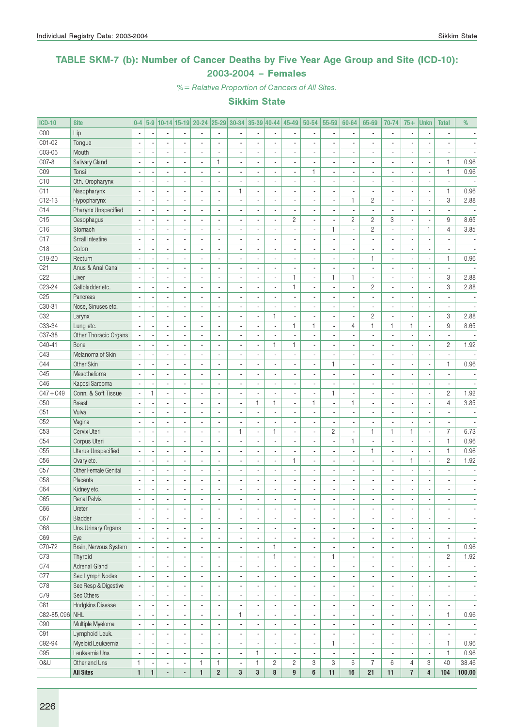### TABLE SKM-7 (b): Number of Cancer Deaths by Five Year Age Group and Site (ICD-10): 2003-2004 – Females

%= Relative Proportion of Cancers of All Sites.

| <b>ICD-10</b>   | <b>Site</b>               | $0-4$                    | $5-9$                    |                          |                          | 10-14 15-19 20-24 25-29 30-34 |                          |                          |                          | $ 35-39 40-44 $          | 45-49                        | 50-54                    | 55-59                        | 60-64                    | 65-69                       | 70-74                    | $75+$                        | <b>Unkn</b>              | <b>Total</b>             | %                        |
|-----------------|---------------------------|--------------------------|--------------------------|--------------------------|--------------------------|-------------------------------|--------------------------|--------------------------|--------------------------|--------------------------|------------------------------|--------------------------|------------------------------|--------------------------|-----------------------------|--------------------------|------------------------------|--------------------------|--------------------------|--------------------------|
| C <sub>00</sub> | Lip                       | $\overline{\phantom{a}}$ |                          |                          |                          |                               | $\overline{a}$           |                          |                          | ä,                       |                              |                          | $\overline{\phantom{a}}$     |                          | $\overline{\phantom{a}}$    | $\blacksquare$           |                              | $\overline{\phantom{a}}$ |                          |                          |
| C01-02          | Tongue                    |                          |                          |                          |                          |                               |                          |                          |                          | $\overline{a}$           |                              |                          |                              |                          |                             |                          |                              |                          |                          |                          |
| C03-06          | Mouth                     | $\overline{\phantom{a}}$ |                          | ÷,                       |                          | ÷,                            | $\overline{a}$           |                          |                          | ÷,                       |                              |                          | ÷,                           |                          |                             | ÷,                       |                              |                          |                          |                          |
| C07-8           | Salivary Gland            | ÷,                       |                          | $\overline{\phantom{a}}$ | $\overline{a}$           | $\overline{\phantom{a}}$      | 1                        | $\overline{\phantom{a}}$ | $\blacksquare$           | $\overline{\phantom{a}}$ | ٠                            | $\overline{a}$           | $\overline{\phantom{a}}$     | $\overline{\phantom{a}}$ |                             | $\overline{\phantom{a}}$ | ٠                            | $\overline{\phantom{a}}$ | $\mathbf{1}$             | 0.96                     |
| C <sub>09</sub> | Tonsil                    | $\overline{\phantom{a}}$ |                          | $\overline{\phantom{a}}$ | $\overline{a}$           | $\overline{\phantom{a}}$      | $\overline{a}$           | $\overline{\phantom{a}}$ | $\overline{\phantom{a}}$ | $\overline{\phantom{a}}$ | $\overline{\phantom{a}}$     | $\mathbf{1}$             | $\overline{\phantom{a}}$     | ä,                       |                             | $\overline{\phantom{a}}$ | ä,                           | $\overline{\phantom{a}}$ | $\mathbf{1}$             | 0.96                     |
| C10             | Oth. Oropharynx           |                          |                          | ٠                        |                          | $\blacksquare$                | $\overline{a}$           | $\blacksquare$           |                          | $\overline{\phantom{a}}$ | $\blacksquare$               |                          | $\overline{\phantom{a}}$     | $\blacksquare$           |                             | $\blacksquare$           | $\blacksquare$               | $\overline{\phantom{a}}$ | $\overline{a}$           |                          |
| C11             | Nasopharynx               |                          |                          |                          |                          |                               | ÷,                       | $\mathbf{1}$             |                          | $\blacksquare$           |                              |                          | ä,                           |                          |                             | ÷,                       |                              | $\overline{\phantom{a}}$ | $\mathbf{1}$             | 0.96                     |
| $C12-13$        | Hypopharynx               |                          |                          | ÷.                       | $\overline{a}$           | $\overline{\phantom{a}}$      | ÷,                       | $\overline{\phantom{a}}$ | $\overline{a}$           | $\overline{\phantom{a}}$ | $\overline{\phantom{a}}$     | $\overline{a}$           | ä,                           | $\mathbf{1}$             | $\overline{c}$              | $\overline{\phantom{a}}$ | $\overline{\phantom{a}}$     | $\overline{\phantom{a}}$ | 3                        | 2.88                     |
| C14             | Pharynx Unspecified       |                          |                          | $\overline{\phantom{a}}$ |                          |                               | $\blacksquare$           |                          |                          | $\overline{\phantom{a}}$ |                              |                          | $\overline{\phantom{a}}$     | ä,                       | $\overline{a}$              | ä,                       |                              | $\overline{\phantom{a}}$ | $\overline{\phantom{a}}$ |                          |
| C15             | Oesophagus                |                          |                          | $\overline{a}$           |                          |                               | $\overline{a}$           |                          |                          | ÷,                       | $\overline{c}$               |                          | ÷,                           | $\overline{c}$           | $\overline{c}$              | 3                        | ٠                            | ÷,                       | 9                        | 8.65                     |
| C16             | Stomach                   | $\overline{\phantom{a}}$ |                          | $\overline{\phantom{a}}$ | $\overline{a}$           | $\overline{a}$                | $\overline{a}$           | $\overline{\phantom{a}}$ | $\overline{a}$           | $\blacksquare$           | $\overline{a}$               | $\overline{a}$           | $\mathbf{1}$                 | $\overline{a}$           | $\overline{c}$              | $\overline{\phantom{a}}$ | ä,                           | $\mathbf{1}$             | $\overline{4}$           | 3.85                     |
| C17             | Small Intestine           | $\overline{\phantom{a}}$ |                          | $\overline{a}$           | ä,                       | ä,                            | ÷,                       | $\overline{\phantom{a}}$ | $\overline{\phantom{a}}$ | $\overline{\phantom{a}}$ | $\overline{\phantom{a}}$     | $\overline{a}$           | $\sim$                       | ä,                       |                             | $\overline{a}$           | ä,                           | $\overline{\phantom{a}}$ | $\overline{\phantom{a}}$ | $\overline{\phantom{a}}$ |
| C18             | Colon                     |                          |                          | ٠                        |                          | $\blacksquare$                | ٠                        | $\overline{\phantom{a}}$ | $\blacksquare$           | $\overline{\phantom{a}}$ | $\blacksquare$               |                          | $\qquad \qquad \blacksquare$ | $\overline{\phantom{a}}$ |                             | $\overline{\phantom{a}}$ | $\overline{\phantom{a}}$     | $\overline{\phantom{a}}$ | $\overline{\phantom{a}}$ | $\overline{\phantom{a}}$ |
| C19-20          | Rectum                    | $\overline{\phantom{a}}$ |                          | $\overline{a}$           |                          |                               | ÷,                       | $\overline{a}$           |                          | $\blacksquare$           |                              |                          | ä,                           |                          | 1                           | $\overline{\phantom{a}}$ |                              | $\overline{\phantom{a}}$ | $\mathbf{1}$             | 0.96                     |
| C <sub>21</sub> | Anus & Anal Canal         |                          |                          | $\overline{a}$           |                          | $\overline{\phantom{a}}$      | $\overline{a}$           | $\overline{\phantom{a}}$ | $\overline{a}$           | $\blacksquare$           | $\overline{\phantom{a}}$     |                          | $\overline{\phantom{a}}$     | $\overline{\phantom{a}}$ | $\overline{\phantom{a}}$    | $\overline{a}$           | $\overline{\phantom{a}}$     | $\overline{\phantom{a}}$ | $\overline{\phantom{a}}$ |                          |
| C22             | Liver                     |                          |                          | ä,                       |                          |                               | ä,                       |                          |                          | ÷,                       | $\mathbf{1}$                 | ä,                       | $\mathbf{1}$                 | $\mathbf{1}$             |                             | ä,                       |                              | $\overline{\phantom{a}}$ | 3                        | 2.88                     |
| C23-24          | Gallbladder etc.          |                          |                          | ä,                       |                          | $\overline{\phantom{a}}$      | $\overline{a}$           |                          | $\overline{a}$           | ÷,                       | $\mathbf{1}$                 |                          | $\overline{\phantom{a}}$     | ä,                       | $\overline{c}$              | ÷,                       | $\overline{\phantom{a}}$     | $\overline{\phantom{a}}$ | 3                        | 2.88                     |
| C <sub>25</sub> | Pancreas                  | $\overline{\phantom{a}}$ |                          | $\overline{\phantom{a}}$ | $\overline{a}$           | ä,                            | $\blacksquare$           | $\overline{\phantom{a}}$ |                          | ÷,                       |                              |                          | $\overline{\phantom{a}}$     |                          |                             | ä,                       |                              | $\overline{\phantom{a}}$ | $\overline{a}$           |                          |
| C30-31          | Nose, Sinuses etc.        | ÷,                       |                          | $\overline{a}$           | ÷,                       | $\overline{\phantom{a}}$      | $\overline{a}$           | $\overline{\phantom{a}}$ | $\overline{\phantom{a}}$ | ÷,                       | $\overline{\phantom{a}}$     | ÷,                       | $\sim$                       | ä,                       |                             | $\overline{a}$           | $\overline{\phantom{a}}$     | $\blacksquare$           | $\overline{\phantom{a}}$ |                          |
| C32             | Larynx                    |                          |                          | ٠                        |                          | $\blacksquare$                | ä,                       | $\blacksquare$           | $\blacksquare$           | 1                        | $\overline{\phantom{a}}$     |                          | ÷,                           | $\overline{\phantom{a}}$ | $\overline{c}$              | $\overline{a}$           | $\overline{\phantom{a}}$     | $\overline{\phantom{a}}$ | 3                        | 2.88                     |
| C33-34          | Lung etc.                 |                          |                          |                          |                          |                               |                          |                          |                          | ÷,                       | $\mathbf{1}$                 | $\mathbf{1}$             | ä,                           | $\overline{4}$           | $\mathbf{1}$                | $\mathbf{1}$             | 1                            | $\overline{\phantom{a}}$ | 9                        | 8.65                     |
| C37-38          | Other Thoracic Organs     |                          |                          | $\overline{\phantom{a}}$ | $\overline{a}$           | $\overline{a}$                | $\overline{a}$           | $\blacksquare$           | $\overline{a}$           | $\blacksquare$           | $\overline{a}$               | $\overline{a}$           | $\overline{\phantom{a}}$     | $\overline{a}$           | $\overline{\phantom{a}}$    | $\overline{a}$           | ٠                            | $\overline{\phantom{a}}$ | $\overline{\phantom{a}}$ |                          |
| C40-41          | Bone                      |                          |                          | ä,                       |                          |                               | $\blacksquare$           |                          | $\overline{a}$           | $\mathbf{1}$             | $\mathbf{1}$                 | ä,                       | ä,                           | ä,                       |                             | ä,                       |                              | ÷,                       | 2                        | 1.92                     |
| C43             | Melanoma of Skin          |                          |                          | $\overline{a}$           |                          | $\overline{\phantom{a}}$      | $\overline{a}$           |                          |                          | ÷,                       |                              |                          | $\overline{\phantom{a}}$     | $\overline{a}$           |                             | ×,                       | $\overline{\phantom{a}}$     | $\overline{\phantom{a}}$ | $\overline{\phantom{a}}$ |                          |
| C44             | Other Skin                | $\sim$                   |                          | $\overline{\phantom{a}}$ | $\overline{a}$           | ä,                            | $\blacksquare$           | $\overline{a}$           | $\overline{a}$           | $\blacksquare$           |                              | $\overline{a}$           | $\mathbf{1}$                 | $\overline{\phantom{a}}$ |                             | ä,                       | ä,                           | ÷,                       | $\mathbf{1}$             | 0.96                     |
| C45             | Mesothelioma              | $\overline{\phantom{a}}$ |                          | $\overline{\phantom{a}}$ | $\overline{a}$           | $\overline{a}$                | $\overline{a}$           | $\overline{\phantom{a}}$ | $\blacksquare$           | $\overline{\phantom{a}}$ | $\overline{\phantom{a}}$     | $\overline{a}$           | $\sim$                       | $\overline{a}$           | $\sim$                      | $\overline{\phantom{a}}$ | $\overline{a}$               | $\overline{\phantom{a}}$ | $\overline{\phantom{a}}$ | $\overline{a}$           |
| C46             | Kaposi Sarcoma            |                          |                          | $\overline{\phantom{a}}$ | $\blacksquare$           | $\blacksquare$                | ä,                       | $\blacksquare$           | $\blacksquare$           | $\overline{\phantom{a}}$ | $\blacksquare$               |                          | ÷,                           | $\blacksquare$           |                             | $\overline{\phantom{a}}$ | $\blacksquare$               | $\overline{\phantom{a}}$ | $\overline{\phantom{a}}$ | $\blacksquare$           |
| $C47 + C49$     | Conn. & Soft Tissue       | Ĭ.                       | 1                        | $\overline{a}$           |                          |                               |                          | $\overline{a}$           |                          | ÷,                       |                              |                          | $\mathbf{1}$                 |                          |                             | $\overline{a}$           |                              | $\overline{\phantom{a}}$ | $\overline{c}$           | 1.92                     |
| C <sub>50</sub> | <b>Breast</b>             |                          |                          | $\overline{a}$           |                          | $\overline{\phantom{a}}$      | $\overline{a}$           | $\blacksquare$           | $\mathbf{1}$             | $\mathbf{1}$             | $\overline{a}$               | $\mathbf{1}$             | $\sim$                       | $\mathbf{1}$             |                             | $\overline{a}$           | $\overline{\phantom{a}}$     | $\overline{a}$           | $\overline{4}$           | 3.85                     |
| C51             | Vulva                     |                          |                          | ä,                       |                          | $\overline{a}$                | ÷,                       |                          | $\overline{a}$           | $\blacksquare$           |                              |                          | ä,                           | ä,                       |                             | $\overline{a}$           |                              | $\overline{\phantom{a}}$ | $\overline{\phantom{a}}$ |                          |
| C52             | Vagina                    |                          |                          | $\overline{\phantom{a}}$ |                          |                               | ä,                       |                          |                          | ÷,                       |                              |                          | $\overline{\phantom{a}}$     |                          |                             | ä,                       |                              | $\overline{\phantom{a}}$ |                          |                          |
| C <sub>53</sub> | Cervix Uteri              | $\overline{\phantom{a}}$ |                          | $\overline{\phantom{a}}$ | $\overline{a}$           | ä,                            | ÷,                       | $\mathbf{1}$             | ä,                       | $\mathbf{1}$             | $\overline{\phantom{a}}$     | $\overline{a}$           | $\overline{c}$               | ä,                       | 1                           | $\mathbf{1}$             | 1                            | $\overline{\phantom{a}}$ | $\overline{7}$           | 6.73                     |
| C54             | Corpus Uteri              | ÷,                       |                          | $\overline{\phantom{a}}$ | $\overline{a}$           | $\overline{\phantom{a}}$      | $\overline{a}$           | $\overline{\phantom{a}}$ | $\overline{a}$           | ÷,                       | ٠                            | $\overline{a}$           | ÷,                           | $\mathbf{1}$             | $\mathcal{L}_{\mathcal{A}}$ | $\overline{a}$           | $\overline{a}$               | $\overline{\phantom{a}}$ | $\mathbf{1}$             | 0.96                     |
| C55             | <b>Uterus Unspecified</b> |                          |                          | $\overline{\phantom{a}}$ | $\overline{a}$           | $\overline{a}$                | ٠                        | $\blacksquare$           |                          | $\overline{\phantom{a}}$ | $\overline{\phantom{a}}$     |                          | $\overline{\phantom{a}}$     | ä,                       | 1                           | $\overline{a}$           | $\overline{\phantom{a}}$     | $\overline{\phantom{a}}$ | 1                        | 0.96                     |
| C <sub>56</sub> | Ovary etc.                |                          |                          |                          |                          |                               |                          |                          |                          | Ĭ.                       | $\mathbf{1}$                 |                          | Ĭ.                           |                          |                             | ÷,                       | 1                            |                          | $\overline{c}$           | 1.92                     |
| C57             | Other Female Genital      |                          |                          | $\overline{\phantom{a}}$ | $\overline{a}$           | $\overline{a}$                | $\overline{a}$           | $\blacksquare$           | $\overline{a}$           | $\blacksquare$           | $\overline{a}$               | $\overline{a}$           | $\overline{\phantom{a}}$     | $\overline{a}$           | $\sim$                      | $\overline{a}$           | $\overline{a}$               | $\overline{a}$           | $\overline{a}$           | $\blacksquare$           |
| C <sub>58</sub> | Placenta                  |                          |                          | $\overline{a}$           |                          | $\overline{a}$                | ÷,                       | $\overline{a}$           | $\overline{a}$           | $\blacksquare$           |                              |                          | ä,                           | $\overline{a}$           |                             | $\overline{a}$           |                              | $\overline{\phantom{a}}$ | ä,                       | $\blacksquare$           |
| C64             | Kidney etc.               |                          |                          | $\overline{\phantom{a}}$ |                          | $\blacksquare$                | $\overline{a}$           |                          |                          | $\overline{\phantom{a}}$ | ٠                            |                          | ٠                            | $\blacksquare$           |                             | $\overline{\phantom{a}}$ | $\blacksquare$               | $\overline{\phantom{a}}$ | $\frac{1}{2}$            | $\overline{\phantom{a}}$ |
| C65             | <b>Renal Pelvis</b>       | $\overline{\phantom{a}}$ |                          |                          |                          |                               |                          |                          |                          | $\overline{a}$           |                              |                          | $\overline{a}$               |                          |                             |                          |                              | ÷,                       | ä,                       |                          |
| C66             | Ureter                    | $\overline{\phantom{a}}$ |                          | $\overline{\phantom{a}}$ | $\overline{\phantom{a}}$ | ٠                             | $\overline{\phantom{a}}$ | $\overline{\phantom{a}}$ | $\overline{\phantom{a}}$ | $\overline{\phantom{a}}$ | $\overline{\phantom{a}}$     | $\overline{\phantom{a}}$ | $\overline{\phantom{a}}$     | $\overline{\phantom{a}}$ | $\blacksquare$              | $\overline{\phantom{a}}$ | ٠                            | $\overline{\phantom{a}}$ | $\overline{\phantom{a}}$ | $\overline{\phantom{a}}$ |
| C67             | Bladder                   | $\overline{\phantom{a}}$ | $\overline{\phantom{a}}$ | $\overline{\phantom{a}}$ | $\overline{\phantom{a}}$ | $\overline{\phantom{a}}$      | $\overline{\phantom{a}}$ | $\overline{\phantom{a}}$ | $\overline{\phantom{a}}$ | $\overline{\phantom{a}}$ | $\overline{\phantom{a}}$     | $\overline{\phantom{a}}$ | $\overline{\phantom{a}}$     | $\overline{\phantom{a}}$ | $\blacksquare$              | $\overline{\phantom{a}}$ | $\overline{\phantom{a}}$     | $\overline{\phantom{a}}$ | $\overline{\phantom{a}}$ | $\overline{\phantom{a}}$ |
| C68             | Uns.Urinary Organs        | $\overline{\phantom{a}}$ |                          | $\overline{\phantom{a}}$ | $\overline{a}$           | $\blacksquare$                | $\overline{\phantom{a}}$ | $\overline{\phantom{a}}$ | $\blacksquare$           | $\overline{\phantom{a}}$ | $\blacksquare$               | $\overline{a}$           | $\overline{\phantom{a}}$     | $\blacksquare$           | $\sim$                      | $\blacksquare$           | $\blacksquare$               | $\overline{\phantom{a}}$ | $\overline{\phantom{a}}$ | $\blacksquare$           |
| C69             | Eye                       | $\overline{\phantom{a}}$ |                          | $\blacksquare$           | $\blacksquare$           | $\overline{\phantom{a}}$      | $\overline{\phantom{a}}$ | $\overline{\phantom{a}}$ | $\blacksquare$           | $\overline{\phantom{a}}$ | ٠                            | $\blacksquare$           | $\overline{\phantom{a}}$     | ٠                        | $\blacksquare$              | $\blacksquare$           | $\qquad \qquad \blacksquare$ | $\overline{\phantom{a}}$ | $\overline{\phantom{a}}$ | $\overline{\phantom{a}}$ |
| C70-72          | Brain, Nervous System     |                          |                          | $\blacksquare$           | $\blacksquare$           | $\overline{\phantom{a}}$      | $\overline{\phantom{a}}$ | $\overline{\phantom{a}}$ | $\blacksquare$           | $\mathbf{1}$             | ٠                            | $\blacksquare$           | $\overline{\phantom{a}}$     | $\overline{\phantom{a}}$ | $\overline{\phantom{a}}$    | $\overline{\phantom{a}}$ | ٠                            | $\overline{\phantom{a}}$ | $\mathbf{1}$             | 0.96                     |
| C73             | Thyroid                   |                          |                          | $\overline{\phantom{a}}$ | $\overline{a}$           | $\overline{\phantom{a}}$      | $\overline{\phantom{a}}$ | $\blacksquare$           |                          | $\mathbf{1}$             | $\qquad \qquad \blacksquare$ | $\blacksquare$           | 1.                           | ٠                        | $\blacksquare$              | $\overline{\phantom{a}}$ |                              | $\overline{\phantom{a}}$ | $\sqrt{2}$               | 1.92                     |
| C74             | <b>Adrenal Gland</b>      | $\sim$                   |                          | $\overline{a}$           | ÷,                       | ä,                            | $\blacksquare$           | $\overline{\phantom{a}}$ |                          | ÷,                       |                              | $\blacksquare$           | $\overline{\phantom{a}}$     | ä,                       | $\overline{\phantom{a}}$    | $\overline{\phantom{a}}$ | ä,                           | ÷,                       | $\blacksquare$           | $\overline{\phantom{a}}$ |
| C77             | Sec Lymph Nodes           | $\sim$                   |                          | $\overline{\phantom{a}}$ | $\blacksquare$           | $\overline{\phantom{a}}$      | $\overline{\phantom{a}}$ | $\overline{\phantom{a}}$ | $\blacksquare$           | ÷,                       | ٠                            | $\overline{\phantom{a}}$ | $\overline{\phantom{a}}$     | $\blacksquare$           | $\sim$                      | $\overline{\phantom{a}}$ | ٠                            | $\overline{\phantom{a}}$ | $\overline{\phantom{a}}$ | $\overline{\phantom{a}}$ |
| C78             | Sec Resp & Digestive      |                          |                          | $\blacksquare$           | $\overline{\phantom{a}}$ | $\overline{\phantom{a}}$      | $\overline{\phantom{a}}$ | $\overline{\phantom{a}}$ | $\overline{\phantom{a}}$ | $\overline{\phantom{a}}$ | $\overline{\phantom{a}}$     | $\overline{\phantom{a}}$ | $\overline{\phantom{a}}$     | ٠                        | $\blacksquare$              | $\overline{\phantom{a}}$ | ٠                            | $\overline{\phantom{a}}$ | $\overline{\phantom{a}}$ | $\overline{\phantom{a}}$ |
| C79             | Sec Others                |                          |                          | $\overline{\phantom{a}}$ | $\blacksquare$           | $\blacksquare$                | $\overline{\phantom{a}}$ | $\overline{\phantom{a}}$ | $\blacksquare$           | $\overline{\phantom{a}}$ | $\qquad \qquad \blacksquare$ | $\blacksquare$           | ٠                            | $\overline{\phantom{a}}$ | $\blacksquare$              | $\overline{\phantom{a}}$ | $\blacksquare$               | $\overline{\phantom{a}}$ | $\overline{\phantom{a}}$ | $\overline{\phantom{a}}$ |
| C81             | <b>Hodgkins Disease</b>   | $\overline{\phantom{a}}$ |                          | $\overline{\phantom{a}}$ | $\blacksquare$           | $\overline{a}$                | $\blacksquare$           | $\blacksquare$           | $\blacksquare$           | $\overline{\phantom{a}}$ | $\overline{\phantom{a}}$     | $\blacksquare$           | $\overline{\phantom{a}}$     | $\overline{a}$           | $\blacksquare$              | $\blacksquare$           | $\blacksquare$               | $\overline{\phantom{a}}$ | $\overline{\phantom{a}}$ | $\overline{\phantom{a}}$ |
| C82-85, C96 NHL |                           | $\overline{\phantom{a}}$ |                          | $\blacksquare$           | $\overline{\phantom{a}}$ | $\overline{\phantom{a}}$      | $\blacksquare$           | $\mathbf{1}$             | $\blacksquare$           | $\blacksquare$           | ٠                            | $\overline{\phantom{a}}$ | $\overline{\phantom{a}}$     | ä,                       | $\overline{\phantom{a}}$    | $\overline{a}$           | ٠                            | $\overline{\phantom{a}}$ | $\mathbf{1}$             | 0.96                     |
| C90             | Multiple Myeloma          | $\overline{\phantom{a}}$ |                          | $\overline{\phantom{a}}$ | $\overline{a}$           | $\overline{\phantom{a}}$      | $\overline{\phantom{a}}$ | $\overline{\phantom{a}}$ |                          | $\overline{\phantom{a}}$ | $\qquad \qquad \blacksquare$ | ×,                       | $\overline{\phantom{a}}$     | $\overline{\phantom{a}}$ | $\blacksquare$              | $\overline{\phantom{a}}$ |                              | ÷                        | $\overline{\phantom{a}}$ | $\overline{\phantom{a}}$ |
| C91             | Lymphoid Leuk.            | $\overline{\phantom{a}}$ |                          | $\overline{a}$           | ä,                       | $\overline{a}$                | $\blacksquare$           | $\blacksquare$           | $\overline{a}$           | $\overline{\phantom{a}}$ | ä,                           | $\overline{\phantom{a}}$ | $\overline{\phantom{a}}$     | ÷,                       | $\overline{\phantom{a}}$    | $\overline{a}$           | ä,                           | $\overline{\phantom{a}}$ | $\overline{\phantom{a}}$ | $\overline{\phantom{a}}$ |
| C92-94          | Myeloid Leukaemia         | $\sim$                   |                          | $\blacksquare$           | $\blacksquare$           | $\blacksquare$                | $\overline{\phantom{a}}$ | $\overline{\phantom{a}}$ | $\blacksquare$           | ÷,                       | $\overline{\phantom{a}}$     | $\overline{\phantom{a}}$ | 1                            | $\overline{\phantom{a}}$ | $\blacksquare$              | $\overline{\phantom{a}}$ | ٠                            | $\overline{\phantom{a}}$ | $\mathbf{1}$             | 0.96                     |
| C95             | Leukaemia Uns             | ÷,                       |                          | $\overline{\phantom{a}}$ | $\overline{\phantom{a}}$ | $\overline{\phantom{a}}$      | $\overline{\phantom{a}}$ | $\overline{\phantom{a}}$ | 1                        | $\overline{\phantom{a}}$ | $\overline{\phantom{a}}$     | $\overline{\phantom{a}}$ | $\overline{\phantom{a}}$     | $\overline{\phantom{a}}$ | $\blacksquare$              | $\blacksquare$           | $\overline{\phantom{a}}$     | $\overline{\phantom{a}}$ | $\mathbf{1}$             | 0.96                     |
| 0&U             | Other and Uns             | 1                        |                          | $\overline{\phantom{a}}$ | $\overline{\phantom{a}}$ | 1                             | $\mathbf{1}$             | $\overline{\phantom{a}}$ | $\mathbf{1}$             | $\overline{c}$           | $\overline{c}$               | 3                        | 3                            | 6                        | $\overline{7}$              | 6                        | 4                            | 3                        | 40                       | 38.46                    |
|                 | <b>All Sites</b>          | $\mathbf{1}$             | $\mathbf{1}$             | ÷,                       | $\blacksquare$           | $\mathbf{1}$                  | $\overline{2}$           | $\mathbf{3}$             | $\mathbf{3}$             | 8                        | $\overline{9}$               | 6                        | 11                           | 16                       | 21                          | 11                       | $\overline{1}$               | $\overline{\mathbf{4}}$  | 104                      | 100.00                   |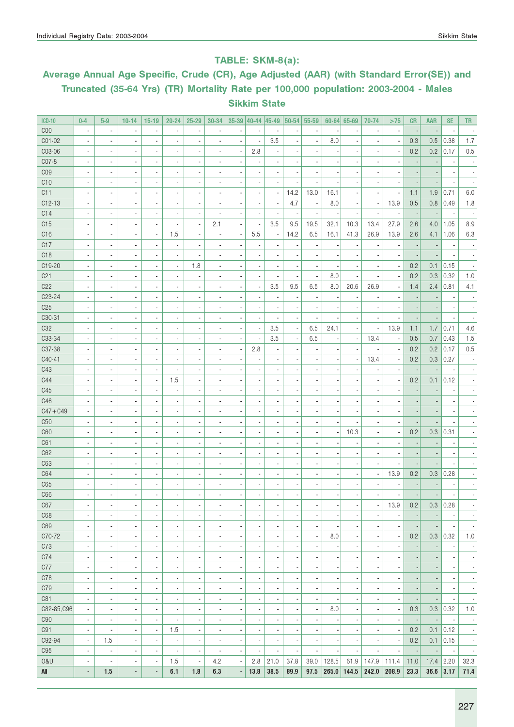### TABLE: SKM-8(a):

# Average Annual Age Specific, Crude (CR), Age Adjusted (AAR) (with Standard Error(SE)) and Truncated (35-64 Yrs) (TR) Mortality Rate per 100,000 population: 2003-2004 - Males Sikkim State

| <b>ICD-10</b>       | $0-4$                                                | $5-9$                                                | $10 - 14$                                            | $15 - 19$                                            | $20 - 24$                                            | $25 - 29$                                            | 30-34                                                | $35-39$ 40-44 45-49                                  |                                  |                                            |                                                      | $ 50-54 55-59$                                       |                          | $60 - 64$ 65-69                                      | 70-74                                      | >75                                                  | <b>CR</b>                                            | <b>AAR</b>                       | <b>SE</b>                                            | <b>TR</b>                                            |
|---------------------|------------------------------------------------------|------------------------------------------------------|------------------------------------------------------|------------------------------------------------------|------------------------------------------------------|------------------------------------------------------|------------------------------------------------------|------------------------------------------------------|----------------------------------|--------------------------------------------|------------------------------------------------------|------------------------------------------------------|--------------------------|------------------------------------------------------|--------------------------------------------|------------------------------------------------------|------------------------------------------------------|----------------------------------|------------------------------------------------------|------------------------------------------------------|
| C <sub>00</sub>     | $\overline{\phantom{a}}$                             | ×,                                                   | $\overline{\phantom{a}}$                             | $\blacksquare$                                       | $\blacksquare$                                       |                                                      |                                                      |                                                      |                                  |                                            |                                                      | ä,                                                   |                          | ä,                                                   |                                            | $\overline{\phantom{a}}$                             |                                                      |                                  | $\overline{\phantom{a}}$                             |                                                      |
| C01-02              | $\overline{\phantom{a}}$                             | ä,                                                   |                                                      | $\blacksquare$                                       |                                                      |                                                      |                                                      |                                                      | ÷,                               | 3.5                                        |                                                      | ä,                                                   | 8.0                      | ä,                                                   |                                            | $\overline{\phantom{a}}$                             | 0.3                                                  | 0.5                              | 0.38                                                 | 1.7                                                  |
| C03-06              | $\overline{\phantom{a}}$                             | ä,                                                   | $\overline{a}$                                       | $\blacksquare$                                       | $\blacksquare$                                       |                                                      |                                                      | ÷,                                                   | 2.8                              |                                            |                                                      |                                                      |                          |                                                      |                                            | $\overline{\phantom{a}}$                             | 0.2                                                  | 0.2                              | 0.17                                                 | 0.5                                                  |
| C07-8               | ä,                                                   |                                                      |                                                      | $\blacksquare$                                       | $\blacksquare$                                       |                                                      |                                                      | $\overline{\phantom{a}}$                             |                                  |                                            |                                                      |                                                      |                          |                                                      |                                            | $\blacksquare$                                       |                                                      |                                  |                                                      |                                                      |
| CO <sub>9</sub>     | ä,                                                   | ×,                                                   | $\overline{a}$                                       | $\blacksquare$                                       | ×,                                                   |                                                      |                                                      |                                                      |                                  |                                            |                                                      | ×,                                                   |                          |                                                      |                                            | ä,                                                   |                                                      |                                  |                                                      |                                                      |
| C10                 | ٠                                                    | ٠                                                    | $\overline{a}$                                       | $\overline{\phantom{a}}$                             | ×,                                                   |                                                      |                                                      |                                                      |                                  |                                            |                                                      | ÷                                                    |                          |                                                      |                                            |                                                      |                                                      |                                  |                                                      |                                                      |
| C11                 | ä,                                                   | ٠                                                    | $\blacksquare$                                       | $\overline{\phantom{a}}$                             | $\blacksquare$                                       |                                                      |                                                      | $\overline{\phantom{a}}$                             |                                  | $\overline{\phantom{a}}$                   | 14.2                                                 | 13.0                                                 | 16.1                     | ٠                                                    |                                            | $\overline{\phantom{a}}$                             | 1.1                                                  | 1.9                              | 0.71                                                 | 6.0                                                  |
| $C12-13$            | ä,                                                   | ÷,                                                   |                                                      | $\overline{\phantom{a}}$                             | $\blacksquare$                                       | ٠                                                    |                                                      | $\overline{a}$                                       | $\overline{a}$                   | $\blacksquare$                             | 4.7                                                  | $\overline{\phantom{a}}$                             | 8.0                      | $\blacksquare$                                       | $\blacksquare$                             | 13.9                                                 | 0.5                                                  | 0.8                              | 0.49                                                 | 1.8                                                  |
| C14                 | $\overline{\phantom{a}}$                             | ä,                                                   |                                                      | $\overline{\phantom{a}}$                             | $\blacksquare$                                       | ٠                                                    |                                                      | $\overline{a}$                                       | $\overline{a}$                   | $\overline{\phantom{a}}$                   | Ĭ.                                                   | $\overline{\phantom{a}}$                             |                          | $\overline{\phantom{a}}$                             | $\blacksquare$                             | $\blacksquare$                                       | $\overline{\phantom{a}}$                             |                                  | $\overline{\phantom{a}}$                             |                                                      |
| C15                 | $\overline{\phantom{a}}$                             | ä,                                                   | $\blacksquare$                                       | $\overline{\phantom{a}}$                             | $\overline{\phantom{a}}$                             | $\blacksquare$                                       | 2.1                                                  | ÷,                                                   | $\overline{a}$                   | 3.5                                        | 9.5                                                  | 19.5                                                 | 32.1                     | 10.3                                                 | 13.4                                       | 27.9                                                 | 2.6                                                  | 4.0                              | 1.05                                                 | 8.9                                                  |
| C16                 | $\overline{\phantom{a}}$                             | ä,                                                   | $\blacksquare$                                       | $\overline{\phantom{a}}$                             | 1.5                                                  | $\blacksquare$                                       | $\overline{a}$                                       | ÷,                                                   | 5.5                              | $\overline{\phantom{a}}$                   | 14.2                                                 | 6.5                                                  | 16.1                     | 41.3                                                 | 26.9                                       | 13.9                                                 | 2.6                                                  | 4.1                              | 1.06                                                 | 6.3                                                  |
| C17                 | ä,                                                   | ä,                                                   |                                                      | $\blacksquare$                                       | ×,                                                   |                                                      |                                                      | $\overline{\phantom{a}}$                             | ٠                                |                                            |                                                      | ÷,                                                   |                          |                                                      |                                            | $\overline{\phantom{a}}$                             |                                                      |                                  | ÷,                                                   |                                                      |
| C <sub>18</sub>     | ä,                                                   | ä,                                                   |                                                      | $\blacksquare$                                       |                                                      | ٠                                                    |                                                      | $\overline{\phantom{a}}$                             |                                  |                                            |                                                      | ä,                                                   |                          |                                                      |                                            | $\overline{\phantom{a}}$                             |                                                      |                                  | ×                                                    |                                                      |
| C19-20              | ä,                                                   | ä,                                                   |                                                      | $\overline{\phantom{a}}$                             | $\overline{\phantom{a}}$                             | 1.8                                                  |                                                      | $\overline{\phantom{a}}$                             | $\overline{a}$                   |                                            |                                                      | ä,                                                   |                          | ٠                                                    |                                            | $\overline{\phantom{a}}$                             | 0.2                                                  | 0.1                              | 0.15                                                 |                                                      |
| C <sub>21</sub>     | $\overline{\phantom{m}}$                             | ٠                                                    | $\blacksquare$                                       | $\overline{\phantom{a}}$                             | $\overline{\phantom{a}}$                             | $\overline{\phantom{a}}$                             |                                                      | $\overline{a}$                                       | $\overline{a}$                   | $\overline{\phantom{a}}$                   | $\overline{\phantom{a}}$                             | $\overline{\phantom{a}}$                             | 8.0                      | $\qquad \qquad \blacksquare$                         | $\blacksquare$                             | $\overline{\phantom{a}}$                             | 0.2                                                  | 0.3                              | 0.32                                                 | 1.0                                                  |
| C22                 | $\overline{\phantom{m}}$                             | ٠                                                    | $\blacksquare$                                       | $\overline{\phantom{a}}$                             | $\blacksquare$                                       |                                                      |                                                      | $\overline{a}$                                       |                                  | 3.5                                        | 9.5                                                  | 6.5                                                  | 8.0                      | 20.6                                                 | 26.9                                       | $\overline{\phantom{a}}$                             | 1.4                                                  | 2.4                              | 0.81                                                 | 4.1                                                  |
| C <sub>23</sub> -24 | $\qquad \qquad \blacksquare$                         | ٠                                                    |                                                      | $\overline{\phantom{a}}$                             | $\blacksquare$                                       | ٠                                                    |                                                      | $\overline{a}$                                       |                                  | $\overline{\phantom{a}}$                   |                                                      | $\overline{\phantom{a}}$                             |                          | ٠                                                    |                                            | $\overline{\phantom{a}}$                             |                                                      |                                  | ÷                                                    |                                                      |
| C <sub>25</sub>     | $\qquad \qquad \blacksquare$                         | ٠                                                    |                                                      | $\overline{\phantom{a}}$                             | $\overline{\phantom{a}}$                             | ٠                                                    |                                                      |                                                      | $\overline{a}$                   | $\blacksquare$                             |                                                      |                                                      |                          | ٠                                                    | $\blacksquare$                             | $\overline{\phantom{a}}$                             |                                                      | $\qquad \qquad \blacksquare$     | ÷                                                    |                                                      |
| C30-31              | $\qquad \qquad \blacksquare$                         | ٠                                                    |                                                      | $\overline{\phantom{a}}$                             | $\overline{\phantom{a}}$                             | $\overline{\phantom{a}}$                             |                                                      |                                                      | $\overline{\phantom{a}}$         | $\blacksquare$                             |                                                      | $\overline{\phantom{a}}$                             |                          | ٠                                                    | $\overline{\phantom{a}}$                   | $\overline{\phantom{a}}$                             |                                                      |                                  | $\overline{\phantom{a}}$                             |                                                      |
| C <sub>32</sub>     | $\overline{\phantom{m}}$                             | ٠                                                    | ٠                                                    | ٠                                                    | $\overline{\phantom{a}}$                             | $\overline{\phantom{a}}$                             |                                                      | $\overline{a}$                                       | $\overline{\phantom{a}}$         | 3.5                                        | $\overline{\phantom{a}}$                             | 6.5                                                  | 24.1                     | $\overline{\phantom{a}}$                             | $\overline{\phantom{a}}$                   | 13.9                                                 | 1.1                                                  | 1.7                              | 0.71                                                 | 4.6                                                  |
| C33-34              | $\qquad \qquad \blacksquare$                         | ٠                                                    | $\frac{1}{2}$                                        | $\overline{\phantom{a}}$                             | $\overline{\phantom{a}}$                             | $\overline{\phantom{a}}$                             |                                                      |                                                      |                                  | 3.5                                        | $\overline{\phantom{a}}$                             | 6.5                                                  |                          | $\overline{\phantom{a}}$                             | 13.4                                       | $\overline{\phantom{a}}$                             | 0.5                                                  | 0.7                              | 0.43                                                 | 1.5                                                  |
| C37-38              | $\qquad \qquad \blacksquare$                         | $\overline{\phantom{a}}$                             | $\frac{1}{2}$                                        | $\overline{\phantom{a}}$                             | $\overline{\phantom{a}}$                             | $\overline{\phantom{a}}$                             |                                                      | $\overline{\phantom{a}}$                             | 2.8                              |                                            | $\overline{\phantom{a}}$                             |                                                      |                          | $\overline{\phantom{a}}$                             |                                            | $\overline{\phantom{a}}$                             | 0.2                                                  | 0.2                              | 0.17                                                 | 0.5                                                  |
| C40-41              | $\overline{\phantom{a}}$                             | ٠                                                    | $\frac{1}{2}$                                        | $\overline{\phantom{a}}$                             | $\overline{\phantom{a}}$                             | $\overline{\phantom{a}}$                             |                                                      | $\overline{a}$                                       | $\overline{\phantom{a}}$         |                                            |                                                      |                                                      |                          | $\overline{\phantom{a}}$                             | 13.4                                       | $\overline{\phantom{a}}$                             | 0.2                                                  | 0.3                              | 0.27                                                 |                                                      |
| C43                 | $\qquad \qquad \blacksquare$                         | ٠                                                    | $\overline{\phantom{m}}$                             | $\overline{\phantom{a}}$                             | $\overline{\phantom{a}}$                             | $\overline{\phantom{a}}$                             |                                                      |                                                      |                                  |                                            |                                                      |                                                      |                          |                                                      |                                            | $\overline{\phantom{a}}$                             | $\overline{\phantom{a}}$                             |                                  |                                                      |                                                      |
| C44                 | $\overline{a}$                                       | ٠                                                    | $\overline{\phantom{m}}$                             | $\overline{\phantom{a}}$                             | 1.5                                                  | $\overline{\phantom{a}}$                             |                                                      |                                                      | $\overline{a}$                   |                                            |                                                      |                                                      |                          |                                                      | $\overline{\phantom{a}}$                   | $\overline{\phantom{a}}$                             | 0.2                                                  | 0.1                              | 0.12                                                 | $\qquad \qquad \blacksquare$                         |
| C45                 | $\overline{\phantom{a}}$                             | ٠                                                    | $\overline{\phantom{m}}$                             | $\overline{\phantom{a}}$                             | $\overline{\phantom{a}}$                             | $\overline{\phantom{a}}$                             |                                                      |                                                      | $\overline{\phantom{a}}$         |                                            |                                                      |                                                      |                          |                                                      | $\overline{\phantom{a}}$                   | $\overline{\phantom{a}}$                             |                                                      |                                  | ×                                                    | ٠                                                    |
| C46                 | $\overline{\phantom{a}}$                             | ٠                                                    | $\overline{\phantom{m}}$                             | $\overline{\phantom{a}}$                             | $\overline{\phantom{a}}$                             | $\overline{\phantom{a}}$                             |                                                      | $\overline{a}$                                       | $\overline{\phantom{a}}$         |                                            |                                                      |                                                      |                          |                                                      | $\overline{\phantom{a}}$                   | $\overline{a}$                                       |                                                      |                                  | ×                                                    |                                                      |
| $C47 + C49$         | $\overline{\phantom{a}}$                             | ٠                                                    |                                                      | $\overline{\phantom{a}}$                             | $\overline{\phantom{a}}$                             | $\overline{\phantom{a}}$                             |                                                      | $\overline{\phantom{a}}$                             | $\overline{\phantom{a}}$         |                                            |                                                      | ٠                                                    |                          | $\overline{\phantom{a}}$                             | $\overline{\phantom{a}}$                   | $\blacksquare$                                       |                                                      | $\overline{\phantom{a}}$         | $\overline{\phantom{a}}$                             |                                                      |
| C50                 | $\qquad \qquad \blacksquare$                         | ٠                                                    |                                                      | $\overline{\phantom{a}}$                             | $\overline{\phantom{a}}$                             | $\overline{\phantom{a}}$                             |                                                      | $\overline{\phantom{a}}$                             | $\overline{\phantom{a}}$         |                                            |                                                      |                                                      |                          | $\qquad \qquad \blacksquare$                         | $\overline{\phantom{a}}$                   | $\overline{\phantom{a}}$                             | $\overline{\phantom{a}}$                             |                                  |                                                      |                                                      |
| C60                 | $\frac{1}{2}$                                        | ٠                                                    | ٠                                                    | $\overline{\phantom{a}}$                             | $\overline{\phantom{a}}$                             | $\overline{\phantom{a}}$                             |                                                      | $\overline{\phantom{a}}$                             | $\overline{\phantom{a}}$         |                                            |                                                      | $\overline{\phantom{a}}$                             |                          | 10.3                                                 | $\overline{\phantom{a}}$                   | $\overline{\phantom{a}}$                             | 0.2                                                  | 0.3                              | 0.31                                                 |                                                      |
| C61                 | $\qquad \qquad \blacksquare$                         | ٠                                                    | $\overline{\phantom{a}}$                             | $\overline{\phantom{a}}$                             | $\overline{\phantom{a}}$                             | $\overline{\phantom{a}}$                             |                                                      | $\overline{\phantom{a}}$                             | $\overline{\phantom{a}}$         |                                            |                                                      | $\overline{\phantom{a}}$                             |                          | ٠                                                    | $\overline{\phantom{a}}$                   | $\overline{\phantom{a}}$                             |                                                      |                                  | ٠                                                    |                                                      |
| C62                 | $\qquad \qquad \blacksquare$                         | ٠                                                    | $\overline{\phantom{a}}$                             | $\overline{\phantom{a}}$                             | $\overline{\phantom{a}}$                             | $\overline{\phantom{a}}$                             |                                                      | $\overline{\phantom{a}}$                             | $\overline{\phantom{a}}$         |                                            |                                                      | $\overline{\phantom{a}}$                             |                          | $\overline{\phantom{a}}$                             | $\overline{\phantom{a}}$                   | $\overline{\phantom{a}}$                             |                                                      |                                  | $\overline{\phantom{a}}$                             |                                                      |
| C63                 | $\qquad \qquad \blacksquare$                         | $\qquad \qquad \blacksquare$                         | $\overline{\phantom{a}}$                             | $\overline{\phantom{a}}$                             | $\overline{\phantom{a}}$                             | $\overline{\phantom{a}}$                             |                                                      | $\overline{\phantom{a}}$                             | $\overline{\phantom{a}}$         |                                            | $\blacksquare$                                       | $\overline{\phantom{a}}$                             |                          | $\overline{\phantom{a}}$                             | $\overline{\phantom{a}}$                   | $\overline{\phantom{a}}$                             | $\overline{\phantom{a}}$                             |                                  | $\blacksquare$                                       |                                                      |
| C64                 | $\overline{\phantom{a}}$                             | $\overline{\phantom{a}}$                             | $\overline{\phantom{a}}$                             | $\overline{\phantom{a}}$                             | $\overline{\phantom{a}}$                             | $\overline{\phantom{a}}$                             |                                                      | $\overline{\phantom{a}}$                             | $\overline{\phantom{a}}$         |                                            | $\blacksquare$                                       | $\overline{\phantom{a}}$                             |                          | $\overline{\phantom{a}}$                             | $\overline{\phantom{a}}$                   | 13.9                                                 | 0.2                                                  | 0.3                              | 0.28                                                 |                                                      |
| C65                 | $\overline{\phantom{a}}$                             | $\overline{\phantom{a}}$                             | $\blacksquare$                                       | $\overline{\phantom{a}}$                             | $\overline{\phantom{a}}$                             | $\overline{\phantom{a}}$                             |                                                      | $\overline{\phantom{a}}$                             | $\overline{\phantom{a}}$         |                                            | $\blacksquare$                                       | $\overline{\phantom{a}}$                             |                          | $\overline{\phantom{a}}$                             | $\overline{\phantom{a}}$                   | $\overline{\phantom{a}}$                             |                                                      |                                  |                                                      |                                                      |
| C66                 | ٠                                                    | $\overline{\phantom{a}}$                             | $\blacksquare$                                       | $\overline{\phantom{a}}$                             | $\blacksquare$                                       |                                                      |                                                      | $\blacksquare$                                       |                                  |                                            | ٠                                                    | $\blacksquare$                                       |                          | ٠                                                    |                                            | $\blacksquare$                                       |                                                      |                                  | $\blacksquare$                                       |                                                      |
| C67                 | $\overline{\phantom{a}}$                             | $\overline{\phantom{a}}$                             | $\overline{\phantom{a}}$                             | $\sim$                                               | $\overline{\phantom{a}}$                             | $\overline{\phantom{a}}$                             | $\overline{\phantom{a}}$                             | $\overline{\phantom{a}}$                             | $\overline{\phantom{a}}$         | $\overline{\phantom{a}}$                   | $\overline{\phantom{a}}$                             | $\overline{\phantom{a}}$                             | $\overline{\phantom{a}}$ | $\overline{\phantom{a}}$                             | $\overline{\phantom{a}}$                   | 13.9                                                 | 0.2                                                  | 0.3                              | 0.28                                                 | $\overline{\phantom{a}}$                             |
| C68                 | $\overline{\phantom{a}}$                             | $\overline{\phantom{a}}$                             | $\overline{\phantom{a}}$                             | $\overline{\phantom{a}}$                             | $\overline{\phantom{a}}$                             | $\overline{\phantom{a}}$                             | $\overline{\phantom{a}}$                             | $\overline{\phantom{a}}$                             | $\overline{\phantom{a}}$         | $\blacksquare$                             | $\overline{\phantom{a}}$                             | $\overline{\phantom{a}}$                             |                          | $\overline{\phantom{a}}$                             | $\overline{\phantom{a}}$                   | $\overline{\phantom{a}}$                             | $\overline{\phantom{a}}$                             |                                  | $\overline{\phantom{a}}$                             | $\overline{\phantom{a}}$                             |
| C69                 | $\overline{\phantom{a}}$                             | $\overline{\phantom{a}}$                             | $\overline{\phantom{a}}$                             | $\overline{\phantom{a}}$                             | $\overline{\phantom{a}}$                             | $\overline{\phantom{a}}$                             | $\overline{\phantom{a}}$                             | $\overline{\phantom{a}}$                             | $\overline{\phantom{a}}$         | $\blacksquare$                             | $\overline{\phantom{a}}$                             | $\overline{\phantom{a}}$                             |                          | $\overline{\phantom{a}}$                             | $\overline{\phantom{a}}$                   | $\overline{\phantom{a}}$                             | $\overline{\phantom{a}}$                             | $\blacksquare$                   | $\overline{\phantom{a}}$<br>0.32                     | $\overline{\phantom{a}}$                             |
| C70-72<br>C73       | $\overline{\phantom{a}}$                             | $\overline{\phantom{a}}$                             | $\overline{\phantom{a}}$                             | $\overline{\phantom{a}}$                             | $\overline{\phantom{a}}$                             | $\overline{\phantom{a}}$                             | $\overline{\phantom{a}}$                             | $\overline{\phantom{a}}$                             | $\overline{\phantom{a}}$         | $\overline{\phantom{a}}$<br>$\blacksquare$ | $\overline{\phantom{a}}$                             | $\overline{\phantom{a}}$                             | 8.0                      | $\overline{\phantom{a}}$                             | $\overline{\phantom{a}}$                   | $\overline{\phantom{a}}$                             | 0.2                                                  | 0.3                              |                                                      | 1.0                                                  |
| C74                 | $\overline{\phantom{a}}$                             | $\overline{\phantom{a}}$                             | $\overline{\phantom{a}}$                             | $\overline{\phantom{a}}$                             | $\overline{\phantom{a}}$                             | $\overline{\phantom{a}}$                             | $\overline{\phantom{a}}$                             | $\overline{\phantom{a}}$                             | $\overline{\phantom{a}}$         |                                            | $\overline{\phantom{a}}$                             | $\overline{\phantom{a}}$                             |                          | $\overline{\phantom{a}}$                             | $\overline{\phantom{a}}$<br>$\blacksquare$ | $\overline{\phantom{a}}$                             | $\overline{\phantom{a}}$                             | $\blacksquare$                   | $\overline{\phantom{a}}$                             | $\overline{\phantom{a}}$                             |
| C77                 | $\overline{\phantom{a}}$<br>$\overline{\phantom{a}}$ | $\overline{\phantom{a}}$<br>$\overline{\phantom{a}}$ | $\overline{\phantom{a}}$<br>$\overline{\phantom{a}}$ | $\overline{\phantom{a}}$<br>$\overline{\phantom{a}}$ | $\overline{\phantom{a}}$<br>$\overline{\phantom{a}}$ | $\overline{\phantom{a}}$<br>$\overline{\phantom{a}}$ | $\overline{\phantom{a}}$<br>$\overline{\phantom{a}}$ | $\overline{\phantom{a}}$                             | $\blacksquare$<br>$\blacksquare$ | ٠<br>٠                                     | $\overline{\phantom{a}}$<br>$\overline{\phantom{a}}$ | $\overline{\phantom{a}}$<br>$\overline{\phantom{a}}$ |                          | $\overline{\phantom{a}}$<br>$\overline{\phantom{a}}$ | $\blacksquare$                             | $\overline{\phantom{a}}$<br>$\overline{\phantom{a}}$ | $\overline{\phantom{m}}$<br>$\overline{\phantom{m}}$ | $\overline{a}$<br>$\overline{a}$ | $\overline{\phantom{a}}$<br>$\overline{\phantom{a}}$ | $\overline{\phantom{a}}$<br>$\overline{\phantom{a}}$ |
| C78                 | $\overline{\phantom{a}}$                             | $\overline{\phantom{a}}$                             | $\overline{\phantom{a}}$                             | $\overline{\phantom{a}}$                             | $\overline{\phantom{a}}$                             | $\overline{\phantom{a}}$                             | $\overline{\phantom{a}}$                             | $\overline{\phantom{a}}$                             | $\blacksquare$                   | $\blacksquare$                             | $\overline{\phantom{a}}$                             | $\overline{\phantom{a}}$                             |                          | $\overline{\phantom{a}}$                             | $\blacksquare$                             | $\overline{\phantom{a}}$                             | $\overline{\phantom{m}}$                             | $\overline{a}$                   | $\overline{\phantom{a}}$                             | $\overline{\phantom{a}}$                             |
| C79                 |                                                      |                                                      |                                                      |                                                      |                                                      |                                                      |                                                      | $\overline{\phantom{a}}$                             |                                  |                                            |                                                      |                                                      |                          |                                                      |                                            |                                                      |                                                      |                                  |                                                      |                                                      |
| C81                 | $\overline{\phantom{a}}$<br>$\overline{\phantom{a}}$ | $\overline{\phantom{a}}$<br>$\overline{\phantom{a}}$ | $\overline{\phantom{a}}$<br>$\overline{\phantom{a}}$ | $\overline{\phantom{a}}$<br>$\overline{\phantom{a}}$ | $\overline{\phantom{a}}$<br>$\overline{\phantom{a}}$ | $\overline{\phantom{a}}$<br>$\overline{\phantom{a}}$ | $\overline{\phantom{a}}$<br>$\overline{\phantom{a}}$ | $\overline{\phantom{a}}$<br>$\overline{\phantom{a}}$ | $\blacksquare$<br>$\blacksquare$ | $\blacksquare$<br>$\blacksquare$           | $\overline{\phantom{a}}$<br>$\overline{\phantom{a}}$ | $\overline{\phantom{a}}$<br>$\overline{\phantom{a}}$ |                          | $\overline{\phantom{a}}$<br>$\overline{\phantom{a}}$ | $\blacksquare$<br>$\blacksquare$           | $\overline{\phantom{a}}$<br>$\overline{\phantom{a}}$ | $\overline{\phantom{m}}$<br>$\overline{\phantom{a}}$ | $\overline{a}$<br>$\overline{a}$ | $\overline{\phantom{a}}$<br>$\overline{\phantom{a}}$ | $\overline{\phantom{a}}$<br>$\overline{\phantom{a}}$ |
| C82-85, C96         | $\overline{\phantom{a}}$                             | $\overline{\phantom{a}}$                             | $\overline{\phantom{a}}$                             | $\overline{\phantom{a}}$                             | $\overline{\phantom{a}}$                             | $\overline{\phantom{a}}$                             | $\overline{\phantom{a}}$                             | $\overline{\phantom{a}}$                             | $\blacksquare$                   | $\blacksquare$                             | $\overline{\phantom{a}}$                             | $\overline{\phantom{a}}$                             | 8.0                      | $\overline{\phantom{a}}$                             | $\blacksquare$                             | $\overline{\phantom{a}}$                             | 0.3                                                  | 0.3                              | 0.32                                                 | 1.0                                                  |
| C90                 | $\overline{\phantom{a}}$                             | $\blacksquare$                                       | $\overline{\phantom{a}}$                             | $\overline{\phantom{a}}$                             | $\blacksquare$                                       | $\overline{\phantom{a}}$                             | $\overline{\phantom{a}}$                             | $\overline{\phantom{a}}$                             | $\blacksquare$                   | $\blacksquare$                             | $\overline{\phantom{a}}$                             | $\overline{\phantom{a}}$                             |                          | $\overline{\phantom{a}}$                             | $\blacksquare$                             | $\overline{\phantom{a}}$                             | $\overline{\phantom{a}}$                             | $\blacksquare$                   | $\overline{\phantom{a}}$                             | $\blacksquare$                                       |
| C91                 | $\overline{\phantom{a}}$                             | $\overline{\phantom{a}}$                             | $\overline{\phantom{a}}$                             | $\blacksquare$                                       | 1.5                                                  | $\overline{\phantom{a}}$                             | $\blacksquare$                                       | $\overline{\phantom{a}}$                             | $\overline{\phantom{a}}$         | $\blacksquare$                             | $\overline{\phantom{a}}$                             | $\overline{\phantom{a}}$                             |                          | $\overline{\phantom{a}}$                             | $\blacksquare$                             | $\overline{\phantom{a}}$                             | 0.2                                                  | 0.1                              | 0.12                                                 | $\blacksquare$                                       |
| C92-94              | $\overline{\phantom{a}}$                             | 1.5                                                  | $\overline{\phantom{a}}$                             | $\overline{\phantom{a}}$                             | $\blacksquare$                                       | $\overline{\phantom{a}}$                             | $\blacksquare$                                       | $\overline{\phantom{a}}$                             | $\blacksquare$                   | $\blacksquare$                             | ×,                                                   | $\overline{\phantom{a}}$                             |                          | ÷,                                                   | $\blacksquare$                             | $\overline{\phantom{a}}$                             | 0.2                                                  | 0.1                              | 0.15                                                 | $\blacksquare$                                       |
| C95                 | $\overline{\phantom{a}}$                             | $\overline{\phantom{a}}$                             | $\overline{\phantom{a}}$                             | $\overline{\phantom{a}}$                             | $\blacksquare$                                       | $\overline{\phantom{a}}$                             | $\blacksquare$                                       | $\overline{\phantom{a}}$                             | $\blacksquare$                   | $\overline{\phantom{a}}$                   | $\overline{\phantom{a}}$                             | $\overline{\phantom{a}}$                             |                          | $\overline{\phantom{a}}$                             | $\blacksquare$                             | $\overline{\phantom{a}}$                             | $\overline{\phantom{a}}$                             |                                  | $\overline{\phantom{a}}$                             | $\blacksquare$                                       |
| 0&U                 | $\overline{\phantom{a}}$                             | $\overline{\phantom{a}}$                             | $\overline{\phantom{a}}$                             | $\blacksquare$                                       | 1.5                                                  | ÷,                                                   | 4.2                                                  | $\overline{\phantom{a}}$                             | 2.8                              | 21.0                                       | 37.8                                                 | 39.0                                                 | 128.5                    | 61.9                                                 | 147.9                                      | 111.4                                                | 11.0                                                 | 17.4                             | 2.20                                                 | 32.3                                                 |
| All                 | $\blacksquare$                                       | 1.5                                                  | ٠                                                    | $\overline{\phantom{a}}$                             | 6.1                                                  | 1.8                                                  | 6.3                                                  | ÷                                                    | 13.8                             | 38.5                                       | 89.9                                                 | 97.5                                                 | 265.0                    | 144.5                                                | 242.0                                      | 208.9                                                | 23.3                                                 | $36.6$ 3.17                      |                                                      | 71.4                                                 |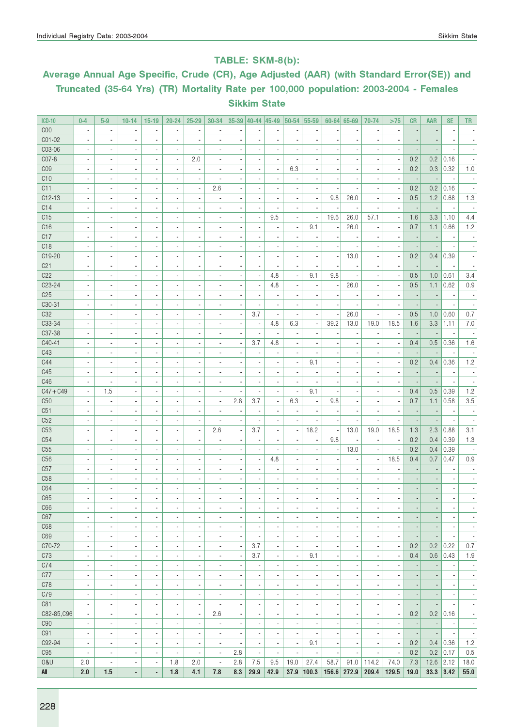### TABLE: SKM-8(b):

# Average Annual Age Specific, Crude (CR), Age Adjusted (AAR) (with Standard Error(SE)) and Truncated (35-64 Yrs) (TR) Mortality Rate per 100,000 population: 2003-2004 - Females Sikkim State

| $ICD-10$            | $0-4$                    | $5-9$                    | $10 - 14$                | $15-19$                      | $20 - 24$                    | $25 - 29$                | 30-34                    |                          | $35-39$   40-44   45-49  |                          | $ 50 - 54 $              | 55-59                    |                          | $60 - 64$ 65-69          | 70-74                    | >75                      | CR                       | AAR                          | <b>SE</b>                | TR                       |
|---------------------|--------------------------|--------------------------|--------------------------|------------------------------|------------------------------|--------------------------|--------------------------|--------------------------|--------------------------|--------------------------|--------------------------|--------------------------|--------------------------|--------------------------|--------------------------|--------------------------|--------------------------|------------------------------|--------------------------|--------------------------|
| COO                 | $\overline{\phantom{a}}$ | ä,                       | $\overline{a}$           | $\overline{\phantom{a}}$     | ä,                           | ä,                       | ä,                       | ÷,                       |                          | ä,                       | ä,                       | $\overline{a}$           |                          | J.                       | ÷,                       | $\blacksquare$           |                          |                              | Ĭ.                       | ä,                       |
| C01-02              | ×,                       | $\overline{\phantom{a}}$ | ٠                        | $\overline{\phantom{a}}$     | $\blacksquare$               | ä,                       | $\blacksquare$           | ×,                       | $\overline{\phantom{a}}$ | $\blacksquare$           | $\overline{a}$           | ä,                       |                          | $\blacksquare$           |                          | $\blacksquare$           |                          |                              | $\overline{a}$           |                          |
| C03-06              | $\blacksquare$           | $\blacksquare$           | $\blacksquare$           | $\blacksquare$               | $\blacksquare$               | ×,                       | $\blacksquare$           | $\overline{a}$           |                          | $\overline{a}$           | $\overline{a}$           |                          |                          | $\blacksquare$           | ٠                        | $\blacksquare$           |                          |                              |                          |                          |
| C07-8               | ×,                       | $\blacksquare$           | ٠                        | $\overline{\phantom{a}}$     | $\overline{\phantom{a}}$     | 2.0                      |                          | ×,                       |                          | $\overline{\phantom{a}}$ |                          |                          |                          | $\overline{\phantom{a}}$ | ×                        | $\overline{\phantom{a}}$ | 0.2                      | 0.2                          | 0.16                     |                          |
| C <sub>09</sub>     | $\overline{\phantom{a}}$ | $\overline{\phantom{a}}$ | ä,                       | ٠                            | ä,                           | ä,                       | ä,                       | ä,                       | Ĭ.                       | ä,                       | 6.3                      | $\overline{a}$           |                          | $\blacksquare$           | $\blacksquare$           | $\blacksquare$           | 0.2                      | 0.3                          | 0.32                     | 1.0                      |
| C10                 | $\overline{\phantom{a}}$ | $\overline{\phantom{a}}$ | $\overline{\phantom{a}}$ | $\overline{\phantom{a}}$     | $\blacksquare$               | $\overline{\phantom{a}}$ | $\overline{\phantom{a}}$ | ×,                       | $\overline{\phantom{a}}$ | $\blacksquare$           | $\blacksquare$           | $\overline{\phantom{a}}$ |                          | ٠                        | ٠                        | $\overline{\phantom{a}}$ | $\overline{\phantom{a}}$ | $\overline{\phantom{a}}$     | $\overline{\phantom{a}}$ | $\overline{\phantom{a}}$ |
| C11                 | $\overline{\phantom{a}}$ | $\overline{\phantom{a}}$ | $\overline{\phantom{a}}$ | $\overline{\phantom{a}}$     | $\overline{\phantom{a}}$     | $\overline{\phantom{a}}$ | 2.6                      | ×,                       | $\overline{\phantom{a}}$ | $\overline{\phantom{a}}$ | $\blacksquare$           | $\overline{\phantom{a}}$ |                          | $\overline{\phantom{a}}$ | $\overline{\phantom{a}}$ | $\overline{\phantom{a}}$ | 0.2                      | 0.2                          | 0.16                     |                          |
| $C12-13$            | $\blacksquare$           | $\blacksquare$           | $\blacksquare$           | $\blacksquare$               | $\blacksquare$               | ٠                        |                          | $\overline{\phantom{a}}$ | $\overline{\phantom{a}}$ | $\blacksquare$           | $\overline{\phantom{a}}$ | $\overline{\phantom{a}}$ | 9.8                      | 26.0                     | $\blacksquare$           | $\overline{\phantom{a}}$ | 0.5                      | 1.2                          | 0.68                     | 1.3                      |
| C14                 | ×,                       | $\overline{a}$           | ä,                       | $\overline{\phantom{a}}$     | $\overline{\phantom{a}}$     | ÷,                       | ä,                       | ×,                       | $\overline{a}$           |                          |                          | $\overline{a}$           |                          | $\overline{\phantom{a}}$ | ÷,                       | $\overline{\phantom{a}}$ |                          |                              |                          |                          |
| C15                 | $\blacksquare$           | $\sim$                   | $\overline{\phantom{a}}$ | ٠                            | $\overline{\phantom{a}}$     | $\overline{\phantom{a}}$ | $\overline{a}$           | ×,                       | $\overline{\phantom{a}}$ | 9.5                      | $\overline{a}$           | $\blacksquare$           | 19.6                     | 26.0                     | 57.1                     | $\overline{a}$           | 1.6                      | 3.3                          | 1.10                     | 4.4                      |
| C <sub>16</sub>     | $\overline{a}$           | ×,                       | $\overline{a}$           | ٠                            | ٠                            | $\overline{a}$           | $\blacksquare$           | $\overline{\phantom{a}}$ |                          | $\overline{a}$           | $\overline{a}$           | 9.1                      |                          | 26.0                     | $\overline{\phantom{a}}$ | $\blacksquare$           | 0.7                      | 1.1                          | 0.66                     | 1.2                      |
| C17                 | ×,                       | $\blacksquare$           | $\overline{a}$           | $\blacksquare$               | ٠                            | ä,                       | $\overline{a}$           | ×,                       | ٠                        | $\blacksquare$           | $\overline{a}$           | ×,                       |                          | $\blacksquare$           | $\blacksquare$           | $\blacksquare$           |                          | $\overline{a}$               | $\overline{a}$           |                          |
| C <sub>18</sub>     | $\overline{\phantom{a}}$ | $\blacksquare$           | $\overline{\phantom{a}}$ | $\overline{\phantom{a}}$     | ٠                            | ٠                        | $\blacksquare$           | ×,                       | $\overline{a}$           | $\overline{\phantom{a}}$ | $\overline{a}$           | $\overline{\phantom{a}}$ | ×,                       | ä,                       | $\overline{\phantom{a}}$ | $\blacksquare$           |                          |                              | Ĭ.                       |                          |
| C19-20              | $\blacksquare$           | $\blacksquare$           | $\blacksquare$           | $\blacksquare$               | $\blacksquare$               | $\blacksquare$           | $\overline{\phantom{a}}$ | $\overline{\phantom{a}}$ | $\blacksquare$           | $\blacksquare$           | $\overline{\phantom{a}}$ | $\blacksquare$           | $\blacksquare$           | 13.0                     | $\sim$                   | $\blacksquare$           | 0.2                      | 0.4                          | 0.39                     | $\blacksquare$           |
| C <sub>21</sub>     | $\overline{\phantom{a}}$ | $\overline{\phantom{a}}$ | ٠                        | $\overline{\phantom{a}}$     | $\overline{\phantom{a}}$     | $\overline{a}$           |                          | $\overline{\phantom{m}}$ | $\overline{\phantom{a}}$ | $\frac{1}{2}$            | $\overline{\phantom{a}}$ | $\overline{a}$           |                          |                          | $\overline{\phantom{a}}$ | $\overline{\phantom{a}}$ |                          |                              |                          |                          |
| C22                 | $\overline{a}$           | ÷,                       | ä,                       | $\overline{\phantom{a}}$     | $\overline{\phantom{a}}$     | ä,                       | $\overline{a}$           | ä,                       | Ĭ.                       | 4.8                      | $\overline{a}$           | 9.1                      | 9.8                      | ÷,                       | $\blacksquare$           | $\blacksquare$           | 0.5                      | 1.0                          | 0.61                     | 3.4                      |
| C <sub>23</sub> -24 | ×,                       | $\blacksquare$           | $\overline{\phantom{a}}$ | ٠                            | ٠                            | ä,                       | $\overline{\phantom{a}}$ | ×,                       | $\overline{\phantom{a}}$ | 4.8                      | $\blacksquare$           | $\overline{a}$           | $\overline{\phantom{a}}$ | 26.0                     | $\blacksquare$           | $\overline{\phantom{a}}$ | 0.5                      | 1.1                          | 0.62                     | 0.9                      |
| C <sub>25</sub>     | ×,                       | $\blacksquare$           | ä,                       | $\blacksquare$               | ٠                            | ä,                       | $\blacksquare$           | $\overline{a}$           |                          | $\blacksquare$           | $\overline{a}$           | $\overline{a}$           |                          | $\overline{\phantom{a}}$ |                          | $\blacksquare$           | $\overline{\phantom{a}}$ |                              | $\overline{a}$           |                          |
| C30-31              | ×,                       | $\overline{\phantom{a}}$ | ٠                        | $\overline{\phantom{a}}$     | $\overline{\phantom{a}}$     | ٠                        |                          | ×,                       |                          | $\overline{\phantom{a}}$ |                          | ×,                       |                          |                          |                          | $\overline{\phantom{a}}$ |                          |                              | ×,                       |                          |
| C32                 | $\overline{\phantom{a}}$ | $\overline{\phantom{a}}$ | ä,                       | $\overline{\phantom{a}}$     | $\overline{\phantom{a}}$     | Ĭ.                       | $\overline{a}$           | $\overline{\phantom{a}}$ | 3.7                      | $\blacksquare$           | ÷,                       | $\blacksquare$           |                          | 26.0                     | $\overline{\phantom{a}}$ | $\overline{\phantom{a}}$ | 0.5                      | 1.0                          | 0.60                     | 0.7                      |
| C33-34              | $\overline{\phantom{a}}$ | $\overline{\phantom{a}}$ | $\overline{\phantom{a}}$ | $\overline{\phantom{a}}$     | $\overline{\phantom{a}}$     | $\overline{\phantom{a}}$ | $\overline{\phantom{a}}$ | $\overline{\phantom{a}}$ | $\overline{\phantom{a}}$ | 4.8                      | 6.3                      | $\overline{\phantom{a}}$ | 39.2                     | 13.0                     | 19.0                     | 18.5                     | 1.6                      | 3.3                          | 1.11                     | $7.0\,$                  |
| C37-38              | $\blacksquare$           | $\blacksquare$           | $\blacksquare$           | $\sim$                       | $\blacksquare$               | $\blacksquare$           | $\blacksquare$           | $\overline{\phantom{a}}$ | $\overline{\phantom{a}}$ | $\blacksquare$           | $\blacksquare$           | $\blacksquare$           | $\overline{\phantom{a}}$ | $\overline{\phantom{a}}$ | $\overline{\phantom{a}}$ | $\overline{\phantom{a}}$ | $\overline{\phantom{a}}$ | $\overline{\phantom{a}}$     | $\overline{\phantom{a}}$ | $\sim$                   |
| C40-41              | $\overline{\phantom{a}}$ | $\blacksquare$           | $\blacksquare$           | $\blacksquare$               | ٠                            | ٠                        |                          | $\overline{\phantom{a}}$ | 3.7                      | 4.8                      | $\overline{\phantom{a}}$ | $\overline{a}$           |                          | ٠                        | ٠                        | $\overline{\phantom{a}}$ | 0.4                      | 0.5                          | 0.36                     | 1.6                      |
| C43                 | ×,                       | $\overline{a}$           | ä,                       | $\overline{\phantom{a}}$     | $\overline{\phantom{a}}$     | ÷,                       | ×,                       | ×,                       |                          |                          | $\overline{a}$           |                          |                          |                          | ٠                        | $\overline{\phantom{a}}$ |                          |                              | ÷,                       |                          |
| C44                 | $\blacksquare$           | $\blacksquare$           | $\overline{\phantom{a}}$ | ٠                            | ٠                            | ٠                        | $\overline{\phantom{a}}$ | ×,                       |                          | $\overline{\phantom{a}}$ | $\blacksquare$           | 9.1                      |                          | $\sim$                   | $\overline{\phantom{a}}$ | $\blacksquare$           | 0.2                      | 0.4                          | 0.36                     | 1.2                      |
| C45                 | $\blacksquare$           | $\blacksquare$           | $\overline{a}$           | $\overline{\phantom{a}}$     | $\overline{\phantom{a}}$     | ٠                        |                          | $\overline{\phantom{a}}$ |                          | $\blacksquare$           |                          | $\overline{a}$           |                          | $\overline{\phantom{a}}$ | $\blacksquare$           | $\blacksquare$           |                          |                              | $\overline{\phantom{a}}$ |                          |
| C46                 | ×,                       | $\overline{a}$           | $\overline{a}$           | $\overline{\phantom{a}}$     | ٠                            | ä,                       | $\overline{a}$           | ÷,                       |                          | $\overline{\phantom{a}}$ | ä,                       | $\overline{a}$           |                          | $\blacksquare$           | $\blacksquare$           | $\overline{a}$           |                          |                              | $\overline{a}$           |                          |
| $C47 + C49$         | $\blacksquare$           | 1.5                      | $\overline{\phantom{a}}$ | $\overline{\phantom{a}}$     | ٠                            | ٠                        | ٠                        | ×,                       |                          | $\blacksquare$           | $\overline{a}$           | 9.1                      |                          | $\overline{\phantom{a}}$ | $\overline{\phantom{a}}$ | $\blacksquare$           | 0.4                      | 0.5                          | 0.39                     | 1.2                      |
| C50                 | $\overline{\phantom{a}}$ | $\blacksquare$           | $\blacksquare$           | $\blacksquare$               | ٠                            | $\blacksquare$           | $\blacksquare$           | 2.8                      | 3.7                      | $\blacksquare$           | 6.3                      | $\blacksquare$           | 9.8                      | $\sim$                   | $\blacksquare$           | $\blacksquare$           | 0.7                      | 1.1                          | 0.58                     | 3.5                      |
| C51                 | $\overline{\phantom{a}}$ | $\overline{\phantom{a}}$ | $\overline{a}$           | $\overline{\phantom{a}}$     | $\overline{\phantom{a}}$     | $\overline{\phantom{a}}$ | $\frac{1}{2}$            | $\overline{\phantom{a}}$ | $\overline{\phantom{a}}$ | $\overline{\phantom{a}}$ |                          | $\overline{\phantom{a}}$ |                          | $\overline{\phantom{a}}$ | $\overline{\phantom{a}}$ | $\overline{\phantom{a}}$ |                          | $\overline{\phantom{a}}$     | $\overline{\phantom{a}}$ |                          |
| C52                 | ×,                       | $\overline{a}$           | ä,                       | $\overline{\phantom{a}}$     | $\overline{\phantom{a}}$     | ä,                       | ä,                       | ä,                       |                          | $\overline{\phantom{a}}$ |                          | $\overline{a}$           |                          |                          | Ĭ.                       | $\blacksquare$           |                          |                              | $\overline{a}$           |                          |
| C <sub>53</sub>     | $\overline{\phantom{a}}$ | $\blacksquare$           | $\overline{\phantom{a}}$ | ٠                            | ٠                            | ×,                       | 2.6                      | $\overline{\phantom{a}}$ | 3.7                      | $\blacksquare$           | $\blacksquare$           | 18.2                     | ×                        | 13.0                     | 19.0                     | 18.5                     | 1.3                      | 2.3                          | 0.88                     | 3.1                      |
| C54                 | $\blacksquare$           | $\blacksquare$           | ä,                       | $\overline{\phantom{a}}$     | ٠                            | ä,                       | $\overline{\phantom{a}}$ | ×,                       | $\overline{a}$           | $\overline{\phantom{a}}$ | $\overline{a}$           | $\blacksquare$           | 9.8                      | $\overline{\phantom{a}}$ | $\blacksquare$           | $\overline{\phantom{a}}$ | 0.2                      | 0.4                          | 0.39                     | 1.3                      |
| C <sub>55</sub>     |                          | $\overline{\phantom{a}}$ | ٠                        | ÷,                           | $\overline{\phantom{a}}$     |                          |                          | ٠                        |                          |                          |                          | $\overline{a}$           |                          | 13.0                     |                          | $\overline{\phantom{a}}$ | 0.2                      | 0.4                          | 0.39                     |                          |
| C <sub>56</sub>     | $\overline{\phantom{a}}$ | $\overline{\phantom{a}}$ | ä,                       | $\overline{\phantom{a}}$     | $\overline{\phantom{a}}$     | $\overline{a}$           | $\overline{a}$           | ÷,                       | Ĭ.                       | 4.8                      | $\overline{a}$           | $\blacksquare$           |                          | $\blacksquare$           | $\blacksquare$           | 18.5                     | 0.4                      | 0.7                          | 0.47                     | 0.9                      |
| C57                 | $\overline{\phantom{a}}$ | $\overline{\phantom{a}}$ | $\overline{\phantom{a}}$ | $\overline{\phantom{a}}$     | $\overline{\phantom{a}}$     | $\overline{\phantom{a}}$ | $\blacksquare$           | ×,                       | $\blacksquare$           | $\overline{\phantom{a}}$ | $\blacksquare$           | $\overline{\phantom{a}}$ |                          | $\overline{\phantom{a}}$ | $\blacksquare$           | $\blacksquare$           |                          |                              | ×,                       | $\blacksquare$           |
| C <sub>58</sub>     | $\blacksquare$           | $\blacksquare$           | $\blacksquare$           | $\sim$                       | ٠                            | $\blacksquare$           |                          | $\blacksquare$           | $\blacksquare$           | $\blacksquare$           | $\blacksquare$           | $\overline{a}$           |                          | $\blacksquare$           | $\blacksquare$           | $\blacksquare$           |                          |                              | $\blacksquare$           |                          |
| C64                 | ٠                        | $\blacksquare$           | $\overline{a}$           | $\qquad \qquad \blacksquare$ | $\blacksquare$               | ٠                        |                          | $\overline{\phantom{m}}$ | $\overline{a}$           |                          |                          |                          |                          | ٠                        | $\blacksquare$           |                          |                          | $\qquad \qquad \blacksquare$ |                          |                          |
| C65                 |                          |                          |                          |                              |                              |                          |                          | $\overline{a}$           |                          |                          |                          | $\overline{a}$           |                          |                          |                          |                          |                          |                              |                          |                          |
| C66                 | $\blacksquare$           | $\blacksquare$           | $\blacksquare$           | $\blacksquare$               | $\blacksquare$               | $\blacksquare$           | $\blacksquare$           | $\overline{\phantom{a}}$ | $\overline{\phantom{a}}$ | $\blacksquare$           | $\blacksquare$           | $\blacksquare$           |                          | $\blacksquare$           | $\blacksquare$           | $\blacksquare$           |                          | $\overline{a}$               | $\blacksquare$           | $\overline{\phantom{a}}$ |
| C67                 | $\overline{\phantom{a}}$ | $\overline{\phantom{a}}$ | $\overline{\phantom{a}}$ | $\overline{\phantom{a}}$     | $\overline{\phantom{a}}$     | $\overline{\phantom{a}}$ | $\overline{\phantom{a}}$ | $\overline{\phantom{a}}$ |                          | $\overline{\phantom{m}}$ | $\blacksquare$           | $\overline{a}$           | $\overline{\phantom{a}}$ | $\overline{\phantom{a}}$ | $\overline{\phantom{a}}$ | $\overline{\phantom{a}}$ |                          |                              | $\overline{a}$           | $\overline{\phantom{a}}$ |
| C68                 | $\overline{\phantom{a}}$ | $\blacksquare$           | $\overline{\phantom{a}}$ | $\overline{\phantom{a}}$     | $\overline{\phantom{a}}$     | ×,                       | $\overline{\phantom{m}}$ | $\overline{\phantom{a}}$ | ٠                        | $\overline{\phantom{a}}$ | $\overline{\phantom{a}}$ | $\overline{a}$           | ×                        | $\overline{\phantom{a}}$ | $\blacksquare$           | $\blacksquare$           |                          | $\overline{a}$               | ×,                       | $\overline{\phantom{a}}$ |
| C69                 | $\overline{\phantom{a}}$ | $\overline{\phantom{a}}$ | $\overline{\phantom{a}}$ | $\overline{\phantom{a}}$     | $\overline{\phantom{a}}$     | ×,                       | ٠                        | $\overline{\phantom{a}}$ | $\overline{a}$           | ٠                        | $\blacksquare$           | ÷                        | $\overline{a}$           | $\overline{\phantom{a}}$ | $\overline{\phantom{a}}$ | $\blacksquare$           | ÷,                       | $\overline{\phantom{a}}$     | $\overline{\phantom{a}}$ | $\overline{\phantom{a}}$ |
| C70-72              | $\overline{\phantom{a}}$ | $\overline{\phantom{a}}$ | $\overline{\phantom{a}}$ | $\overline{\phantom{a}}$     | $\overline{\phantom{a}}$     | $\overline{\phantom{a}}$ | $\overline{\phantom{a}}$ | $\overline{\phantom{a}}$ | 3.7                      | $\overline{\phantom{a}}$ | $\overline{\phantom{a}}$ | $\blacksquare$           | $\overline{\phantom{a}}$ | $\overline{\phantom{a}}$ | $\overline{\phantom{a}}$ | $\overline{\phantom{a}}$ | 0.2                      | 0.2                          | 0.22                     | 0.7                      |
| C73                 | $\overline{\phantom{a}}$ | $\overline{\phantom{a}}$ | $\overline{\phantom{a}}$ | $\overline{\phantom{a}}$     | $\overline{\phantom{a}}$     | $\overline{\phantom{a}}$ | $\overline{\phantom{a}}$ | $\overline{\phantom{a}}$ | 3.7                      | $\overline{\phantom{a}}$ | $\overline{\phantom{a}}$ | 9.1                      | $\overline{\phantom{a}}$ | $\overline{\phantom{a}}$ | $\overline{\phantom{a}}$ | $\overline{\phantom{a}}$ | 0.4                      | 0.6                          | 0.43                     | 1.9                      |
| C74                 | $\overline{\phantom{a}}$ | $\blacksquare$           | $\blacksquare$           | $\blacksquare$               | $\blacksquare$               | ×,                       | $\overline{\phantom{a}}$ | $\overline{\phantom{a}}$ | ٠                        | ٠                        | $\blacksquare$           | $\overline{a}$           | $\overline{a}$           | $\blacksquare$           | $\blacksquare$           | $\blacksquare$           |                          | $\overline{a}$               | ×,                       | $\overline{\phantom{a}}$ |
| C77                 | $\overline{\phantom{a}}$ | $\overline{\phantom{a}}$ | $\overline{\phantom{a}}$ | $\overline{\phantom{a}}$     | $\overline{\phantom{a}}$     | ×,                       | $\overline{a}$           | ×,                       | $\overline{\phantom{a}}$ | $\overline{a}$           | $\blacksquare$           | ä,                       |                          | $\overline{\phantom{a}}$ | $\overline{\phantom{a}}$ | $\blacksquare$           | ÷                        | ÷                            | $\overline{a}$           | $\overline{\phantom{a}}$ |
| C78                 | $\overline{\phantom{a}}$ | $\overline{\phantom{a}}$ | $\blacksquare$           | $\overline{\phantom{a}}$     | $\blacksquare$               | $\overline{\phantom{a}}$ | $\blacksquare$           | $\overline{\phantom{a}}$ | $\overline{\phantom{a}}$ | $\blacksquare$           | $\blacksquare$           | $\blacksquare$           |                          | $\overline{\phantom{a}}$ | $\blacksquare$           | $\blacksquare$           | $\overline{\phantom{a}}$ | $\overline{a}$               | $\overline{\phantom{a}}$ | $\overline{\phantom{a}}$ |
| C79                 | ×,                       | $\overline{\phantom{a}}$ | ÷,                       | ÷,                           | $\qquad \qquad \blacksquare$ | ÷                        |                          | $\overline{a}$           |                          | $\frac{1}{2}$            | $\overline{\phantom{a}}$ | $\overline{a}$           |                          | $\overline{\phantom{a}}$ | $\overline{\phantom{a}}$ | $\overline{\phantom{a}}$ |                          | $\overline{\phantom{a}}$     | ×,                       | $\overline{\phantom{a}}$ |
| C81                 | $\overline{\phantom{a}}$ | $\overline{\phantom{a}}$ | $\overline{\phantom{a}}$ | $\overline{\phantom{a}}$     | $\overline{\phantom{a}}$     | $\overline{\phantom{a}}$ | $\overline{\phantom{a}}$ | $\overline{\phantom{a}}$ | $\overline{a}$           | $\blacksquare$           | $\overline{\phantom{a}}$ | $\blacksquare$           |                          | $\blacksquare$           | $\blacksquare$           | $\blacksquare$           | ÷,                       | ÷,                           | $\overline{\phantom{a}}$ | $\overline{\phantom{a}}$ |
| C82-85, C96         | $\overline{\phantom{a}}$ | $\overline{\phantom{a}}$ | $\overline{\phantom{a}}$ | $\overline{\phantom{a}}$     | $\overline{\phantom{a}}$     | $\overline{\phantom{a}}$ | 2.6                      | $\overline{\phantom{a}}$ | $\overline{\phantom{a}}$ | $\overline{\phantom{a}}$ | $\blacksquare$           | $\overline{a}$           |                          | $\overline{\phantom{a}}$ | $\overline{\phantom{a}}$ | $\overline{\phantom{a}}$ | 0.2                      | 0.2                          | 0.16                     | $\overline{\phantom{a}}$ |
| C90                 | $\overline{\phantom{a}}$ | $\overline{\phantom{a}}$ | $\overline{\phantom{a}}$ | $\blacksquare$               | $\blacksquare$               | $\overline{\phantom{a}}$ | $\blacksquare$           | $\overline{\phantom{a}}$ | $\blacksquare$           | $\blacksquare$           | $\blacksquare$           | $\blacksquare$           | $\overline{\phantom{a}}$ | $\blacksquare$           | $\overline{\phantom{a}}$ | $\blacksquare$           | $\overline{\phantom{a}}$ | $\overline{\phantom{a}}$     | $\overline{\phantom{a}}$ | $\overline{\phantom{a}}$ |
| C91                 | $\overline{\phantom{a}}$ | $\overline{\phantom{a}}$ | $\overline{\phantom{a}}$ | $\qquad \qquad \blacksquare$ | $\qquad \qquad \blacksquare$ | $\overline{\phantom{a}}$ | $\frac{1}{2}$            | $\overline{\phantom{a}}$ | $\overline{a}$           | $\frac{1}{2}$            | $\overline{\phantom{a}}$ | $\overline{a}$           | $\overline{\phantom{a}}$ | $\overline{\phantom{a}}$ | $\overline{\phantom{a}}$ | $\overline{\phantom{a}}$ | $\overline{\phantom{a}}$ | $\overline{\phantom{a}}$     | $\overline{\phantom{a}}$ | $\overline{\phantom{a}}$ |
| C92-94              | ×,                       | $\overline{\phantom{a}}$ | $\blacksquare$           | $\blacksquare$               | $\blacksquare$               | ×,                       | $\overline{\phantom{a}}$ | $\overline{\phantom{a}}$ | $\overline{\phantom{a}}$ | $\overline{\phantom{a}}$ | $\blacksquare$           | 9.1                      | $\overline{\phantom{a}}$ | $\blacksquare$           | $\overline{\phantom{a}}$ | $\overline{\phantom{a}}$ | 0.2                      | 0.4                          | 0.36                     | 1.2                      |
| C <sub>95</sub>     | $\overline{\phantom{a}}$ | $\overline{\phantom{a}}$ | $\overline{\phantom{a}}$ | $\overline{\phantom{a}}$     | $\overline{\phantom{a}}$     | $\overline{\phantom{a}}$ | $\overline{\phantom{a}}$ | 2.8                      | $\overline{\phantom{a}}$ | $\overline{\phantom{a}}$ | $\overline{a}$           | $\overline{\phantom{a}}$ |                          | $\blacksquare$           | $\blacksquare$           | $\overline{\phantom{a}}$ | 0.2                      |                              | $0.2$ 0.17               | 0.5                      |
| <b>0&amp;U</b>      | 2.0                      | $\overline{\phantom{a}}$ | $\overline{\phantom{a}}$ | $\overline{\phantom{a}}$     | 1.8                          | 2.0                      | $\overline{\phantom{a}}$ | 2.8                      | 7.5                      | 9.5                      | 19.0                     | 27.4                     | 58.7                     | 91.0                     | 114.2                    | 74.0                     | 7.3                      | 12.6                         | 2.12                     | 18.0                     |
| All                 | 2.0                      | 1.5                      | ٠                        | ٠                            | 1.8                          | 4.1                      | 7.8                      | 8.3                      | 29.9                     | 42.9                     | 37.9                     | 100.3                    | 156.6                    | 272.9                    | 209.4                    | 129.5                    | 19.0                     | $33.3$ 3.42                  |                          | 55.0                     |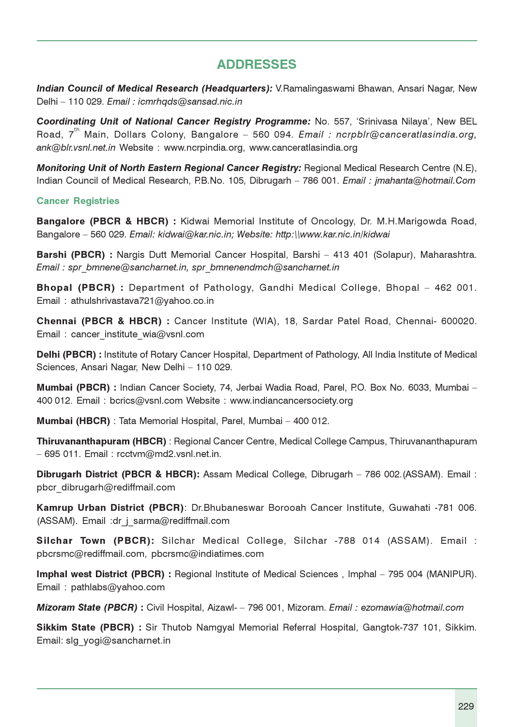# ADDRESSES

Indian Council of Medical Research (Headquarters): V.Ramalingaswami Bhawan, Ansari Nagar, New Delhi – 110 029. Email : icmrhqds@sansad.nic.in

Coordinating Unit of National Cancer Registry Programme: No. 557, 'Srinivasa Nilaya', New BEL Road.  $7^{th}$  Main, Dollars Colony, Bangalore - 560 094. Email : ncrpblr@canceratlasindia.org, ank@blr.vsnl.net.in Website : www.ncrpindia.org, www.canceratlasindia.org

Monitoring Unit of North Eastern Regional Cancer Registry: Regional Medical Research Centre (N.E), Indian Council of Medical Research, P.B.No. 105, Dibrugarh - 786 001. Email: jmahanta@hotmail.Com

#### Cancer Registries

Bangalore (PBCR & HBCR) : Kidwai Memorial Institute of Oncology, Dr. M.H.Marigowda Road, Bangalore – 560 029. Email: kidwai@kar.nic.in; Website: http:\\www.kar.nic.in/kidwai

Barshi (PBCR) : Nargis Dutt Memorial Cancer Hospital, Barshi – 413 401 (Solapur), Maharashtra. Email : spr\_bmnene@sancharnet.in, spr\_bmnenendmch@sancharnet.in

Bhopal (PBCR) : Department of Pathology, Gandhi Medical College, Bhopal – 462 001. Email : athulshrivastava721@yahoo.co.in

Chennai (PBCR & HBCR) : Cancer Institute (WIA), 18, Sardar Patel Road, Chennai- 600020. Email : cancer\_institute\_wia@vsnl.com

Delhi (PBCR) : Institute of Rotary Cancer Hospital, Department of Pathology, All India Institute of Medical Sciences, Ansari Nagar, New Delhi – 110 029.

Mumbai (PBCR) : Indian Cancer Society, 74, Jerbai Wadia Road, Parel, P.O. Box No. 6033, Mumbai – 400 012. Email : bcrics@vsnl.com Website : www.indiancancersociety.org

Mumbai (HBCR) : Tata Memorial Hospital, Parel, Mumbai – 400 012.

Thiruvananthapuram (HBCR) : Regional Cancer Centre, Medical College Campus, Thiruvananthapuram – 695 011. Email : rcctvm@md2.vsnl.net.in.

Dibrugarh District (PBCR & HBCR): Assam Medical College, Dibrugarh – 786 002.(ASSAM). Email : pbcr\_dibrugarh@rediffmail.com

Kamrup Urban District (PBCR): Dr.Bhubaneswar Borooah Cancer Institute, Guwahati -781 006. (ASSAM). Email :dr\_j\_sarma@rediffmail.com

Silchar Town (PBCR): Silchar Medical College, Silchar -788 014 (ASSAM). Email : pbcrsmc@rediffmail.com, pbcrsmc@indiatimes.com

Imphal west District (PBCR) : Regional Institute of Medical Sciences , Imphal – 795 004 (MANIPUR). Email : pathlabs@yahoo.com

Mizoram State (PBCR) : Civil Hospital, Aizawl- – 796 001, Mizoram. Email : ezomawia@hotmail.com

Sikkim State (PBCR) : Sir Thutob Namgyal Memorial Referral Hospital, Gangtok-737 101, Sikkim. Email: slg\_yogi@sancharnet.in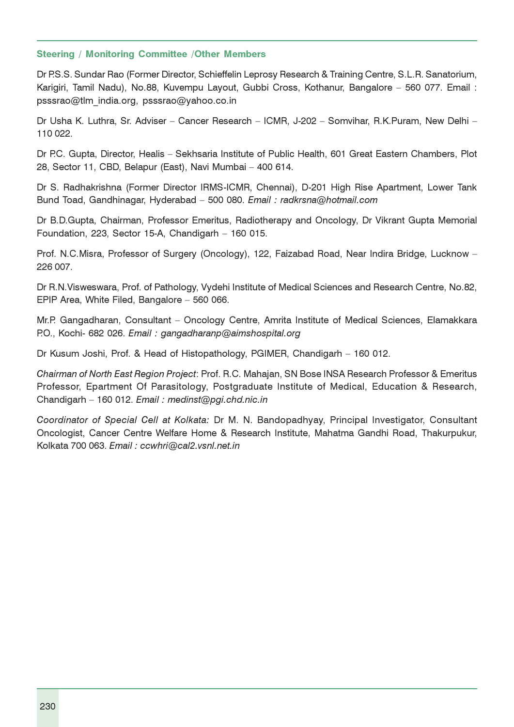#### Steering / Monitoring Committee /Other Members

Dr P.S.S. Sundar Rao (Former Director, Schieffelin Leprosy Research & Training Centre, S.L.R. Sanatorium, Karigiri, Tamil Nadu), No.88, Kuvempu Layout, Gubbi Cross, Kothanur, Bangalore – 560 077. Email : psssrao@tlm\_india.org, psssrao@yahoo.co.in

Dr Usha K. Luthra, Sr. Adviser – Cancer Research – ICMR, J-202 – Somvihar, R.K.Puram, New Delhi – 110 022.

Dr P.C. Gupta, Director, Healis – Sekhsaria Institute of Public Health, 601 Great Eastern Chambers, Plot 28, Sector 11, CBD, Belapur (East), Navi Mumbai – 400 614.

Dr S. Radhakrishna (Former Director IRMS-ICMR, Chennai), D-201 High Rise Apartment, Lower Tank Bund Toad, Gandhinagar, Hyderabad – 500 080. Email : radkrsna@hotmail.com

Dr B.D.Gupta, Chairman, Professor Emeritus, Radiotherapy and Oncology, Dr Vikrant Gupta Memorial Foundation, 223, Sector 15-A, Chandigarh – 160 015.

Prof. N.C.Misra, Professor of Surgery (Oncology), 122, Faizabad Road, Near Indira Bridge, Lucknow – 226 007.

Dr R.N.Visweswara, Prof. of Pathology, Vydehi Institute of Medical Sciences and Research Centre, No.82, EPIP Area, White Filed, Bangalore – 560 066.

Mr.P. Gangadharan, Consultant – Oncology Centre, Amrita Institute of Medical Sciences, Elamakkara P.O., Kochi- 682 026. Email : gangadharanp@aimshospital.org

Dr Kusum Joshi, Prof. & Head of Histopathology, PGIMER, Chandigarh – 160 012.

Chairman of North East Region Project: Prof. R.C. Mahajan, SN Bose INSA Research Professor & Emeritus Professor, Epartment Of Parasitology, Postgraduate Institute of Medical, Education & Research, Chandigarh – 160 012. Email : medinst@pgi.chd.nic.in

Coordinator of Special Cell at Kolkata: Dr M. N. Bandopadhyay, Principal Investigator, Consultant Oncologist, Cancer Centre Welfare Home & Research Institute, Mahatma Gandhi Road, Thakurpukur, Kolkata 700 063. Email : ccwhri@cal2.vsnl.net.in